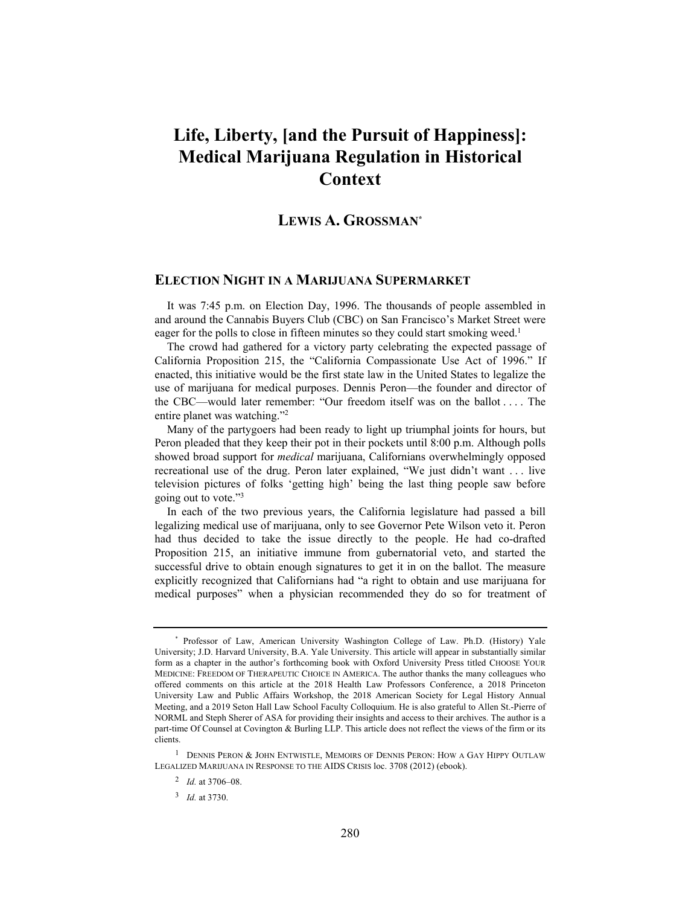# **Life, Liberty, [and the Pursuit of Happiness]: Medical Marijuana Regulation in Historical Context**

# **LEWIS A. GROSSMAN\***

# **ELECTION NIGHT IN A MARIJUANA SUPERMARKET**

It was 7:45 p.m. on Election Day, 1996. The thousands of people assembled in and around the Cannabis Buyers Club (CBC) on San Francisco's Market Street were eager for the polls to close in fifteen minutes so they could start smoking weed.<sup>1</sup>

The crowd had gathered for a victory party celebrating the expected passage of California Proposition 215, the "California Compassionate Use Act of 1996." If enacted, this initiative would be the first state law in the United States to legalize the use of marijuana for medical purposes. Dennis Peron—the founder and director of the CBC—would later remember: "Our freedom itself was on the ballot . . . . The entire planet was watching."<sup>2</sup>

Many of the partygoers had been ready to light up triumphal joints for hours, but Peron pleaded that they keep their pot in their pockets until 8:00 p.m. Although polls showed broad support for *medical* marijuana, Californians overwhelmingly opposed recreational use of the drug. Peron later explained, "We just didn't want . . . live television pictures of folks 'getting high' being the last thing people saw before going out to vote."3

In each of the two previous years, the California legislature had passed a bill legalizing medical use of marijuana, only to see Governor Pete Wilson veto it. Peron had thus decided to take the issue directly to the people. He had co-drafted Proposition 215, an initiative immune from gubernatorial veto, and started the successful drive to obtain enough signatures to get it in on the ballot. The measure explicitly recognized that Californians had "a right to obtain and use marijuana for medical purposes" when a physician recommended they do so for treatment of

<sup>\*</sup> Professor of Law, American University Washington College of Law. Ph.D. (History) Yale University; J.D. Harvard University, B.A. Yale University. This article will appear in substantially similar form as a chapter in the author's forthcoming book with Oxford University Press titled CHOOSE YOUR MEDICINE: FREEDOM OF THERAPEUTIC CHOICE IN AMERICA. The author thanks the many colleagues who offered comments on this article at the 2018 Health Law Professors Conference, a 2018 Princeton University Law and Public Affairs Workshop, the 2018 American Society for Legal History Annual Meeting, and a 2019 Seton Hall Law School Faculty Colloquium. He is also grateful to Allen St.-Pierre of NORML and Steph Sherer of ASA for providing their insights and access to their archives. The author is a part-time Of Counsel at Covington & Burling LLP. This article does not reflect the views of the firm or its clients.

<sup>&</sup>lt;sup>1</sup> DENNIS PERON & JOHN ENTWISTLE, MEMOIRS OF DENNIS PERON: HOW A GAY HIPPY OUTLAW LEGALIZED MARIJUANA IN RESPONSE TO THE AIDS CRISIS loc. 3708 (2012) (ebook).

<sup>2</sup> *Id.* at 3706–08.

<sup>3</sup> *Id.* at 3730.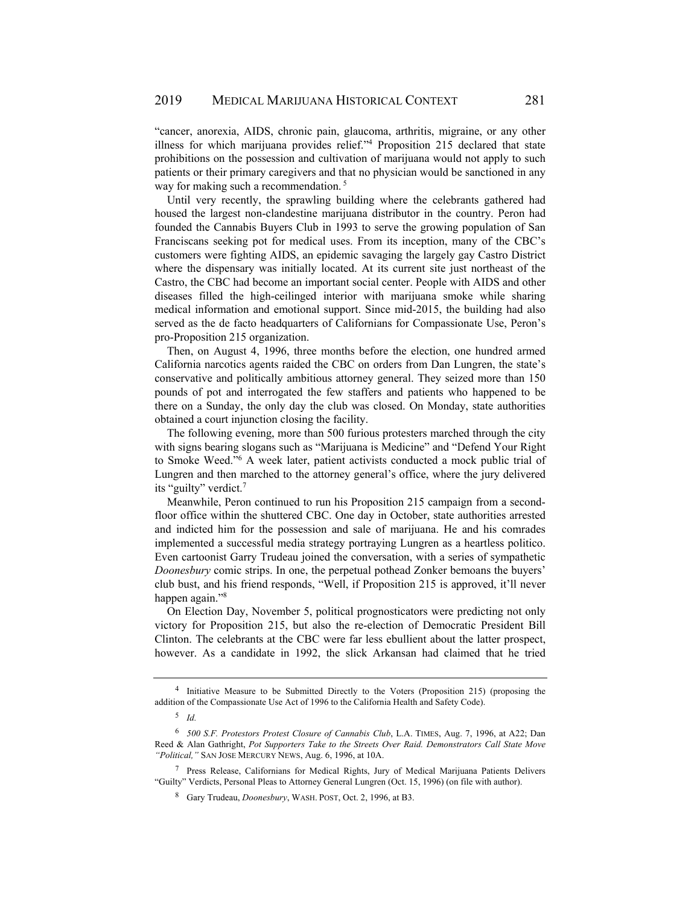"cancer, anorexia, AIDS, chronic pain, glaucoma, arthritis, migraine, or any other illness for which marijuana provides relief."4 Proposition 215 declared that state prohibitions on the possession and cultivation of marijuana would not apply to such patients or their primary caregivers and that no physician would be sanctioned in any way for making such a recommendation.<sup>5</sup>

Until very recently, the sprawling building where the celebrants gathered had housed the largest non-clandestine marijuana distributor in the country. Peron had founded the Cannabis Buyers Club in 1993 to serve the growing population of San Franciscans seeking pot for medical uses. From its inception, many of the CBC's customers were fighting AIDS, an epidemic savaging the largely gay Castro District where the dispensary was initially located. At its current site just northeast of the Castro, the CBC had become an important social center. People with AIDS and other diseases filled the high-ceilinged interior with marijuana smoke while sharing medical information and emotional support. Since mid-2015, the building had also served as the de facto headquarters of Californians for Compassionate Use, Peron's pro-Proposition 215 organization.

Then, on August 4, 1996, three months before the election, one hundred armed California narcotics agents raided the CBC on orders from Dan Lungren, the state's conservative and politically ambitious attorney general. They seized more than 150 pounds of pot and interrogated the few staffers and patients who happened to be there on a Sunday, the only day the club was closed. On Monday, state authorities obtained a court injunction closing the facility.

The following evening, more than 500 furious protesters marched through the city with signs bearing slogans such as "Marijuana is Medicine" and "Defend Your Right" to Smoke Weed."6 A week later, patient activists conducted a mock public trial of Lungren and then marched to the attorney general's office, where the jury delivered its "guilty" verdict.7

Meanwhile, Peron continued to run his Proposition 215 campaign from a secondfloor office within the shuttered CBC. One day in October, state authorities arrested and indicted him for the possession and sale of marijuana. He and his comrades implemented a successful media strategy portraying Lungren as a heartless politico. Even cartoonist Garry Trudeau joined the conversation, with a series of sympathetic *Doonesbury* comic strips. In one, the perpetual pothead Zonker bemoans the buyers' club bust, and his friend responds, "Well, if Proposition 215 is approved, it'll never happen again."8

On Election Day, November 5, political prognosticators were predicting not only victory for Proposition 215, but also the re-election of Democratic President Bill Clinton. The celebrants at the CBC were far less ebullient about the latter prospect, however. As a candidate in 1992, the slick Arkansan had claimed that he tried

<sup>4</sup> Initiative Measure to be Submitted Directly to the Voters (Proposition 215) (proposing the addition of the Compassionate Use Act of 1996 to the California Health and Safety Code).

<sup>5</sup> *Id.* 

<sup>6</sup> *500 S.F. Protestors Protest Closure of Cannabis Club*, L.A. TIMES, Aug. 7, 1996, at A22; Dan Reed & Alan Gathright, *Pot Supporters Take to the Streets Over Raid. Demonstrators Call State Move "Political,"* SAN JOSE MERCURY NEWS, Aug. 6, 1996, at 10A.

 $7$  Press Release, Californians for Medical Rights, Jury of Medical Marijuana Patients Delivers "Guilty" Verdicts, Personal Pleas to Attorney General Lungren (Oct. 15, 1996) (on file with author).

<sup>8</sup> Gary Trudeau, *Doonesbury*, WASH. POST, Oct. 2, 1996, at B3.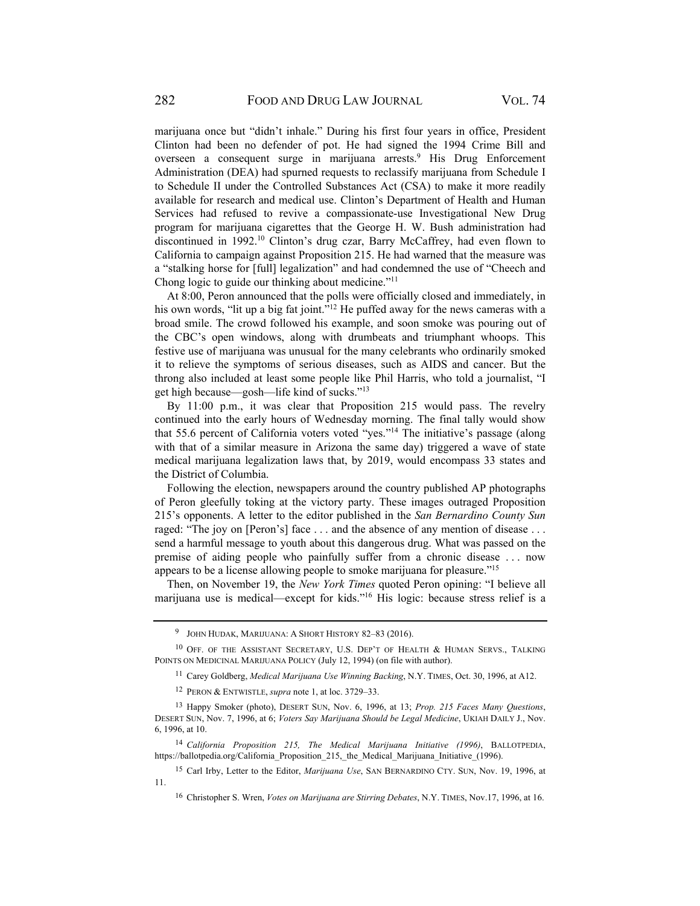marijuana once but "didn't inhale." During his first four years in office, President Clinton had been no defender of pot. He had signed the 1994 Crime Bill and overseen a consequent surge in marijuana arrests.<sup>9</sup> His Drug Enforcement Administration (DEA) had spurned requests to reclassify marijuana from Schedule I to Schedule II under the Controlled Substances Act (CSA) to make it more readily available for research and medical use. Clinton's Department of Health and Human Services had refused to revive a compassionate-use Investigational New Drug program for marijuana cigarettes that the George H. W. Bush administration had discontinued in 1992.<sup>10</sup> Clinton's drug czar, Barry McCaffrey, had even flown to California to campaign against Proposition 215. He had warned that the measure was a "stalking horse for [full] legalization" and had condemned the use of "Cheech and Chong logic to guide our thinking about medicine."<sup>11</sup>

At 8:00, Peron announced that the polls were officially closed and immediately, in his own words, "lit up a big fat joint."<sup>12</sup> He puffed away for the news cameras with a broad smile. The crowd followed his example, and soon smoke was pouring out of the CBC's open windows, along with drumbeats and triumphant whoops. This festive use of marijuana was unusual for the many celebrants who ordinarily smoked it to relieve the symptoms of serious diseases, such as AIDS and cancer. But the throng also included at least some people like Phil Harris, who told a journalist, "I get high because—gosh—life kind of sucks."13

By 11:00 p.m., it was clear that Proposition 215 would pass. The revelry continued into the early hours of Wednesday morning. The final tally would show that 55.6 percent of California voters voted "yes."14 The initiative's passage (along with that of a similar measure in Arizona the same day) triggered a wave of state medical marijuana legalization laws that, by 2019, would encompass 33 states and the District of Columbia.

Following the election, newspapers around the country published AP photographs of Peron gleefully toking at the victory party. These images outraged Proposition 215's opponents. A letter to the editor published in the *San Bernardino County Sun* raged: "The joy on [Peron's] face . . . and the absence of any mention of disease . . . send a harmful message to youth about this dangerous drug. What was passed on the premise of aiding people who painfully suffer from a chronic disease . . . now appears to be a license allowing people to smoke marijuana for pleasure."15

Then, on November 19, the *New York Times* quoted Peron opining: "I believe all marijuana use is medical—except for kids."16 His logic: because stress relief is a

<sup>9</sup> JOHN HUDAK, MARIJUANA: A SHORT HISTORY 82–83 (2016).

<sup>&</sup>lt;sup>10</sup> OFF. OF THE ASSISTANT SECRETARY, U.S. DEP'T OF HEALTH & HUMAN SERVS., TALKING POINTS ON MEDICINAL MARIJUANA POLICY (July 12, 1994) (on file with author).

<sup>11</sup> Carey Goldberg, *Medical Marijuana Use Winning Backing*, N.Y. TIMES, Oct. 30, 1996, at A12.

<sup>12</sup> PERON & ENTWISTLE, *supra* note 1, at loc. 3729–33.

<sup>13</sup> Happy Smoker (photo), DESERT SUN, Nov. 6, 1996, at 13; *Prop. 215 Faces Many Questions*, DESERT SUN, Nov. 7, 1996, at 6; *Voters Say Marijuana Should be Legal Medicine*, UKIAH DAILY J., Nov. 6, 1996, at 10.

<sup>14</sup> *California Proposition 215, The Medical Marijuana Initiative (1996)*, BALLOTPEDIA, https://ballotpedia.org/California Proposition 215, the Medical Marijuana Initiative (1996).

<sup>15</sup> Carl Irby, Letter to the Editor, *Marijuana Use*, SAN BERNARDINO CTY. SUN, Nov. 19, 1996, at 11.

<sup>16</sup> Christopher S. Wren, *Votes on Marijuana are Stirring Debates*, N.Y. TIMES, Nov.17, 1996, at 16.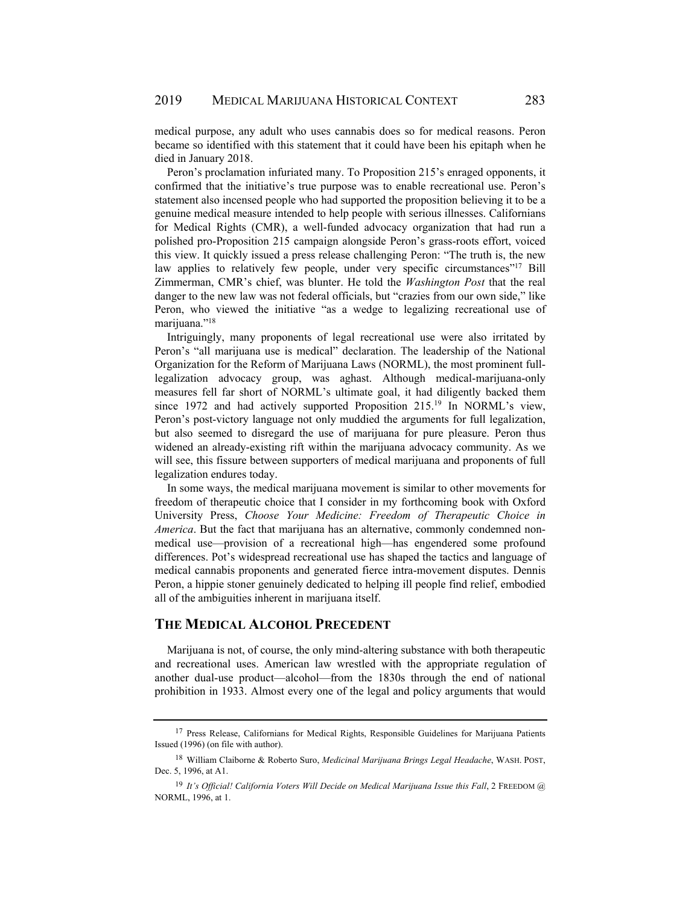medical purpose, any adult who uses cannabis does so for medical reasons. Peron became so identified with this statement that it could have been his epitaph when he died in January 2018.

Peron's proclamation infuriated many. To Proposition 215's enraged opponents, it confirmed that the initiative's true purpose was to enable recreational use. Peron's statement also incensed people who had supported the proposition believing it to be a genuine medical measure intended to help people with serious illnesses. Californians for Medical Rights (CMR), a well-funded advocacy organization that had run a polished pro-Proposition 215 campaign alongside Peron's grass-roots effort, voiced this view. It quickly issued a press release challenging Peron: "The truth is, the new law applies to relatively few people, under very specific circumstances<sup>"17</sup> Bill Zimmerman, CMR's chief, was blunter. He told the *Washington Post* that the real danger to the new law was not federal officials, but "crazies from our own side," like Peron, who viewed the initiative "as a wedge to legalizing recreational use of marijuana."<sup>18</sup>

Intriguingly, many proponents of legal recreational use were also irritated by Peron's "all marijuana use is medical" declaration. The leadership of the National Organization for the Reform of Marijuana Laws (NORML), the most prominent fulllegalization advocacy group, was aghast. Although medical-marijuana-only measures fell far short of NORML's ultimate goal, it had diligently backed them since 1972 and had actively supported Proposition 215.<sup>19</sup> In NORML's view, Peron's post-victory language not only muddied the arguments for full legalization, but also seemed to disregard the use of marijuana for pure pleasure. Peron thus widened an already-existing rift within the marijuana advocacy community. As we will see, this fissure between supporters of medical marijuana and proponents of full legalization endures today.

In some ways, the medical marijuana movement is similar to other movements for freedom of therapeutic choice that I consider in my forthcoming book with Oxford University Press, *Choose Your Medicine: Freedom of Therapeutic Choice in America*. But the fact that marijuana has an alternative, commonly condemned nonmedical use—provision of a recreational high—has engendered some profound differences. Pot's widespread recreational use has shaped the tactics and language of medical cannabis proponents and generated fierce intra-movement disputes. Dennis Peron, a hippie stoner genuinely dedicated to helping ill people find relief, embodied all of the ambiguities inherent in marijuana itself.

#### **THE MEDICAL ALCOHOL PRECEDENT**

Marijuana is not, of course, the only mind-altering substance with both therapeutic and recreational uses. American law wrestled with the appropriate regulation of another dual-use product—alcohol—from the 1830s through the end of national prohibition in 1933. Almost every one of the legal and policy arguments that would

<sup>17</sup> Press Release, Californians for Medical Rights, Responsible Guidelines for Marijuana Patients Issued (1996) (on file with author).

<sup>18</sup> William Claiborne & Roberto Suro, *Medicinal Marijuana Brings Legal Headache*, WASH. POST, Dec. 5, 1996, at A1.

<sup>&</sup>lt;sup>19</sup> It's Official! California Voters Will Decide on Medical Marijuana Issue this Fall, 2 FREEDOM @ NORML, 1996, at 1.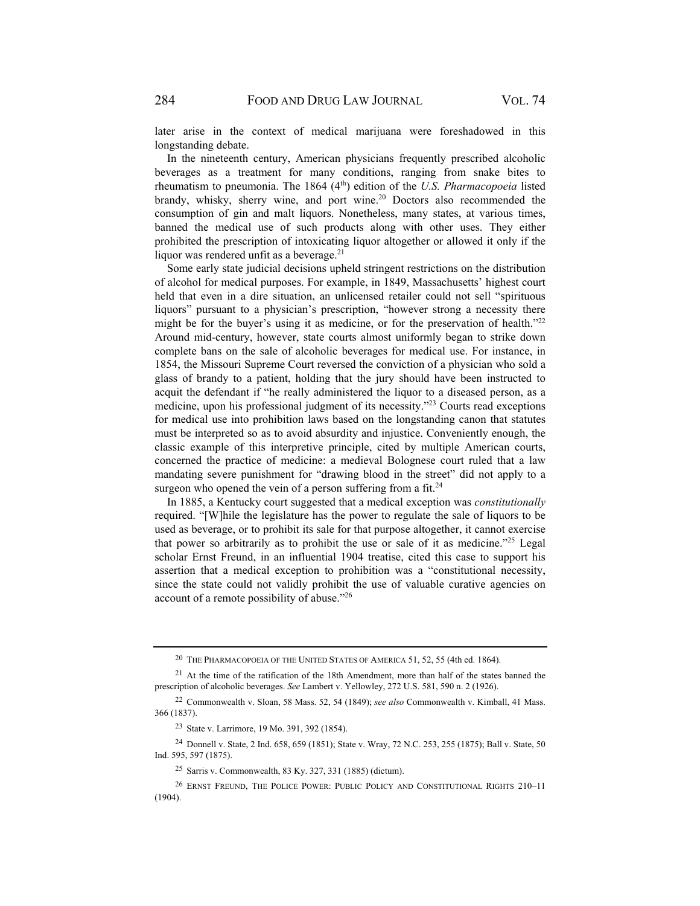later arise in the context of medical marijuana were foreshadowed in this longstanding debate.

In the nineteenth century, American physicians frequently prescribed alcoholic beverages as a treatment for many conditions, ranging from snake bites to rheumatism to pneumonia. The 1864 (4<sup>th</sup>) edition of the *U.S. Pharmacopoeia* listed brandy, whisky, sherry wine, and port wine.<sup>20</sup> Doctors also recommended the consumption of gin and malt liquors. Nonetheless, many states, at various times, banned the medical use of such products along with other uses. They either prohibited the prescription of intoxicating liquor altogether or allowed it only if the liquor was rendered unfit as a beverage. $21$ 

Some early state judicial decisions upheld stringent restrictions on the distribution of alcohol for medical purposes. For example, in 1849, Massachusetts' highest court held that even in a dire situation, an unlicensed retailer could not sell "spirituous liquors" pursuant to a physician's prescription, "however strong a necessity there might be for the buyer's using it as medicine, or for the preservation of health."<sup>22</sup> Around mid-century, however, state courts almost uniformly began to strike down complete bans on the sale of alcoholic beverages for medical use. For instance, in 1854, the Missouri Supreme Court reversed the conviction of a physician who sold a glass of brandy to a patient, holding that the jury should have been instructed to acquit the defendant if "he really administered the liquor to a diseased person, as a medicine, upon his professional judgment of its necessity."23 Courts read exceptions for medical use into prohibition laws based on the longstanding canon that statutes must be interpreted so as to avoid absurdity and injustice. Conveniently enough, the classic example of this interpretive principle, cited by multiple American courts, concerned the practice of medicine: a medieval Bolognese court ruled that a law mandating severe punishment for "drawing blood in the street" did not apply to a surgeon who opened the vein of a person suffering from a fit.<sup>24</sup>

In 1885, a Kentucky court suggested that a medical exception was *constitutionally* required. "[W]hile the legislature has the power to regulate the sale of liquors to be used as beverage, or to prohibit its sale for that purpose altogether, it cannot exercise that power so arbitrarily as to prohibit the use or sale of it as medicine."25 Legal scholar Ernst Freund, in an influential 1904 treatise, cited this case to support his assertion that a medical exception to prohibition was a "constitutional necessity, since the state could not validly prohibit the use of valuable curative agencies on account of a remote possibility of abuse."26

<sup>20</sup> THE PHARMACOPOEIA OF THE UNITED STATES OF AMERICA 51, 52, 55 (4th ed. 1864).

<sup>&</sup>lt;sup>21</sup> At the time of the ratification of the 18th Amendment, more than half of the states banned the prescription of alcoholic beverages. *See* Lambert v. Yellowley, 272 U.S. 581, 590 n. 2 (1926).

<sup>22</sup> Commonwealth v. Sloan, 58 Mass. 52, 54 (1849); *see also* Commonwealth v. Kimball, 41 Mass. 366 (1837).

<sup>23</sup> State v. Larrimore, 19 Mo. 391, 392 (1854).

<sup>24</sup> Donnell v. State, 2 Ind. 658, 659 (1851); State v. Wray, 72 N.C. 253, 255 (1875); Ball v. State, 50 Ind. 595, 597 (1875).

<sup>25</sup> Sarris v. Commonwealth, 83 Ky. 327, 331 (1885) (dictum).

<sup>26</sup> ERNST FREUND, THE POLICE POWER: PUBLIC POLICY AND CONSTITUTIONAL RIGHTS 210–11 (1904).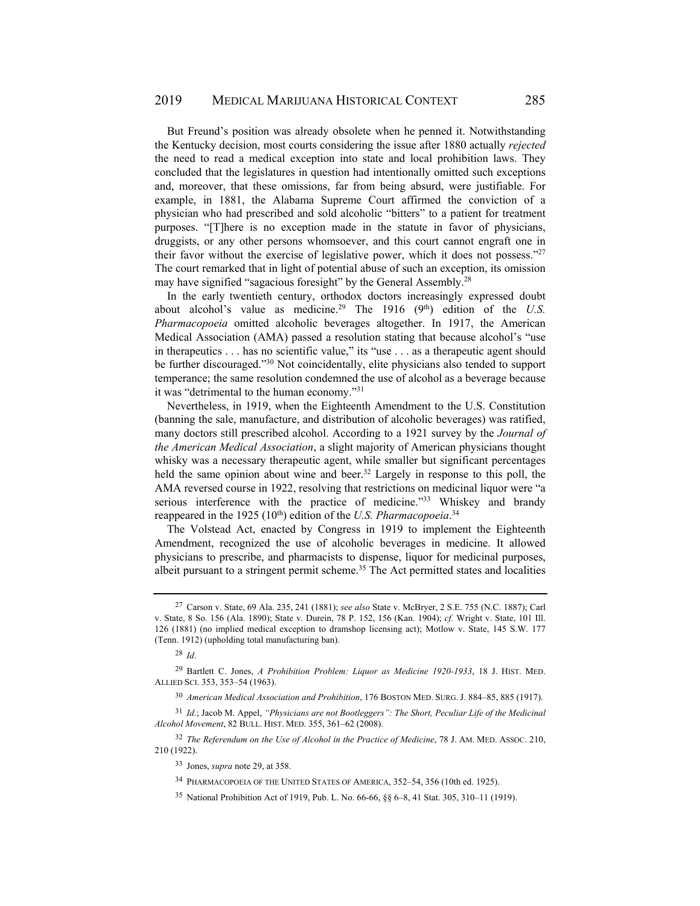But Freund's position was already obsolete when he penned it. Notwithstanding the Kentucky decision, most courts considering the issue after 1880 actually *rejected* the need to read a medical exception into state and local prohibition laws. They concluded that the legislatures in question had intentionally omitted such exceptions and, moreover, that these omissions, far from being absurd, were justifiable. For example, in 1881, the Alabama Supreme Court affirmed the conviction of a physician who had prescribed and sold alcoholic "bitters" to a patient for treatment purposes. "[T]here is no exception made in the statute in favor of physicians, druggists, or any other persons whomsoever, and this court cannot engraft one in their favor without the exercise of legislative power, which it does not possess."27 The court remarked that in light of potential abuse of such an exception, its omission may have signified "sagacious foresight" by the General Assembly.28

In the early twentieth century, orthodox doctors increasingly expressed doubt about alcohol's value as medicine.<sup>29</sup> The 1916 (9<sup>th</sup>) edition of the *U.S. Pharmacopoeia* omitted alcoholic beverages altogether. In 1917, the American Medical Association (AMA) passed a resolution stating that because alcohol's "use in therapeutics . . . has no scientific value," its "use . . . as a therapeutic agent should be further discouraged."<sup>30</sup> Not coincidentally, elite physicians also tended to support temperance; the same resolution condemned the use of alcohol as a beverage because it was "detrimental to the human economy."31

Nevertheless, in 1919, when the Eighteenth Amendment to the U.S. Constitution (banning the sale, manufacture, and distribution of alcoholic beverages) was ratified, many doctors still prescribed alcohol. According to a 1921 survey by the *Journal of the American Medical Association*, a slight majority of American physicians thought whisky was a necessary therapeutic agent, while smaller but significant percentages held the same opinion about wine and beer.<sup>32</sup> Largely in response to this poll, the AMA reversed course in 1922, resolving that restrictions on medicinal liquor were "a serious interference with the practice of medicine."33 Whiskey and brandy reappeared in the 1925 (10<sup>th</sup>) edition of the *U.S. Pharmacopoeia*.<sup>34</sup>

The Volstead Act, enacted by Congress in 1919 to implement the Eighteenth Amendment, recognized the use of alcoholic beverages in medicine. It allowed physicians to prescribe, and pharmacists to dispense, liquor for medicinal purposes, albeit pursuant to a stringent permit scheme.<sup>35</sup> The Act permitted states and localities

<sup>27</sup> Carson v. State, 69 Ala. 235, 241 (1881); *see also* State v. McBryer, 2 S.E. 755 (N.C. 1887); Carl v. State, 8 So. 156 (Ala. 1890); State v. Durein, 78 P. 152, 156 (Kan. 1904); *cf.* Wright v. State, 101 Ill. 126 (1881) (no implied medical exception to dramshop licensing act); Motlow v. State, 145 S.W. 177 (Tenn. 1912) (upholding total manufacturing ban).

<sup>28</sup> *Id*.

<sup>29</sup> Bartlett C. Jones, *A Prohibition Problem: Liquor as Medicine 1920-1933*, 18 J. HIST. MED. ALLIED SCI. 353, 353–54 (1963).

<sup>30</sup> *American Medical Association and Prohibition*, 176 BOSTON MED. SURG. J. 884–85, 885 (1917).

<sup>31</sup> *Id.*; Jacob M. Appel, *"Physicians are not Bootleggers": The Short, Peculiar Life of the Medicinal Alcohol Movement*, 82 BULL. HIST. MED. 355, 361–62 (2008).

<sup>32</sup> *The Referendum on the Use of Alcohol in the Practice of Medicine*, 78 J. AM. MED. ASSOC. 210, 210 (1922).

<sup>33</sup> Jones, *supra* note 29, at 358.

<sup>34</sup> PHARMACOPOEIA OF THE UNITED STATES OF AMERICA, 352–54, 356 (10th ed. 1925).

<sup>35</sup> National Prohibition Act of 1919, Pub. L. No. 66-66, §§ 6–8, 41 Stat. 305, 310–11 (1919).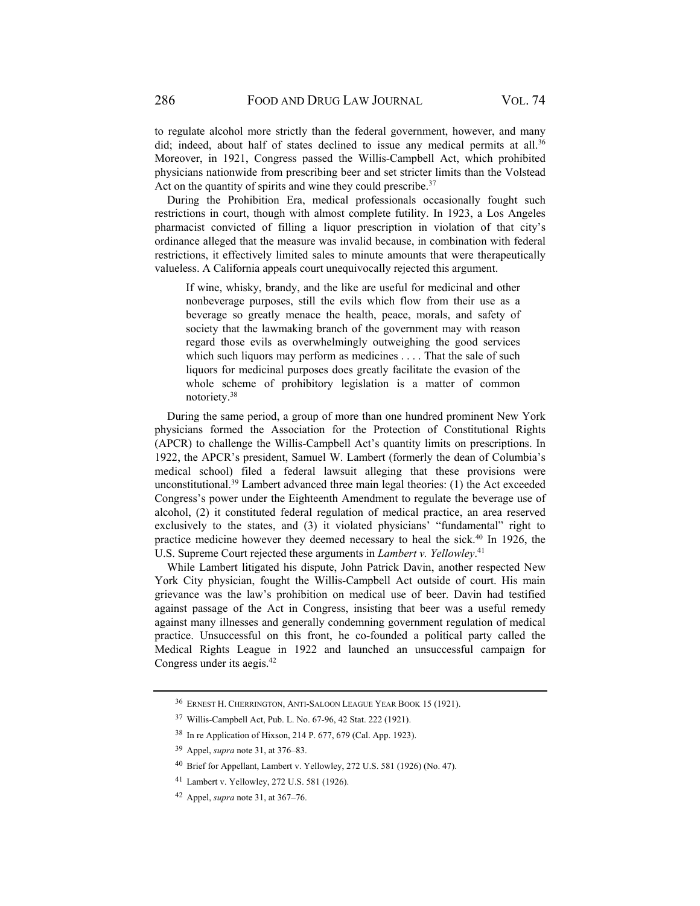to regulate alcohol more strictly than the federal government, however, and many did; indeed, about half of states declined to issue any medical permits at all.<sup>36</sup> Moreover, in 1921, Congress passed the Willis-Campbell Act, which prohibited physicians nationwide from prescribing beer and set stricter limits than the Volstead Act on the quantity of spirits and wine they could prescribe.<sup>37</sup>

During the Prohibition Era, medical professionals occasionally fought such restrictions in court, though with almost complete futility. In 1923, a Los Angeles pharmacist convicted of filling a liquor prescription in violation of that city's ordinance alleged that the measure was invalid because, in combination with federal restrictions, it effectively limited sales to minute amounts that were therapeutically valueless. A California appeals court unequivocally rejected this argument.

If wine, whisky, brandy, and the like are useful for medicinal and other nonbeverage purposes, still the evils which flow from their use as a beverage so greatly menace the health, peace, morals, and safety of society that the lawmaking branch of the government may with reason regard those evils as overwhelmingly outweighing the good services which such liquors may perform as medicines . . . . That the sale of such liquors for medicinal purposes does greatly facilitate the evasion of the whole scheme of prohibitory legislation is a matter of common notoriety.38

During the same period, a group of more than one hundred prominent New York physicians formed the Association for the Protection of Constitutional Rights (APCR) to challenge the Willis-Campbell Act's quantity limits on prescriptions. In 1922, the APCR's president, Samuel W. Lambert (formerly the dean of Columbia's medical school) filed a federal lawsuit alleging that these provisions were unconstitutional. $39$  Lambert advanced three main legal theories: (1) the Act exceeded Congress's power under the Eighteenth Amendment to regulate the beverage use of alcohol, (2) it constituted federal regulation of medical practice, an area reserved exclusively to the states, and (3) it violated physicians' "fundamental" right to practice medicine however they deemed necessary to heal the sick.<sup>40</sup> In 1926, the U.S. Supreme Court rejected these arguments in *Lambert v. Yellowley*. 41

While Lambert litigated his dispute, John Patrick Davin, another respected New York City physician, fought the Willis-Campbell Act outside of court. His main grievance was the law's prohibition on medical use of beer. Davin had testified against passage of the Act in Congress, insisting that beer was a useful remedy against many illnesses and generally condemning government regulation of medical practice. Unsuccessful on this front, he co-founded a political party called the Medical Rights League in 1922 and launched an unsuccessful campaign for Congress under its aegis.42

<sup>36</sup> ERNEST H. CHERRINGTON, ANTI-SALOON LEAGUE YEAR BOOK 15 (1921).

<sup>37</sup> Willis-Campbell Act, Pub. L. No. 67-96, 42 Stat. 222 (1921).

<sup>38</sup> In re Application of Hixson, 214 P. 677, 679 (Cal. App. 1923).

<sup>39</sup> Appel, *supra* note 31, at 376–83.

<sup>40</sup> Brief for Appellant, Lambert v. Yellowley, 272 U.S. 581 (1926) (No. 47).

<sup>41</sup> Lambert v. Yellowley, 272 U.S. 581 (1926).

<sup>42</sup> Appel, *supra* note 31, at 367–76.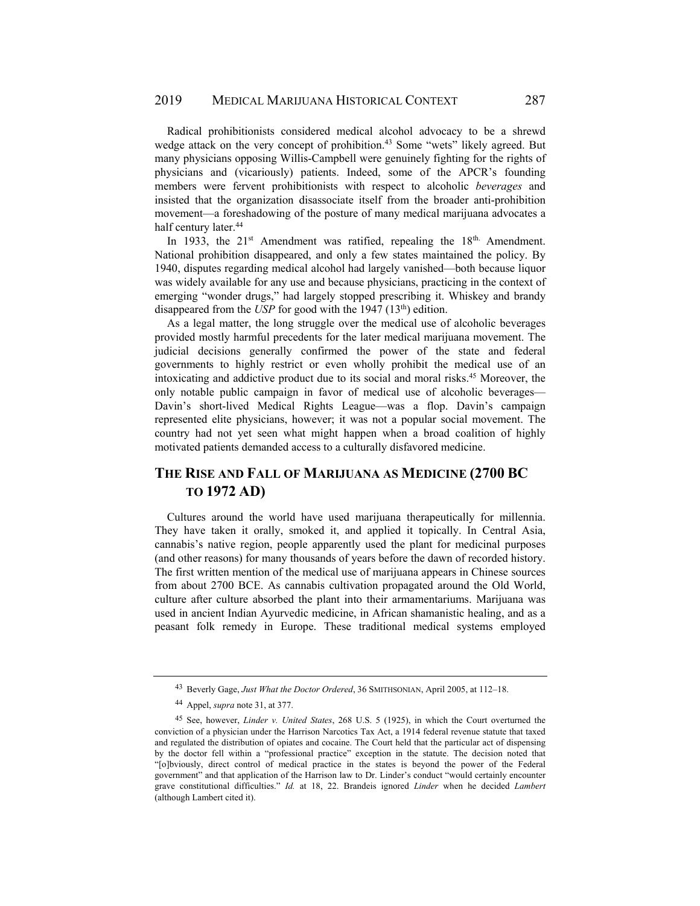Radical prohibitionists considered medical alcohol advocacy to be a shrewd wedge attack on the very concept of prohibition.<sup>43</sup> Some "wets" likely agreed. But many physicians opposing Willis-Campbell were genuinely fighting for the rights of physicians and (vicariously) patients. Indeed, some of the APCR's founding members were fervent prohibitionists with respect to alcoholic *beverages* and insisted that the organization disassociate itself from the broader anti-prohibition movement—a foreshadowing of the posture of many medical marijuana advocates a half century later.<sup>44</sup>

In 1933, the  $21^{st}$  Amendment was ratified, repealing the  $18^{th}$  Amendment. National prohibition disappeared, and only a few states maintained the policy. By 1940, disputes regarding medical alcohol had largely vanished—both because liquor was widely available for any use and because physicians, practicing in the context of emerging "wonder drugs," had largely stopped prescribing it. Whiskey and brandy disappeared from the *USP* for good with the 1947 (13<sup>th</sup>) edition.

As a legal matter, the long struggle over the medical use of alcoholic beverages provided mostly harmful precedents for the later medical marijuana movement. The judicial decisions generally confirmed the power of the state and federal governments to highly restrict or even wholly prohibit the medical use of an intoxicating and addictive product due to its social and moral risks.<sup>45</sup> Moreover, the only notable public campaign in favor of medical use of alcoholic beverages— Davin's short-lived Medical Rights League—was a flop. Davin's campaign represented elite physicians, however; it was not a popular social movement. The country had not yet seen what might happen when a broad coalition of highly motivated patients demanded access to a culturally disfavored medicine.

# **THE RISE AND FALL OF MARIJUANA AS MEDICINE (2700 BC TO 1972 AD)**

Cultures around the world have used marijuana therapeutically for millennia. They have taken it orally, smoked it, and applied it topically. In Central Asia, cannabis's native region, people apparently used the plant for medicinal purposes (and other reasons) for many thousands of years before the dawn of recorded history. The first written mention of the medical use of marijuana appears in Chinese sources from about 2700 BCE. As cannabis cultivation propagated around the Old World, culture after culture absorbed the plant into their armamentariums. Marijuana was used in ancient Indian Ayurvedic medicine, in African shamanistic healing, and as a peasant folk remedy in Europe. These traditional medical systems employed

<sup>43</sup> Beverly Gage, *Just What the Doctor Ordered*, 36 SMITHSONIAN, April 2005, at 112–18.

<sup>44</sup> Appel, *supra* note 31, at 377.

<sup>45</sup> See, however, *Linder v. United States*, 268 U.S. 5 (1925), in which the Court overturned the conviction of a physician under the Harrison Narcotics Tax Act, a 1914 federal revenue statute that taxed and regulated the distribution of opiates and cocaine. The Court held that the particular act of dispensing by the doctor fell within a "professional practice" exception in the statute. The decision noted that "[o]bviously, direct control of medical practice in the states is beyond the power of the Federal government" and that application of the Harrison law to Dr. Linder's conduct "would certainly encounter grave constitutional difficulties." *Id.* at 18, 22. Brandeis ignored *Linder* when he decided *Lambert* (although Lambert cited it).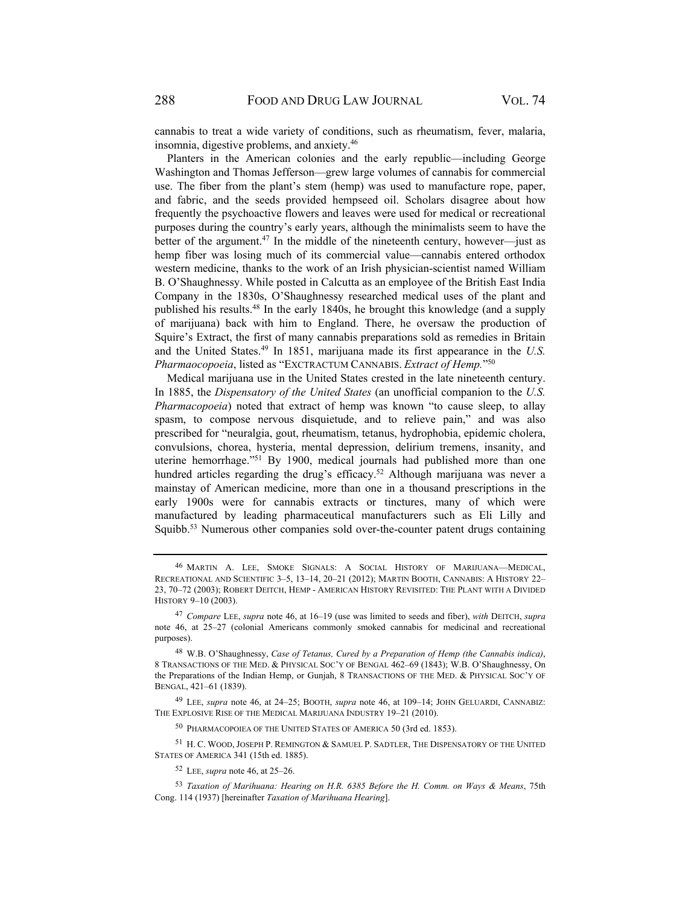cannabis to treat a wide variety of conditions, such as rheumatism, fever, malaria, insomnia, digestive problems, and anxiety.46

Planters in the American colonies and the early republic—including George Washington and Thomas Jefferson—grew large volumes of cannabis for commercial use. The fiber from the plant's stem (hemp) was used to manufacture rope, paper, and fabric, and the seeds provided hempseed oil. Scholars disagree about how frequently the psychoactive flowers and leaves were used for medical or recreational purposes during the country's early years, although the minimalists seem to have the better of the argument.<sup>47</sup> In the middle of the nineteenth century, however—just as hemp fiber was losing much of its commercial value—cannabis entered orthodox western medicine, thanks to the work of an Irish physician-scientist named William B. O'Shaughnessy. While posted in Calcutta as an employee of the British East India Company in the 1830s, O'Shaughnessy researched medical uses of the plant and published his results.48 In the early 1840s, he brought this knowledge (and a supply of marijuana) back with him to England. There, he oversaw the production of Squire's Extract, the first of many cannabis preparations sold as remedies in Britain and the United States.49 In 1851, marijuana made its first appearance in the *U.S. Pharmaocopoeia*, listed as "EXCTRACTUM CANNABIS. *Extract of Hemp.*"50

Medical marijuana use in the United States crested in the late nineteenth century. In 1885, the *Dispensatory of the United States* (an unofficial companion to the *U.S. Pharmacopoeia*) noted that extract of hemp was known "to cause sleep, to allay spasm, to compose nervous disquietude, and to relieve pain," and was also prescribed for "neuralgia, gout, rheumatism, tetanus, hydrophobia, epidemic cholera, convulsions, chorea, hysteria, mental depression, delirium tremens, insanity, and uterine hemorrhage."51 By 1900, medical journals had published more than one hundred articles regarding the drug's efficacy.<sup>52</sup> Although marijuana was never a mainstay of American medicine, more than one in a thousand prescriptions in the early 1900s were for cannabis extracts or tinctures, many of which were manufactured by leading pharmaceutical manufacturers such as Eli Lilly and Squibb.<sup>53</sup> Numerous other companies sold over-the-counter patent drugs containing

50 PHARMACOPOIEA OF THE UNITED STATES OF AMERICA 50 (3rd ed. 1853).

51 H. C. WOOD, JOSEPH P. REMINGTON & SAMUEL P. SADTLER, THE DISPENSATORY OF THE UNITED STATES OF AMERICA 341 (15th ed. 1885).

52 LEE, *supra* note 46, at 25–26.

<sup>53</sup> *Taxation of Marihuana: Hearing on H.R. 6385 Before the H. Comm. on Ways & Means*, 75th Cong. 114 (1937) [hereinafter *Taxation of Marihuana Hearing*].

<sup>46</sup> MARTIN A. LEE, SMOKE SIGNALS: A SOCIAL HISTORY OF MARIJUANA—MEDICAL, RECREATIONAL AND SCIENTIFIC 3–5, 13–14, 20–21 (2012); MARTIN BOOTH, CANNABIS: A HISTORY 22– 23, 70–72 (2003); ROBERT DEITCH, HEMP - AMERICAN HISTORY REVISITED: THE PLANT WITH A DIVIDED HISTORY 9–10 (2003).

<sup>47</sup> *Compare* LEE, *supra* note 46, at 16–19 (use was limited to seeds and fiber), *with* DEITCH, *supra* note 46, at 25–27 (colonial Americans commonly smoked cannabis for medicinal and recreational purposes).

<sup>48</sup> W.B. O'Shaughnessy, *Case of Tetanus, Cured by a Preparation of Hemp (the Cannabis indica)*, 8 TRANSACTIONS OF THE MED. & PHYSICAL SOC'Y OF BENGAL 462–69 (1843); W.B. O'Shaughnessy, On the Preparations of the Indian Hemp, or Gunjah, 8 TRANSACTIONS OF THE MED. & PHYSICAL SOC'Y OF BENGAL, 421–61 (1839).

<sup>49</sup> LEE, *supra* note 46, at 24–25; BOOTH, *supra* note 46, at 109–14; JOHN GELUARDI, CANNABIZ: THE EXPLOSIVE RISE OF THE MEDICAL MARIJUANA INDUSTRY 19–21 (2010).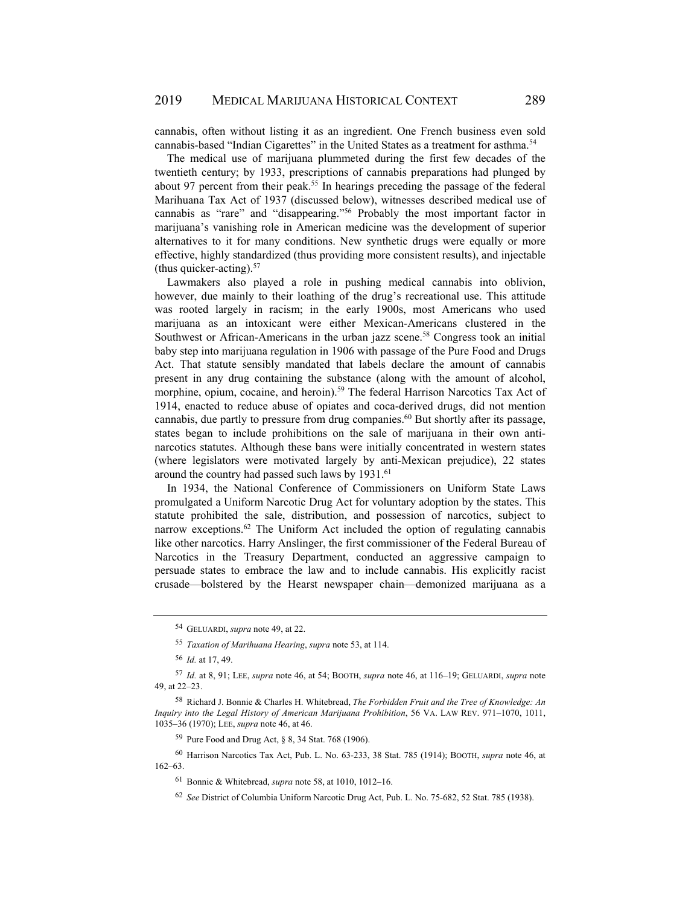cannabis, often without listing it as an ingredient. One French business even sold cannabis-based "Indian Cigarettes" in the United States as a treatment for asthma.<sup>54</sup>

The medical use of marijuana plummeted during the first few decades of the twentieth century; by 1933, prescriptions of cannabis preparations had plunged by about 97 percent from their peak.<sup>55</sup> In hearings preceding the passage of the federal Marihuana Tax Act of 1937 (discussed below), witnesses described medical use of cannabis as "rare" and "disappearing."56 Probably the most important factor in marijuana's vanishing role in American medicine was the development of superior alternatives to it for many conditions. New synthetic drugs were equally or more effective, highly standardized (thus providing more consistent results), and injectable (thus quicker-acting). $57$ 

Lawmakers also played a role in pushing medical cannabis into oblivion, however, due mainly to their loathing of the drug's recreational use. This attitude was rooted largely in racism; in the early 1900s, most Americans who used marijuana as an intoxicant were either Mexican-Americans clustered in the Southwest or African-Americans in the urban jazz scene.<sup>58</sup> Congress took an initial baby step into marijuana regulation in 1906 with passage of the Pure Food and Drugs Act. That statute sensibly mandated that labels declare the amount of cannabis present in any drug containing the substance (along with the amount of alcohol, morphine, opium, cocaine, and heroin).<sup>59</sup> The federal Harrison Narcotics Tax Act of 1914, enacted to reduce abuse of opiates and coca-derived drugs, did not mention cannabis, due partly to pressure from drug companies.<sup>60</sup> But shortly after its passage, states began to include prohibitions on the sale of marijuana in their own antinarcotics statutes. Although these bans were initially concentrated in western states (where legislators were motivated largely by anti-Mexican prejudice), 22 states around the country had passed such laws by 1931.<sup>61</sup>

In 1934, the National Conference of Commissioners on Uniform State Laws promulgated a Uniform Narcotic Drug Act for voluntary adoption by the states. This statute prohibited the sale, distribution, and possession of narcotics, subject to narrow exceptions.<sup>62</sup> The Uniform Act included the option of regulating cannabis like other narcotics. Harry Anslinger, the first commissioner of the Federal Bureau of Narcotics in the Treasury Department, conducted an aggressive campaign to persuade states to embrace the law and to include cannabis. His explicitly racist crusade—bolstered by the Hearst newspaper chain—demonized marijuana as a

59 Pure Food and Drug Act, § 8, 34 Stat. 768 (1906).

<sup>54</sup> GELUARDI, *supra* note 49, at 22.

<sup>55</sup> *Taxation of Marihuana Hearing*, *supra* note 53, at 114.

<sup>56</sup> *Id.* at 17, 49.

<sup>57</sup> *Id.* at 8, 91; LEE, *supra* note 46, at 54; BOOTH, *supra* note 46, at 116–19; GELUARDI, *supra* note 49, at 22–23.

<sup>58</sup> Richard J. Bonnie & Charles H. Whitebread, *The Forbidden Fruit and the Tree of Knowledge: An Inquiry into the Legal History of American Marijuana Prohibition*, 56 VA. LAW REV. 971–1070, 1011, 1035–36 (1970); LEE, *supra* note 46, at 46.

<sup>60</sup> Harrison Narcotics Tax Act, Pub. L. No. 63-233, 38 Stat. 785 (1914); BOOTH, *supra* note 46, at 162–63.

<sup>61</sup> Bonnie & Whitebread, *supra* note 58, at 1010, 1012–16.

<sup>62</sup> *See* District of Columbia Uniform Narcotic Drug Act, Pub. L. No. 75-682, 52 Stat. 785 (1938).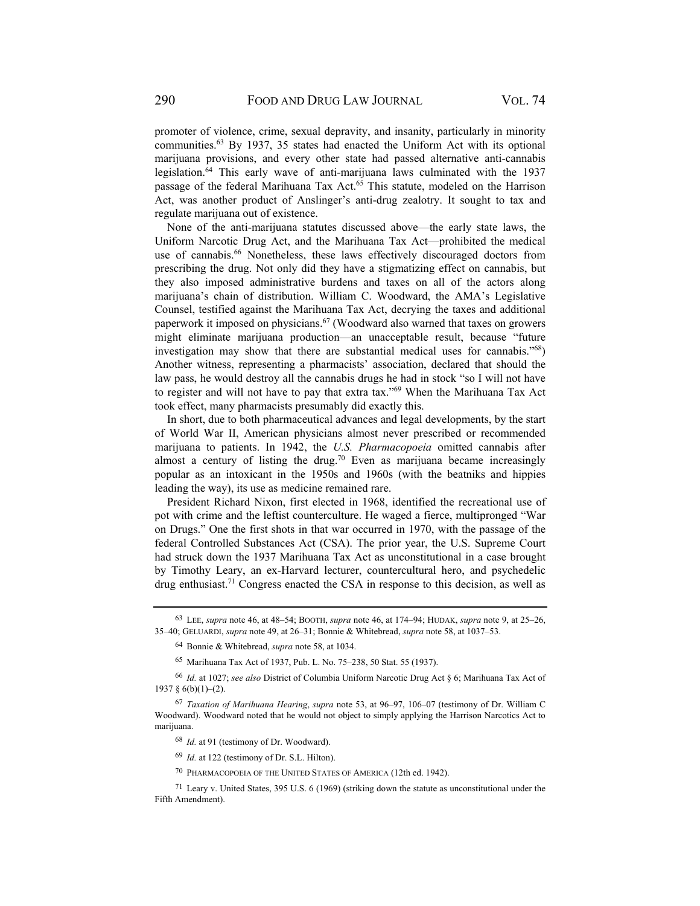promoter of violence, crime, sexual depravity, and insanity, particularly in minority communities.63 By 1937, 35 states had enacted the Uniform Act with its optional marijuana provisions, and every other state had passed alternative anti-cannabis legislation.64 This early wave of anti-marijuana laws culminated with the 1937 passage of the federal Marihuana Tax Act.<sup>65</sup> This statute, modeled on the Harrison Act, was another product of Anslinger's anti-drug zealotry. It sought to tax and regulate marijuana out of existence.

None of the anti-marijuana statutes discussed above—the early state laws, the Uniform Narcotic Drug Act, and the Marihuana Tax Act—prohibited the medical use of cannabis.<sup>66</sup> Nonetheless, these laws effectively discouraged doctors from prescribing the drug. Not only did they have a stigmatizing effect on cannabis, but they also imposed administrative burdens and taxes on all of the actors along marijuana's chain of distribution. William C. Woodward, the AMA's Legislative Counsel, testified against the Marihuana Tax Act, decrying the taxes and additional paperwork it imposed on physicians.67 (Woodward also warned that taxes on growers might eliminate marijuana production—an unacceptable result, because "future investigation may show that there are substantial medical uses for cannabis."68) Another witness, representing a pharmacists' association, declared that should the law pass, he would destroy all the cannabis drugs he had in stock "so I will not have to register and will not have to pay that extra tax."69 When the Marihuana Tax Act took effect, many pharmacists presumably did exactly this.

In short, due to both pharmaceutical advances and legal developments, by the start of World War II, American physicians almost never prescribed or recommended marijuana to patients. In 1942, the *U.S. Pharmacopoeia* omitted cannabis after almost a century of listing the drug.<sup>70</sup> Even as marijuana became increasingly popular as an intoxicant in the 1950s and 1960s (with the beatniks and hippies leading the way), its use as medicine remained rare.

President Richard Nixon, first elected in 1968, identified the recreational use of pot with crime and the leftist counterculture. He waged a fierce, multipronged "War on Drugs." One the first shots in that war occurred in 1970, with the passage of the federal Controlled Substances Act (CSA). The prior year, the U.S. Supreme Court had struck down the 1937 Marihuana Tax Act as unconstitutional in a case brought by Timothy Leary, an ex-Harvard lecturer, countercultural hero, and psychedelic drug enthusiast.<sup>71</sup> Congress enacted the CSA in response to this decision, as well as

65 Marihuana Tax Act of 1937, Pub. L. No. 75–238, 50 Stat. 55 (1937).

70 PHARMACOPOEIA OF THE UNITED STATES OF AMERICA (12th ed. 1942).

<sup>63</sup> LEE, *supra* note 46, at 48–54; BOOTH, *supra* note 46, at 174–94; HUDAK, *supra* note 9, at 25–26, 35–40; GELUARDI, *supra* note 49, at 26–31; Bonnie & Whitebread, *supra* note 58, at 1037–53.

<sup>64</sup> Bonnie & Whitebread, *supra* note 58, at 1034.

<sup>66</sup> *Id.* at 1027; *see also* District of Columbia Uniform Narcotic Drug Act § 6; Marihuana Tax Act of 1937 § 6(b)(1)–(2).

<sup>67</sup> *Taxation of Marihuana Hearing*, *supra* note 53, at 96–97, 106–07 (testimony of Dr. William C Woodward). Woodward noted that he would not object to simply applying the Harrison Narcotics Act to marijuana.

<sup>68</sup> *Id.* at 91 (testimony of Dr. Woodward).

<sup>69</sup> *Id.* at 122 (testimony of Dr. S.L. Hilton).

<sup>71</sup> Leary v. United States, 395 U.S. 6 (1969) (striking down the statute as unconstitutional under the Fifth Amendment).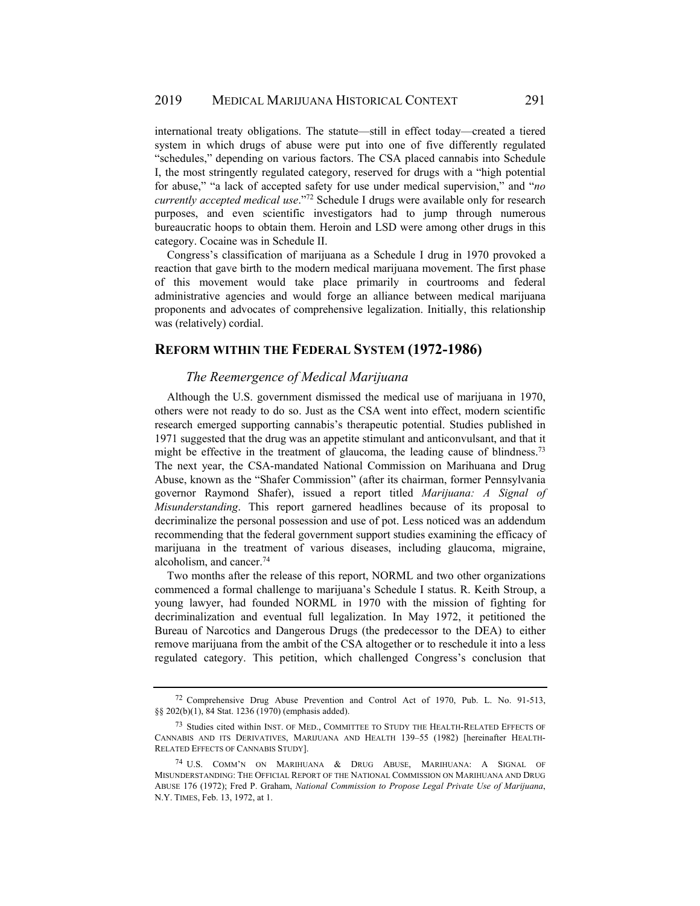international treaty obligations. The statute—still in effect today—created a tiered system in which drugs of abuse were put into one of five differently regulated "schedules," depending on various factors. The CSA placed cannabis into Schedule I, the most stringently regulated category, reserved for drugs with a "high potential for abuse," "a lack of accepted safety for use under medical supervision," and "*no currently accepted medical use*."<sup>72</sup> Schedule I drugs were available only for research purposes, and even scientific investigators had to jump through numerous bureaucratic hoops to obtain them. Heroin and LSD were among other drugs in this category. Cocaine was in Schedule II.

Congress's classification of marijuana as a Schedule I drug in 1970 provoked a reaction that gave birth to the modern medical marijuana movement. The first phase of this movement would take place primarily in courtrooms and federal administrative agencies and would forge an alliance between medical marijuana proponents and advocates of comprehensive legalization. Initially, this relationship was (relatively) cordial.

#### **REFORM WITHIN THE FEDERAL SYSTEM (1972-1986)**

#### *The Reemergence of Medical Marijuana*

Although the U.S. government dismissed the medical use of marijuana in 1970, others were not ready to do so. Just as the CSA went into effect, modern scientific research emerged supporting cannabis's therapeutic potential. Studies published in 1971 suggested that the drug was an appetite stimulant and anticonvulsant, and that it might be effective in the treatment of glaucoma, the leading cause of blindness.<sup>73</sup> The next year, the CSA-mandated National Commission on Marihuana and Drug Abuse, known as the "Shafer Commission" (after its chairman, former Pennsylvania governor Raymond Shafer), issued a report titled *Marijuana: A Signal of Misunderstanding*. This report garnered headlines because of its proposal to decriminalize the personal possession and use of pot. Less noticed was an addendum recommending that the federal government support studies examining the efficacy of marijuana in the treatment of various diseases, including glaucoma, migraine, alcoholism, and cancer.74

Two months after the release of this report, NORML and two other organizations commenced a formal challenge to marijuana's Schedule I status. R. Keith Stroup, a young lawyer, had founded NORML in 1970 with the mission of fighting for decriminalization and eventual full legalization. In May 1972, it petitioned the Bureau of Narcotics and Dangerous Drugs (the predecessor to the DEA) to either remove marijuana from the ambit of the CSA altogether or to reschedule it into a less regulated category. This petition, which challenged Congress's conclusion that

<sup>72</sup> Comprehensive Drug Abuse Prevention and Control Act of 1970, Pub. L. No. 91-513, §§ 202(b)(1), 84 Stat. 1236 (1970) (emphasis added).

<sup>73</sup> Studies cited within INST. OF MED., COMMITTEE TO STUDY THE HEALTH-RELATED EFFECTS OF CANNABIS AND ITS DERIVATIVES, MARIJUANA AND HEALTH 139–55 (1982) [hereinafter HEALTH-RELATED EFFECTS OF CANNABIS STUDY].

<sup>74</sup> U.S. COMM'N ON MARIHUANA & DRUG ABUSE, MARIHUANA: A SIGNAL OF MISUNDERSTANDING: THE OFFICIAL REPORT OF THE NATIONAL COMMISSION ON MARIHUANA AND DRUG ABUSE 176 (1972); Fred P. Graham, *National Commission to Propose Legal Private Use of Marijuana*, N.Y. TIMES, Feb. 13, 1972, at 1.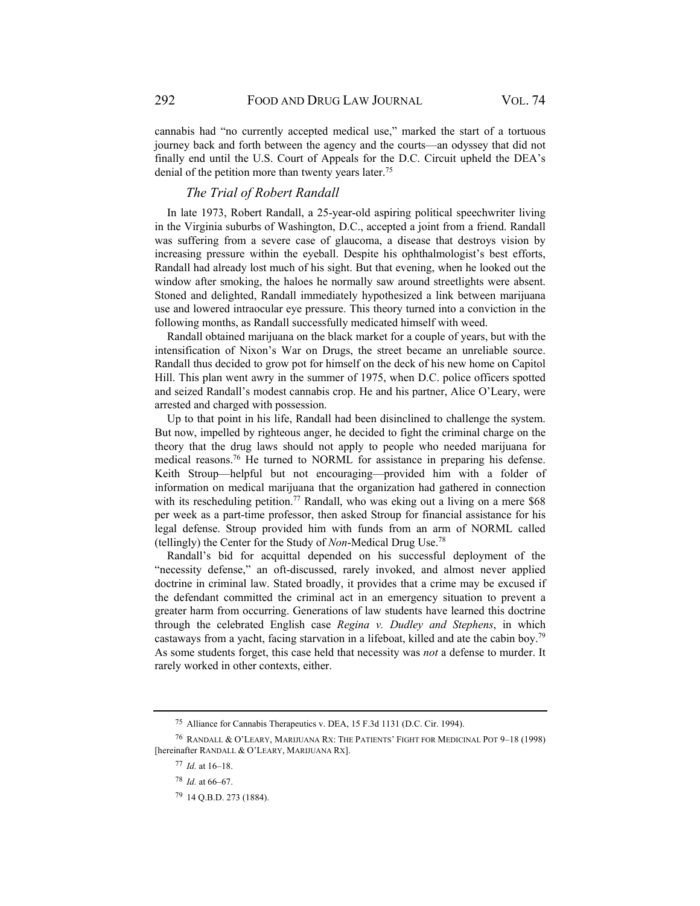cannabis had "no currently accepted medical use," marked the start of a tortuous journey back and forth between the agency and the courts—an odyssey that did not finally end until the U.S. Court of Appeals for the D.C. Circuit upheld the DEA's denial of the petition more than twenty years later.<sup>75</sup>

#### *The Trial of Robert Randall*

In late 1973, Robert Randall, a 25-year-old aspiring political speechwriter living in the Virginia suburbs of Washington, D.C., accepted a joint from a friend. Randall was suffering from a severe case of glaucoma, a disease that destroys vision by increasing pressure within the eyeball. Despite his ophthalmologist's best efforts, Randall had already lost much of his sight. But that evening, when he looked out the window after smoking, the haloes he normally saw around streetlights were absent. Stoned and delighted, Randall immediately hypothesized a link between marijuana use and lowered intraocular eye pressure. This theory turned into a conviction in the following months, as Randall successfully medicated himself with weed.

Randall obtained marijuana on the black market for a couple of years, but with the intensification of Nixon's War on Drugs, the street became an unreliable source. Randall thus decided to grow pot for himself on the deck of his new home on Capitol Hill. This plan went awry in the summer of 1975, when D.C. police officers spotted and seized Randall's modest cannabis crop. He and his partner, Alice O'Leary, were arrested and charged with possession.

Up to that point in his life, Randall had been disinclined to challenge the system. But now, impelled by righteous anger, he decided to fight the criminal charge on the theory that the drug laws should not apply to people who needed marijuana for medical reasons.76 He turned to NORML for assistance in preparing his defense. Keith Stroup—helpful but not encouraging—provided him with a folder of information on medical marijuana that the organization had gathered in connection with its rescheduling petition.<sup>77</sup> Randall, who was eking out a living on a mere  $$68$ per week as a part-time professor, then asked Stroup for financial assistance for his legal defense. Stroup provided him with funds from an arm of NORML called (tellingly) the Center for the Study of *Non*-Medical Drug Use.78

Randall's bid for acquittal depended on his successful deployment of the "necessity defense," an oft-discussed, rarely invoked, and almost never applied doctrine in criminal law. Stated broadly, it provides that a crime may be excused if the defendant committed the criminal act in an emergency situation to prevent a greater harm from occurring. Generations of law students have learned this doctrine through the celebrated English case *Regina v. Dudley and Stephens*, in which castaways from a yacht, facing starvation in a lifeboat, killed and ate the cabin boy.79 As some students forget, this case held that necessity was *not* a defense to murder. It rarely worked in other contexts, either.

<sup>75</sup> Alliance for Cannabis Therapeutics v. DEA, 15 F.3d 1131 (D.C. Cir. 1994).

<sup>76</sup> RANDALL & O'LEARY, MARIJUANA RX: THE PATIENTS' FIGHT FOR MEDICINAL POT 9–18 (1998) [hereinafter RANDALL & O'LEARY, MARIJUANA RX].

<sup>77</sup> *Id.* at 16–18.

<sup>78</sup> *Id.* at 66–67.

<sup>79 14</sup> Q.B.D. 273 (1884).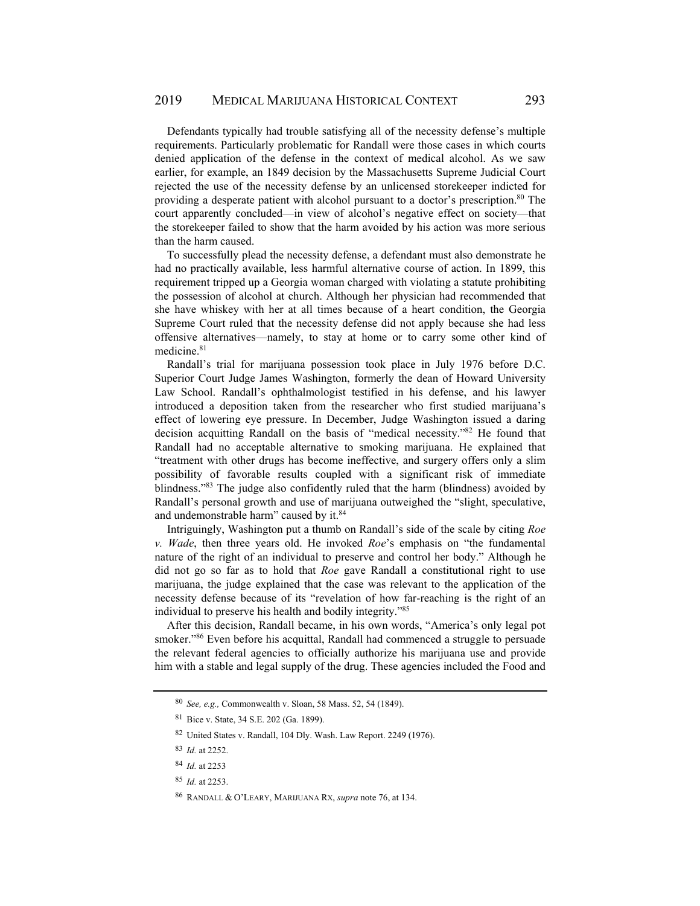Defendants typically had trouble satisfying all of the necessity defense's multiple requirements. Particularly problematic for Randall were those cases in which courts denied application of the defense in the context of medical alcohol. As we saw earlier, for example, an 1849 decision by the Massachusetts Supreme Judicial Court rejected the use of the necessity defense by an unlicensed storekeeper indicted for providing a desperate patient with alcohol pursuant to a doctor's prescription.80 The court apparently concluded—in view of alcohol's negative effect on society—that the storekeeper failed to show that the harm avoided by his action was more serious than the harm caused.

To successfully plead the necessity defense, a defendant must also demonstrate he had no practically available, less harmful alternative course of action. In 1899, this requirement tripped up a Georgia woman charged with violating a statute prohibiting the possession of alcohol at church. Although her physician had recommended that she have whiskey with her at all times because of a heart condition, the Georgia Supreme Court ruled that the necessity defense did not apply because she had less offensive alternatives—namely, to stay at home or to carry some other kind of medicine.<sup>81</sup>

Randall's trial for marijuana possession took place in July 1976 before D.C. Superior Court Judge James Washington, formerly the dean of Howard University Law School. Randall's ophthalmologist testified in his defense, and his lawyer introduced a deposition taken from the researcher who first studied marijuana's effect of lowering eye pressure. In December, Judge Washington issued a daring decision acquitting Randall on the basis of "medical necessity."82 He found that Randall had no acceptable alternative to smoking marijuana. He explained that "treatment with other drugs has become ineffective, and surgery offers only a slim possibility of favorable results coupled with a significant risk of immediate blindness."83 The judge also confidently ruled that the harm (blindness) avoided by Randall's personal growth and use of marijuana outweighed the "slight, speculative, and undemonstrable harm" caused by it.<sup>84</sup>

Intriguingly, Washington put a thumb on Randall's side of the scale by citing *Roe v. Wade*, then three years old. He invoked *Roe*'s emphasis on "the fundamental nature of the right of an individual to preserve and control her body." Although he did not go so far as to hold that *Roe* gave Randall a constitutional right to use marijuana, the judge explained that the case was relevant to the application of the necessity defense because of its "revelation of how far-reaching is the right of an individual to preserve his health and bodily integrity."85

After this decision, Randall became, in his own words, "America's only legal pot smoker."<sup>86</sup> Even before his acquittal, Randall had commenced a struggle to persuade the relevant federal agencies to officially authorize his marijuana use and provide him with a stable and legal supply of the drug. These agencies included the Food and

<sup>80</sup> *See, e.g.,* Commonwealth v. Sloan, 58 Mass. 52, 54 (1849).

<sup>81</sup> Bice v. State, 34 S.E. 202 (Ga. 1899).

<sup>82</sup> United States v. Randall, 104 Dly. Wash. Law Report. 2249 (1976).

<sup>83</sup> *Id.* at 2252.

<sup>84</sup> *Id.* at 2253

<sup>85</sup> *Id.* at 2253.

<sup>86</sup> RANDALL & O'LEARY, MARIJUANA RX, *supra* note 76, at 134.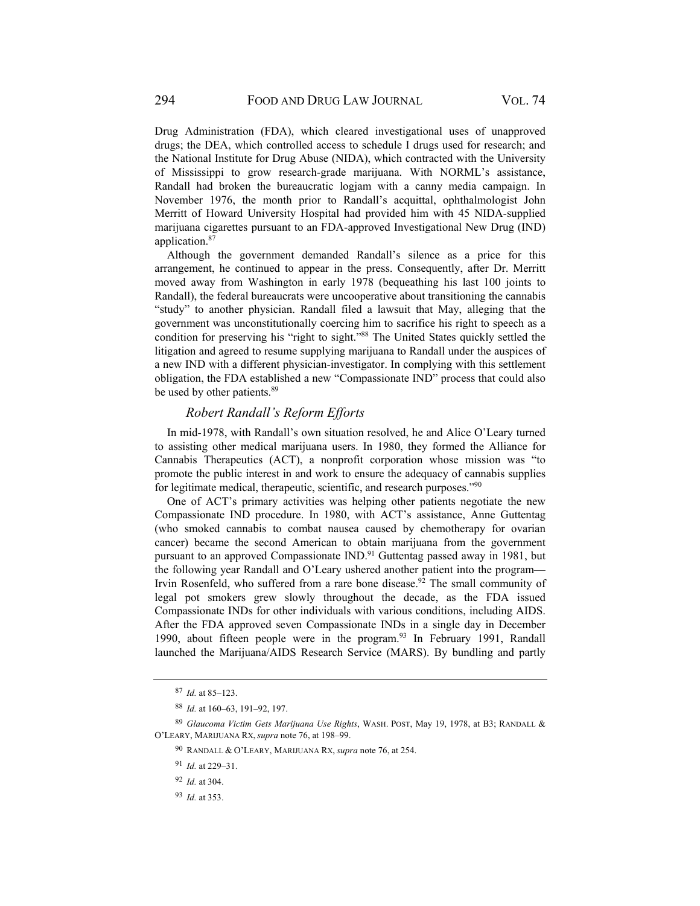Drug Administration (FDA), which cleared investigational uses of unapproved drugs; the DEA, which controlled access to schedule I drugs used for research; and the National Institute for Drug Abuse (NIDA), which contracted with the University of Mississippi to grow research-grade marijuana. With NORML's assistance, Randall had broken the bureaucratic logjam with a canny media campaign. In November 1976, the month prior to Randall's acquittal, ophthalmologist John Merritt of Howard University Hospital had provided him with 45 NIDA-supplied marijuana cigarettes pursuant to an FDA-approved Investigational New Drug (IND) application.87

Although the government demanded Randall's silence as a price for this arrangement, he continued to appear in the press. Consequently, after Dr. Merritt moved away from Washington in early 1978 (bequeathing his last 100 joints to Randall), the federal bureaucrats were uncooperative about transitioning the cannabis "study" to another physician. Randall filed a lawsuit that May, alleging that the government was unconstitutionally coercing him to sacrifice his right to speech as a condition for preserving his "right to sight."88 The United States quickly settled the litigation and agreed to resume supplying marijuana to Randall under the auspices of a new IND with a different physician-investigator. In complying with this settlement obligation, the FDA established a new "Compassionate IND" process that could also be used by other patients.<sup>89</sup>

## *Robert Randall's Reform Efforts*

In mid-1978, with Randall's own situation resolved, he and Alice O'Leary turned to assisting other medical marijuana users. In 1980, they formed the Alliance for Cannabis Therapeutics (ACT), a nonprofit corporation whose mission was "to promote the public interest in and work to ensure the adequacy of cannabis supplies for legitimate medical, therapeutic, scientific, and research purposes."90

One of ACT's primary activities was helping other patients negotiate the new Compassionate IND procedure. In 1980, with ACT's assistance, Anne Guttentag (who smoked cannabis to combat nausea caused by chemotherapy for ovarian cancer) became the second American to obtain marijuana from the government pursuant to an approved Compassionate IND.<sup>91</sup> Guttentag passed away in 1981, but the following year Randall and O'Leary ushered another patient into the program— Irvin Rosenfeld, who suffered from a rare bone disease.<sup>92</sup> The small community of legal pot smokers grew slowly throughout the decade, as the FDA issued Compassionate INDs for other individuals with various conditions, including AIDS. After the FDA approved seven Compassionate INDs in a single day in December 1990, about fifteen people were in the program.<sup>93</sup> In February 1991, Randall launched the Marijuana/AIDS Research Service (MARS). By bundling and partly

<sup>87</sup> *Id.* at 85–123.

<sup>88</sup> *Id.* at 160–63, 191–92, 197.

<sup>89</sup> *Glaucoma Victim Gets Marijuana Use Rights*, WASH. POST, May 19, 1978, at B3; RANDALL & O'LEARY, MARIJUANA RX, *supra* note 76, at 198–99.

<sup>90</sup> RANDALL & O'LEARY, MARIJUANA RX, *supra* note 76, at 254.

<sup>91</sup> *Id.* at 229–31.

<sup>92</sup> *Id.* at 304.

<sup>93</sup> *Id.* at 353.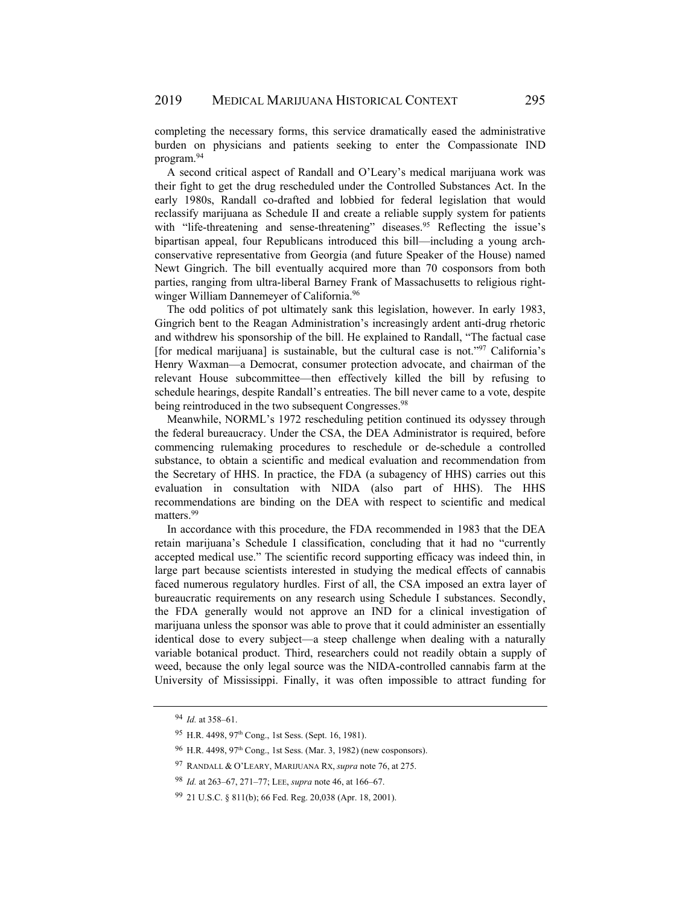completing the necessary forms, this service dramatically eased the administrative burden on physicians and patients seeking to enter the Compassionate IND program.94

A second critical aspect of Randall and O'Leary's medical marijuana work was their fight to get the drug rescheduled under the Controlled Substances Act. In the early 1980s, Randall co-drafted and lobbied for federal legislation that would reclassify marijuana as Schedule II and create a reliable supply system for patients with "life-threatening and sense-threatening" diseases.<sup>95</sup> Reflecting the issue's bipartisan appeal, four Republicans introduced this bill—including a young archconservative representative from Georgia (and future Speaker of the House) named Newt Gingrich. The bill eventually acquired more than 70 cosponsors from both parties, ranging from ultra-liberal Barney Frank of Massachusetts to religious rightwinger William Dannemeyer of California.<sup>96</sup>

The odd politics of pot ultimately sank this legislation, however. In early 1983, Gingrich bent to the Reagan Administration's increasingly ardent anti-drug rhetoric and withdrew his sponsorship of the bill. He explained to Randall, "The factual case [for medical marijuana] is sustainable, but the cultural case is not."<sup>97</sup> California's Henry Waxman—a Democrat, consumer protection advocate, and chairman of the relevant House subcommittee—then effectively killed the bill by refusing to schedule hearings, despite Randall's entreaties. The bill never came to a vote, despite being reintroduced in the two subsequent Congresses.<sup>98</sup>

Meanwhile, NORML's 1972 rescheduling petition continued its odyssey through the federal bureaucracy. Under the CSA, the DEA Administrator is required, before commencing rulemaking procedures to reschedule or de-schedule a controlled substance, to obtain a scientific and medical evaluation and recommendation from the Secretary of HHS. In practice, the FDA (a subagency of HHS) carries out this evaluation in consultation with NIDA (also part of HHS). The HHS recommendations are binding on the DEA with respect to scientific and medical matters.99

In accordance with this procedure, the FDA recommended in 1983 that the DEA retain marijuana's Schedule I classification, concluding that it had no "currently accepted medical use." The scientific record supporting efficacy was indeed thin, in large part because scientists interested in studying the medical effects of cannabis faced numerous regulatory hurdles. First of all, the CSA imposed an extra layer of bureaucratic requirements on any research using Schedule I substances. Secondly, the FDA generally would not approve an IND for a clinical investigation of marijuana unless the sponsor was able to prove that it could administer an essentially identical dose to every subject—a steep challenge when dealing with a naturally variable botanical product. Third, researchers could not readily obtain a supply of weed, because the only legal source was the NIDA-controlled cannabis farm at the University of Mississippi. Finally, it was often impossible to attract funding for

<sup>94</sup> *Id.* at 358–61.

<sup>95</sup> H.R. 4498, 97<sup>th</sup> Cong., 1st Sess. (Sept. 16, 1981).

<sup>96</sup> H.R. 4498, 97<sup>th</sup> Cong., 1st Sess. (Mar. 3, 1982) (new cosponsors).

<sup>97</sup> RANDALL & O'LEARY, MARIJUANA RX, *supra* note 76, at 275.

<sup>98</sup> *Id.* at 263–67, 271–77; LEE, *supra* note 46, at 166–67.

<sup>99 21</sup> U.S.C. § 811(b); 66 Fed. Reg. 20,038 (Apr. 18, 2001).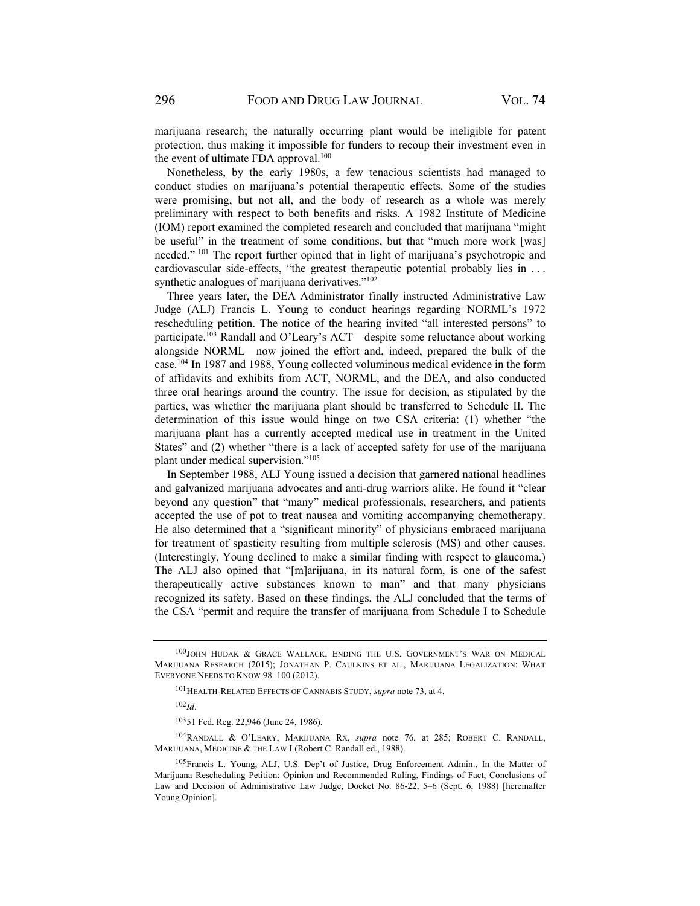marijuana research; the naturally occurring plant would be ineligible for patent protection, thus making it impossible for funders to recoup their investment even in the event of ultimate FDA approval.<sup>100</sup>

Nonetheless, by the early 1980s, a few tenacious scientists had managed to conduct studies on marijuana's potential therapeutic effects. Some of the studies were promising, but not all, and the body of research as a whole was merely preliminary with respect to both benefits and risks. A 1982 Institute of Medicine (IOM) report examined the completed research and concluded that marijuana "might be useful" in the treatment of some conditions, but that "much more work [was] needed." <sup>101</sup> The report further opined that in light of marijuana's psychotropic and cardiovascular side-effects, "the greatest therapeutic potential probably lies in . . . synthetic analogues of marijuana derivatives."<sup>102</sup>

Three years later, the DEA Administrator finally instructed Administrative Law Judge (ALJ) Francis L. Young to conduct hearings regarding NORML's 1972 rescheduling petition. The notice of the hearing invited "all interested persons" to participate.103 Randall and O'Leary's ACT—despite some reluctance about working alongside NORML—now joined the effort and, indeed, prepared the bulk of the case.104 In 1987 and 1988, Young collected voluminous medical evidence in the form of affidavits and exhibits from ACT, NORML, and the DEA, and also conducted three oral hearings around the country. The issue for decision, as stipulated by the parties, was whether the marijuana plant should be transferred to Schedule II. The determination of this issue would hinge on two CSA criteria: (1) whether "the marijuana plant has a currently accepted medical use in treatment in the United States" and (2) whether "there is a lack of accepted safety for use of the marijuana plant under medical supervision."105

In September 1988, ALJ Young issued a decision that garnered national headlines and galvanized marijuana advocates and anti-drug warriors alike. He found it "clear beyond any question" that "many" medical professionals, researchers, and patients accepted the use of pot to treat nausea and vomiting accompanying chemotherapy. He also determined that a "significant minority" of physicians embraced marijuana for treatment of spasticity resulting from multiple sclerosis (MS) and other causes. (Interestingly, Young declined to make a similar finding with respect to glaucoma.) The ALJ also opined that "[m]arijuana, in its natural form, is one of the safest therapeutically active substances known to man" and that many physicians recognized its safety. Based on these findings, the ALJ concluded that the terms of the CSA "permit and require the transfer of marijuana from Schedule I to Schedule

<sup>100</sup> JOHN HUDAK & GRACE WALLACK, ENDING THE U.S. GOVERNMENT'S WAR ON MEDICAL MARIJUANA RESEARCH (2015); JONATHAN P. CAULKINS ET AL., MARIJUANA LEGALIZATION: WHAT EVERYONE NEEDS TO KNOW 98–100 (2012).

<sup>101</sup> HEALTH-RELATED EFFECTS OF CANNABIS STUDY, *supra* note 73, at 4.

 $102$ *Id.* 

<sup>103 51</sup> Fed. Reg. 22,946 (June 24, 1986).

<sup>104</sup> RANDALL & O'LEARY, MARIJUANA RX, *supra* note 76, at 285; ROBERT C. RANDALL, MARIJUANA, MEDICINE & THE LAW I (Robert C. Randall ed., 1988).

<sup>105</sup> Francis L. Young, ALJ, U.S. Dep't of Justice, Drug Enforcement Admin., In the Matter of Marijuana Rescheduling Petition: Opinion and Recommended Ruling, Findings of Fact, Conclusions of Law and Decision of Administrative Law Judge, Docket No. 86-22, 5–6 (Sept. 6, 1988) [hereinafter Young Opinion].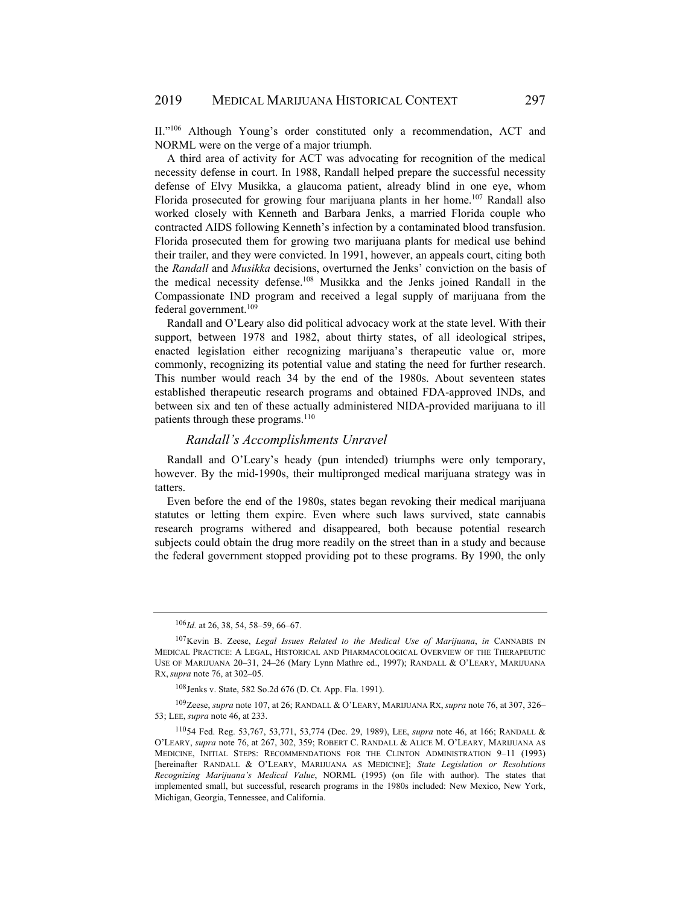II."106 Although Young's order constituted only a recommendation, ACT and NORML were on the verge of a major triumph.

A third area of activity for ACT was advocating for recognition of the medical necessity defense in court. In 1988, Randall helped prepare the successful necessity defense of Elvy Musikka, a glaucoma patient, already blind in one eye, whom Florida prosecuted for growing four marijuana plants in her home.107 Randall also worked closely with Kenneth and Barbara Jenks, a married Florida couple who contracted AIDS following Kenneth's infection by a contaminated blood transfusion. Florida prosecuted them for growing two marijuana plants for medical use behind their trailer, and they were convicted. In 1991, however, an appeals court, citing both the *Randall* and *Musikka* decisions, overturned the Jenks' conviction on the basis of the medical necessity defense.<sup>108</sup> Musikka and the Jenks joined Randall in the Compassionate IND program and received a legal supply of marijuana from the federal government.<sup>109</sup>

Randall and O'Leary also did political advocacy work at the state level. With their support, between 1978 and 1982, about thirty states, of all ideological stripes, enacted legislation either recognizing marijuana's therapeutic value or, more commonly, recognizing its potential value and stating the need for further research. This number would reach 34 by the end of the 1980s. About seventeen states established therapeutic research programs and obtained FDA-approved INDs, and between six and ten of these actually administered NIDA-provided marijuana to ill patients through these programs. $110$ 

# *Randall's Accomplishments Unravel*

Randall and O'Leary's heady (pun intended) triumphs were only temporary, however. By the mid-1990s, their multipronged medical marijuana strategy was in tatters.

Even before the end of the 1980s, states began revoking their medical marijuana statutes or letting them expire. Even where such laws survived, state cannabis research programs withered and disappeared, both because potential research subjects could obtain the drug more readily on the street than in a study and because the federal government stopped providing pot to these programs. By 1990, the only

109 Zeese, *supra* note 107, at 26; RANDALL & O'LEARY, MARIJUANA RX, *supra* note 76, at 307, 326– 53; LEE, *supra* note 46, at 233.

<sup>&</sup>lt;sup>106</sup>*Id.* at 26, 38, 54, 58–59, 66–67.

<sup>107</sup> Kevin B. Zeese, *Legal Issues Related to the Medical Use of Marijuana*, *in* CANNABIS IN MEDICAL PRACTICE: A LEGAL, HISTORICAL AND PHARMACOLOGICAL OVERVIEW OF THE THERAPEUTIC USE OF MARIJUANA 20–31, 24–26 (Mary Lynn Mathre ed., 1997); RANDALL & O'LEARY, MARIJUANA RX, *supra* note 76, at 302–05.

<sup>108</sup> Jenks v. State, 582 So.2d 676 (D. Ct. App. Fla. 1991).

<sup>110 54</sup> Fed. Reg. 53,767, 53,771, 53,774 (Dec. 29, 1989), LEE, *supra* note 46, at 166; RANDALL & O'LEARY, *supra* note 76, at 267, 302, 359; ROBERT C. RANDALL & ALICE M. O'LEARY, MARIJUANA AS MEDICINE, INITIAL STEPS: RECOMMENDATIONS FOR THE CLINTON ADMINISTRATION 9–11 (1993) [hereinafter RANDALL & O'LEARY, MARIJUANA AS MEDICINE]; *State Legislation or Resolutions Recognizing Marijuana's Medical Value*, NORML (1995) (on file with author). The states that implemented small, but successful, research programs in the 1980s included: New Mexico, New York, Michigan, Georgia, Tennessee, and California.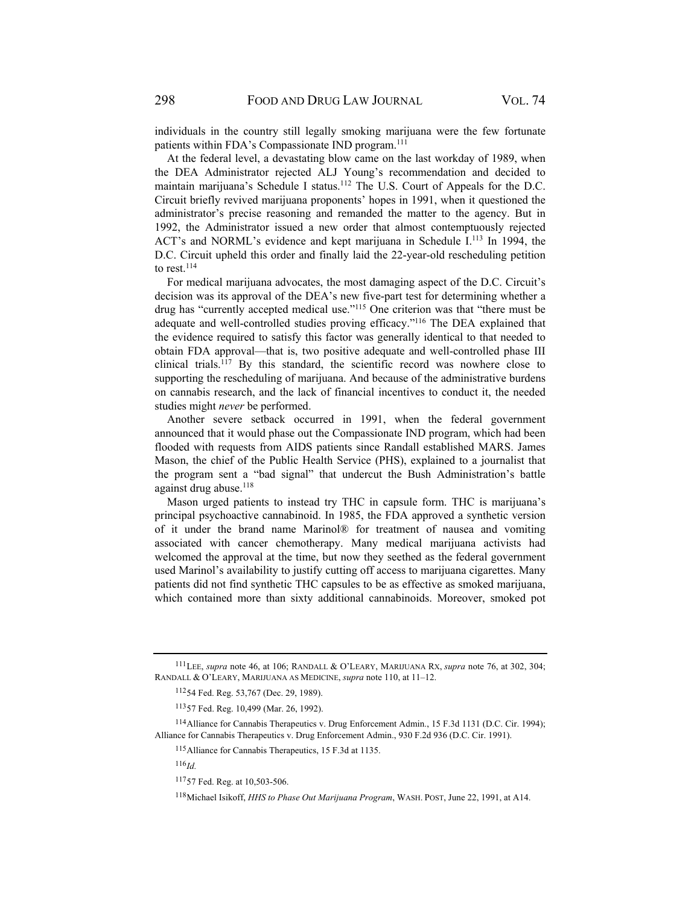individuals in the country still legally smoking marijuana were the few fortunate patients within FDA's Compassionate IND program.<sup>111</sup>

At the federal level, a devastating blow came on the last workday of 1989, when the DEA Administrator rejected ALJ Young's recommendation and decided to maintain marijuana's Schedule I status.<sup>112</sup> The U.S. Court of Appeals for the D.C. Circuit briefly revived marijuana proponents' hopes in 1991, when it questioned the administrator's precise reasoning and remanded the matter to the agency. But in 1992, the Administrator issued a new order that almost contemptuously rejected ACT's and NORML's evidence and kept marijuana in Schedule I.113 In 1994, the D.C. Circuit upheld this order and finally laid the 22-year-old rescheduling petition to rest. $^{114}$ 

For medical marijuana advocates, the most damaging aspect of the D.C. Circuit's decision was its approval of the DEA's new five-part test for determining whether a drug has "currently accepted medical use."115 One criterion was that "there must be adequate and well-controlled studies proving efficacy."116 The DEA explained that the evidence required to satisfy this factor was generally identical to that needed to obtain FDA approval—that is, two positive adequate and well-controlled phase III clinical trials.117 By this standard, the scientific record was nowhere close to supporting the rescheduling of marijuana. And because of the administrative burdens on cannabis research, and the lack of financial incentives to conduct it, the needed studies might *never* be performed.

Another severe setback occurred in 1991, when the federal government announced that it would phase out the Compassionate IND program, which had been flooded with requests from AIDS patients since Randall established MARS. James Mason, the chief of the Public Health Service (PHS), explained to a journalist that the program sent a "bad signal" that undercut the Bush Administration's battle against drug abuse.<sup>118</sup>

Mason urged patients to instead try THC in capsule form. THC is marijuana's principal psychoactive cannabinoid. In 1985, the FDA approved a synthetic version of it under the brand name Marinol® for treatment of nausea and vomiting associated with cancer chemotherapy. Many medical marijuana activists had welcomed the approval at the time, but now they seethed as the federal government used Marinol's availability to justify cutting off access to marijuana cigarettes. Many patients did not find synthetic THC capsules to be as effective as smoked marijuana, which contained more than sixty additional cannabinoids. Moreover, smoked pot

<sup>111</sup> LEE, *supra* note 46, at 106; RANDALL & O'LEARY, MARIJUANA RX, *supra* note 76, at 302, 304; RANDALL & O'LEARY, MARIJUANA AS MEDICINE, *supra* note 110, at 11–12.

<sup>112 54</sup> Fed. Reg. 53,767 (Dec. 29, 1989).

<sup>113 57</sup> Fed. Reg. 10,499 (Mar. 26, 1992).

<sup>114</sup> Alliance for Cannabis Therapeutics v. Drug Enforcement Admin., 15 F.3d 1131 (D.C. Cir. 1994); Alliance for Cannabis Therapeutics v. Drug Enforcement Admin., 930 F.2d 936 (D.C. Cir. 1991).

<sup>115</sup> Alliance for Cannabis Therapeutics, 15 F.3d at 1135.

 $116*d*$ 

<sup>117 57</sup> Fed. Reg. at 10,503-506.

<sup>118</sup> Michael Isikoff, *HHS to Phase Out Marijuana Program*, WASH. POST, June 22, 1991, at A14.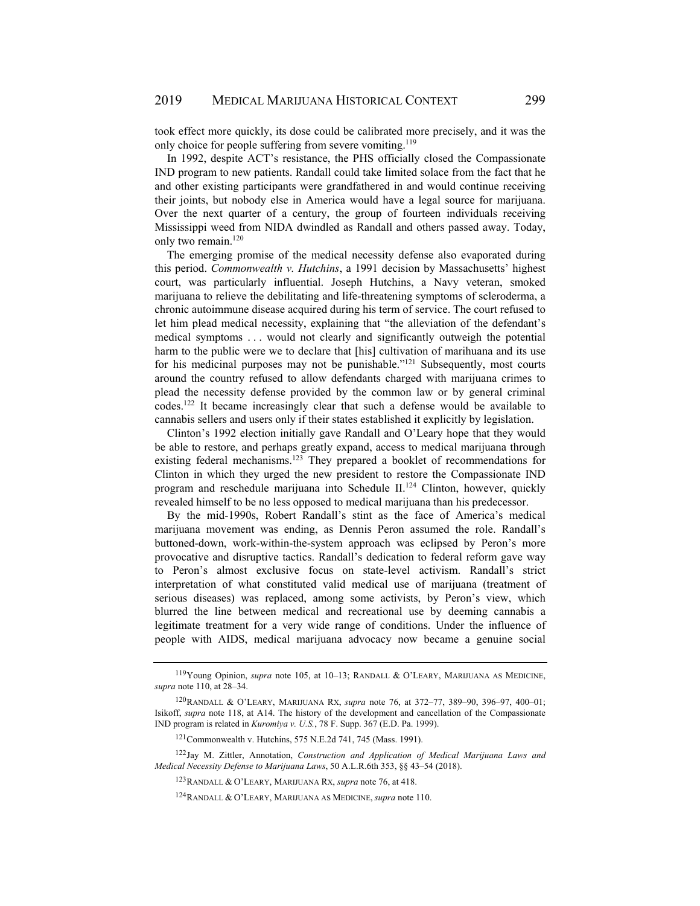took effect more quickly, its dose could be calibrated more precisely, and it was the only choice for people suffering from severe vomiting.<sup>119</sup>

In 1992, despite ACT's resistance, the PHS officially closed the Compassionate IND program to new patients. Randall could take limited solace from the fact that he and other existing participants were grandfathered in and would continue receiving their joints, but nobody else in America would have a legal source for marijuana. Over the next quarter of a century, the group of fourteen individuals receiving Mississippi weed from NIDA dwindled as Randall and others passed away. Today, only two remain.<sup>120</sup>

The emerging promise of the medical necessity defense also evaporated during this period. *Commonwealth v. Hutchins*, a 1991 decision by Massachusetts' highest court, was particularly influential. Joseph Hutchins, a Navy veteran, smoked marijuana to relieve the debilitating and life-threatening symptoms of scleroderma, a chronic autoimmune disease acquired during his term of service. The court refused to let him plead medical necessity, explaining that "the alleviation of the defendant's medical symptoms . . . would not clearly and significantly outweigh the potential harm to the public were we to declare that [his] cultivation of marihuana and its use for his medicinal purposes may not be punishable."<sup>121</sup> Subsequently, most courts around the country refused to allow defendants charged with marijuana crimes to plead the necessity defense provided by the common law or by general criminal codes.122 It became increasingly clear that such a defense would be available to cannabis sellers and users only if their states established it explicitly by legislation.

Clinton's 1992 election initially gave Randall and O'Leary hope that they would be able to restore, and perhaps greatly expand, access to medical marijuana through existing federal mechanisms.<sup>123</sup> They prepared a booklet of recommendations for Clinton in which they urged the new president to restore the Compassionate IND program and reschedule marijuana into Schedule II. $124$  Clinton, however, quickly revealed himself to be no less opposed to medical marijuana than his predecessor.

By the mid-1990s, Robert Randall's stint as the face of America's medical marijuana movement was ending, as Dennis Peron assumed the role. Randall's buttoned-down, work-within-the-system approach was eclipsed by Peron's more provocative and disruptive tactics. Randall's dedication to federal reform gave way to Peron's almost exclusive focus on state-level activism. Randall's strict interpretation of what constituted valid medical use of marijuana (treatment of serious diseases) was replaced, among some activists, by Peron's view, which blurred the line between medical and recreational use by deeming cannabis a legitimate treatment for a very wide range of conditions. Under the influence of people with AIDS, medical marijuana advocacy now became a genuine social

<sup>119</sup> Young Opinion, *supra* note 105, at 10–13; RANDALL & O'LEARY, MARIJUANA AS MEDICINE, *supra* note 110, at 28–34.

<sup>120</sup> RANDALL & O'LEARY, MARIJUANA RX, *supra* note 76, at 372–77, 389–90, 396–97, 400–01; Isikoff, *supra* note 118, at A14. The history of the development and cancellation of the Compassionate IND program is related in *Kuromiya v. U.S.*, 78 F. Supp. 367 (E.D. Pa. 1999).

<sup>121</sup> Commonwealth v. Hutchins, 575 N.E.2d 741, 745 (Mass. 1991).

<sup>122</sup> Jay M. Zittler, Annotation, *Construction and Application of Medical Marijuana Laws and Medical Necessity Defense to Marijuana Laws*, 50 A.L.R.6th 353, §§ 43–54 (2018).

<sup>123</sup> RANDALL & O'LEARY, MARIJUANA RX, *supra* note 76, at 418.

<sup>124</sup> RANDALL & O'LEARY, MARIJUANA AS MEDICINE, *supra* note 110.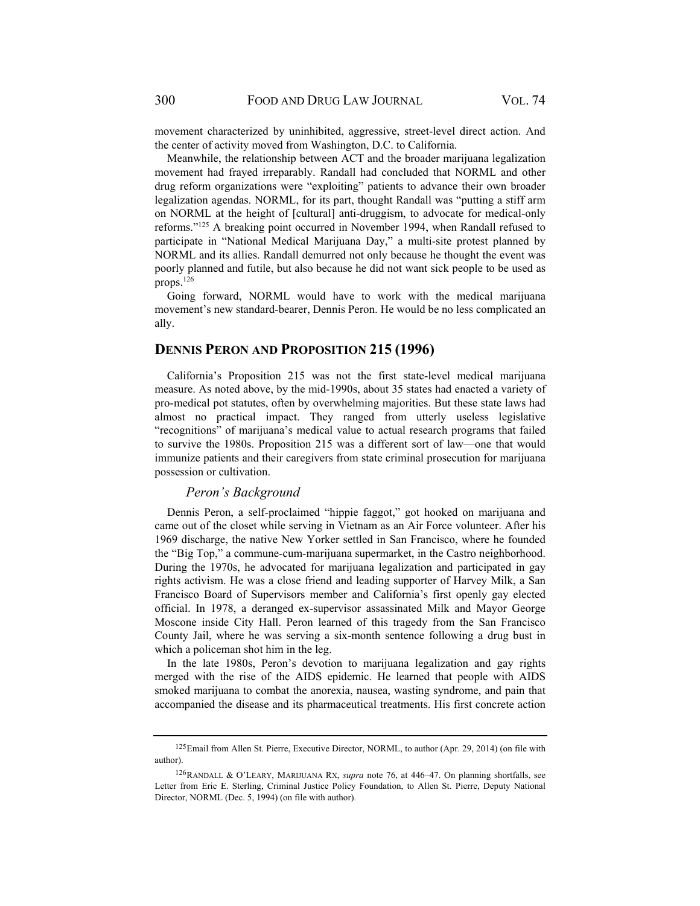movement characterized by uninhibited, aggressive, street-level direct action. And the center of activity moved from Washington, D.C. to California.

Meanwhile, the relationship between ACT and the broader marijuana legalization movement had frayed irreparably. Randall had concluded that NORML and other drug reform organizations were "exploiting" patients to advance their own broader legalization agendas. NORML, for its part, thought Randall was "putting a stiff arm on NORML at the height of [cultural] anti-druggism, to advocate for medical-only reforms."125 A breaking point occurred in November 1994, when Randall refused to participate in "National Medical Marijuana Day," a multi-site protest planned by NORML and its allies. Randall demurred not only because he thought the event was poorly planned and futile, but also because he did not want sick people to be used as props.126

Going forward, NORML would have to work with the medical marijuana movement's new standard-bearer, Dennis Peron. He would be no less complicated an ally.

# **DENNIS PERON AND PROPOSITION 215 (1996)**

California's Proposition 215 was not the first state-level medical marijuana measure. As noted above, by the mid-1990s, about 35 states had enacted a variety of pro-medical pot statutes, often by overwhelming majorities. But these state laws had almost no practical impact. They ranged from utterly useless legislative "recognitions" of marijuana's medical value to actual research programs that failed to survive the 1980s. Proposition 215 was a different sort of law—one that would immunize patients and their caregivers from state criminal prosecution for marijuana possession or cultivation.

#### *Peron's Background*

Dennis Peron, a self-proclaimed "hippie faggot," got hooked on marijuana and came out of the closet while serving in Vietnam as an Air Force volunteer. After his 1969 discharge, the native New Yorker settled in San Francisco, where he founded the "Big Top," a commune-cum-marijuana supermarket, in the Castro neighborhood. During the 1970s, he advocated for marijuana legalization and participated in gay rights activism. He was a close friend and leading supporter of Harvey Milk, a San Francisco Board of Supervisors member and California's first openly gay elected official. In 1978, a deranged ex-supervisor assassinated Milk and Mayor George Moscone inside City Hall. Peron learned of this tragedy from the San Francisco County Jail, where he was serving a six-month sentence following a drug bust in which a policeman shot him in the leg.

In the late 1980s, Peron's devotion to marijuana legalization and gay rights merged with the rise of the AIDS epidemic. He learned that people with AIDS smoked marijuana to combat the anorexia, nausea, wasting syndrome, and pain that accompanied the disease and its pharmaceutical treatments. His first concrete action

<sup>&</sup>lt;sup>125</sup> Email from Allen St. Pierre, Executive Director, NORML, to author (Apr. 29, 2014) (on file with author).

<sup>126</sup> RANDALL & O'LEARY, MARIJUANA RX, *supra* note 76, at 446–47. On planning shortfalls, see Letter from Eric E. Sterling, Criminal Justice Policy Foundation, to Allen St. Pierre, Deputy National Director, NORML (Dec. 5, 1994) (on file with author).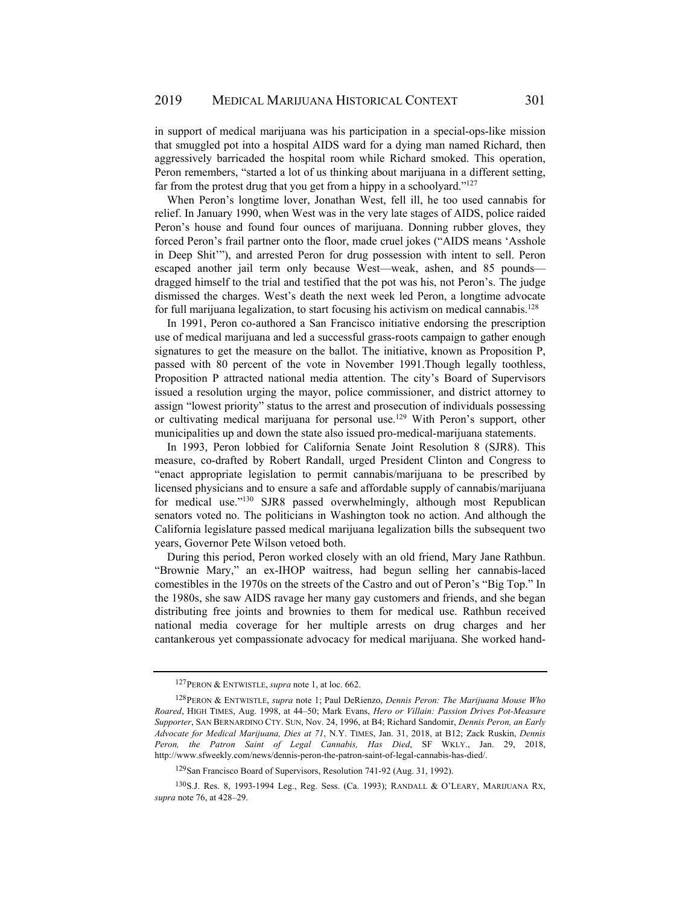in support of medical marijuana was his participation in a special-ops-like mission that smuggled pot into a hospital AIDS ward for a dying man named Richard, then aggressively barricaded the hospital room while Richard smoked. This operation, Peron remembers, "started a lot of us thinking about marijuana in a different setting, far from the protest drug that you get from a hippy in a schoolyard."127

When Peron's longtime lover, Jonathan West, fell ill, he too used cannabis for relief. In January 1990, when West was in the very late stages of AIDS, police raided Peron's house and found four ounces of marijuana. Donning rubber gloves, they forced Peron's frail partner onto the floor, made cruel jokes ("AIDS means 'Asshole in Deep Shit'"), and arrested Peron for drug possession with intent to sell. Peron escaped another jail term only because West—weak, ashen, and 85 pounds dragged himself to the trial and testified that the pot was his, not Peron's. The judge dismissed the charges. West's death the next week led Peron, a longtime advocate for full marijuana legalization, to start focusing his activism on medical cannabis.<sup>128</sup>

In 1991, Peron co-authored a San Francisco initiative endorsing the prescription use of medical marijuana and led a successful grass-roots campaign to gather enough signatures to get the measure on the ballot. The initiative, known as Proposition P, passed with 80 percent of the vote in November 1991.Though legally toothless, Proposition P attracted national media attention. The city's Board of Supervisors issued a resolution urging the mayor, police commissioner, and district attorney to assign "lowest priority" status to the arrest and prosecution of individuals possessing or cultivating medical marijuana for personal use.<sup>129</sup> With Peron's support, other municipalities up and down the state also issued pro-medical-marijuana statements.

In 1993, Peron lobbied for California Senate Joint Resolution 8 (SJR8). This measure, co-drafted by Robert Randall, urged President Clinton and Congress to "enact appropriate legislation to permit cannabis/marijuana to be prescribed by licensed physicians and to ensure a safe and affordable supply of cannabis/marijuana for medical use."130 SJR8 passed overwhelmingly, although most Republican senators voted no. The politicians in Washington took no action. And although the California legislature passed medical marijuana legalization bills the subsequent two years, Governor Pete Wilson vetoed both.

During this period, Peron worked closely with an old friend, Mary Jane Rathbun. "Brownie Mary," an ex-IHOP waitress, had begun selling her cannabis-laced comestibles in the 1970s on the streets of the Castro and out of Peron's "Big Top." In the 1980s, she saw AIDS ravage her many gay customers and friends, and she began distributing free joints and brownies to them for medical use. Rathbun received national media coverage for her multiple arrests on drug charges and her cantankerous yet compassionate advocacy for medical marijuana. She worked hand-

<sup>127</sup> PERON & ENTWISTLE, *supra* note 1, at loc. 662.

<sup>128</sup> PERON & ENTWISTLE, *supra* note 1; Paul DeRienzo, *Dennis Peron: The Marijuana Mouse Who Roared*, HIGH TIMES, Aug. 1998, at 44–50; Mark Evans, *Hero or Villain: Passion Drives Pot-Measure Supporter*, SAN BERNARDINO CTY. SUN, Nov. 24, 1996, at B4; Richard Sandomir, *Dennis Peron, an Early Advocate for Medical Marijuana, Dies at 71*, N.Y. TIMES, Jan. 31, 2018, at B12; Zack Ruskin, *Dennis Peron, the Patron Saint of Legal Cannabis, Has Died*, SF WKLY., Jan. 29, 2018, http://www.sfweekly.com/news/dennis-peron-the-patron-saint-of-legal-cannabis-has-died/.

<sup>129</sup> San Francisco Board of Supervisors, Resolution 741-92 (Aug. 31, 1992).

<sup>130</sup> S.J. Res. 8, 1993-1994 Leg., Reg. Sess. (Ca. 1993); RANDALL & O'LEARY, MARIJUANA RX, *supra* note 76, at 428–29.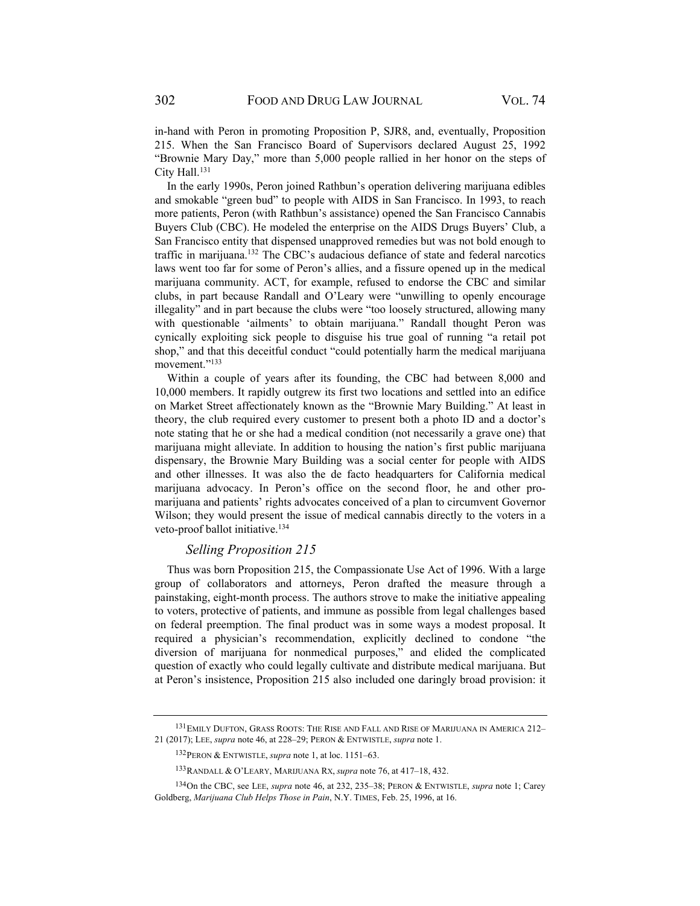in-hand with Peron in promoting Proposition P, SJR8, and, eventually, Proposition 215. When the San Francisco Board of Supervisors declared August 25, 1992 "Brownie Mary Day," more than 5,000 people rallied in her honor on the steps of City Hall.<sup>131</sup>

In the early 1990s, Peron joined Rathbun's operation delivering marijuana edibles and smokable "green bud" to people with AIDS in San Francisco. In 1993, to reach more patients, Peron (with Rathbun's assistance) opened the San Francisco Cannabis Buyers Club (CBC). He modeled the enterprise on the AIDS Drugs Buyers' Club, a San Francisco entity that dispensed unapproved remedies but was not bold enough to traffic in marijuana.132 The CBC's audacious defiance of state and federal narcotics laws went too far for some of Peron's allies, and a fissure opened up in the medical marijuana community. ACT, for example, refused to endorse the CBC and similar clubs, in part because Randall and O'Leary were "unwilling to openly encourage illegality" and in part because the clubs were "too loosely structured, allowing many with questionable 'ailments' to obtain marijuana." Randall thought Peron was cynically exploiting sick people to disguise his true goal of running "a retail pot shop," and that this deceitful conduct "could potentially harm the medical marijuana movement."<sup>133</sup>

Within a couple of years after its founding, the CBC had between 8,000 and 10,000 members. It rapidly outgrew its first two locations and settled into an edifice on Market Street affectionately known as the "Brownie Mary Building." At least in theory, the club required every customer to present both a photo ID and a doctor's note stating that he or she had a medical condition (not necessarily a grave one) that marijuana might alleviate. In addition to housing the nation's first public marijuana dispensary, the Brownie Mary Building was a social center for people with AIDS and other illnesses. It was also the de facto headquarters for California medical marijuana advocacy. In Peron's office on the second floor, he and other promarijuana and patients' rights advocates conceived of a plan to circumvent Governor Wilson; they would present the issue of medical cannabis directly to the voters in a veto-proof ballot initiative.<sup>134</sup>

#### *Selling Proposition 215*

Thus was born Proposition 215, the Compassionate Use Act of 1996. With a large group of collaborators and attorneys, Peron drafted the measure through a painstaking, eight-month process. The authors strove to make the initiative appealing to voters, protective of patients, and immune as possible from legal challenges based on federal preemption. The final product was in some ways a modest proposal. It required a physician's recommendation, explicitly declined to condone "the diversion of marijuana for nonmedical purposes," and elided the complicated question of exactly who could legally cultivate and distribute medical marijuana. But at Peron's insistence, Proposition 215 also included one daringly broad provision: it

<sup>131</sup> EMILY DUFTON, GRASS ROOTS: THE RISE AND FALL AND RISE OF MARIJUANA IN AMERICA 212– 21 (2017); LEE, *supra* note 46, at 228–29; PERON & ENTWISTLE, *supra* note 1.

<sup>132</sup> PERON & ENTWISTLE, *supra* note 1, at loc. 1151–63.

<sup>133</sup> RANDALL & O'LEARY, MARIJUANA RX, *supra* note 76, at 417–18, 432.

<sup>134</sup> On the CBC, see LEE, *supra* note 46, at 232, 235–38; PERON & ENTWISTLE, *supra* note 1; Carey Goldberg, *Marijuana Club Helps Those in Pain*, N.Y. TIMES, Feb. 25, 1996, at 16.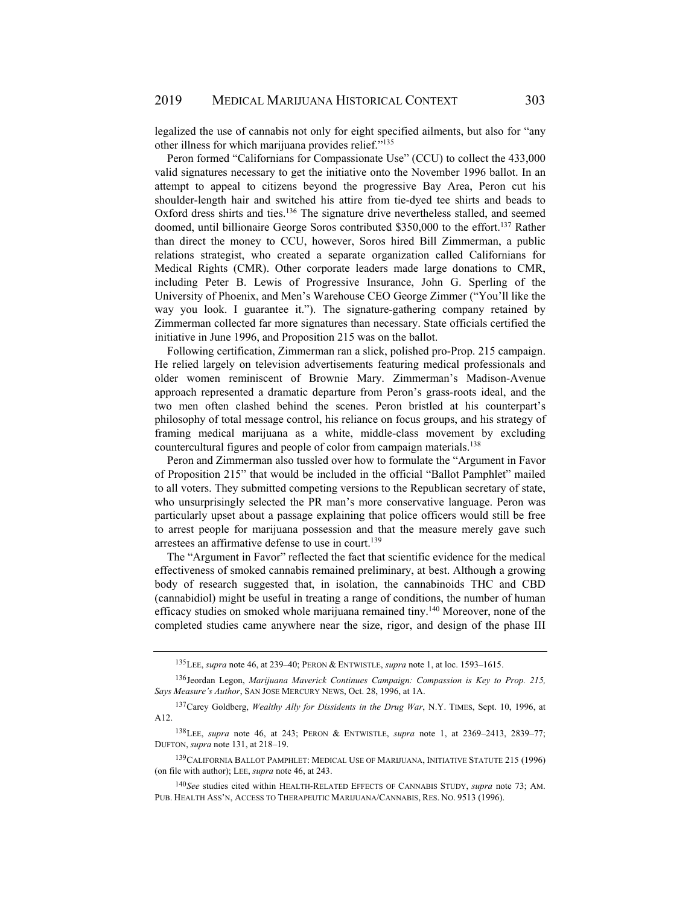legalized the use of cannabis not only for eight specified ailments, but also for "any other illness for which marijuana provides relief."135

Peron formed "Californians for Compassionate Use" (CCU) to collect the 433,000 valid signatures necessary to get the initiative onto the November 1996 ballot. In an attempt to appeal to citizens beyond the progressive Bay Area, Peron cut his shoulder-length hair and switched his attire from tie-dyed tee shirts and beads to Oxford dress shirts and ties.<sup>136</sup> The signature drive nevertheless stalled, and seemed doomed, until billionaire George Soros contributed \$350,000 to the effort.<sup>137</sup> Rather than direct the money to CCU, however, Soros hired Bill Zimmerman, a public relations strategist, who created a separate organization called Californians for Medical Rights (CMR). Other corporate leaders made large donations to CMR, including Peter B. Lewis of Progressive Insurance, John G. Sperling of the University of Phoenix, and Men's Warehouse CEO George Zimmer ("You'll like the way you look. I guarantee it."). The signature-gathering company retained by Zimmerman collected far more signatures than necessary. State officials certified the initiative in June 1996, and Proposition 215 was on the ballot.

Following certification, Zimmerman ran a slick, polished pro-Prop. 215 campaign. He relied largely on television advertisements featuring medical professionals and older women reminiscent of Brownie Mary. Zimmerman's Madison-Avenue approach represented a dramatic departure from Peron's grass-roots ideal, and the two men often clashed behind the scenes. Peron bristled at his counterpart's philosophy of total message control, his reliance on focus groups, and his strategy of framing medical marijuana as a white, middle-class movement by excluding countercultural figures and people of color from campaign materials.138

Peron and Zimmerman also tussled over how to formulate the "Argument in Favor of Proposition 215" that would be included in the official "Ballot Pamphlet" mailed to all voters. They submitted competing versions to the Republican secretary of state, who unsurprisingly selected the PR man's more conservative language. Peron was particularly upset about a passage explaining that police officers would still be free to arrest people for marijuana possession and that the measure merely gave such arrestees an affirmative defense to use in court.<sup>139</sup>

The "Argument in Favor" reflected the fact that scientific evidence for the medical effectiveness of smoked cannabis remained preliminary, at best. Although a growing body of research suggested that, in isolation, the cannabinoids THC and CBD (cannabidiol) might be useful in treating a range of conditions, the number of human efficacy studies on smoked whole marijuana remained tiny.<sup>140</sup> Moreover, none of the completed studies came anywhere near the size, rigor, and design of the phase III

<sup>135</sup> LEE, *supra* note 46, at 239–40; PERON & ENTWISTLE, *supra* note 1, at loc. 1593–1615.

<sup>136</sup> Jeordan Legon, *Marijuana Maverick Continues Campaign: Compassion is Key to Prop. 215, Says Measure's Author*, SAN JOSE MERCURY NEWS, Oct. 28, 1996, at 1A.

<sup>137</sup> Carey Goldberg, *Wealthy Ally for Dissidents in the Drug War*, N.Y. TIMES, Sept. 10, 1996, at A12.

<sup>138</sup> LEE, *supra* note 46, at 243; PERON & ENTWISTLE, *supra* note 1, at 2369–2413, 2839–77; DUFTON, *supra* note 131, at 218–19.

<sup>139</sup> CALIFORNIA BALLOT PAMPHLET: MEDICAL USE OF MARIJUANA, INITIATIVE STATUTE 215 (1996) (on file with author); LEE, *supra* note 46, at 243.

<sup>140</sup> *See* studies cited within HEALTH-RELATED EFFECTS OF CANNABIS STUDY, *supra* note 73; AM. PUB. HEALTH ASS'N, ACCESS TO THERAPEUTIC MARIJUANA/CANNABIS, RES. NO. 9513 (1996).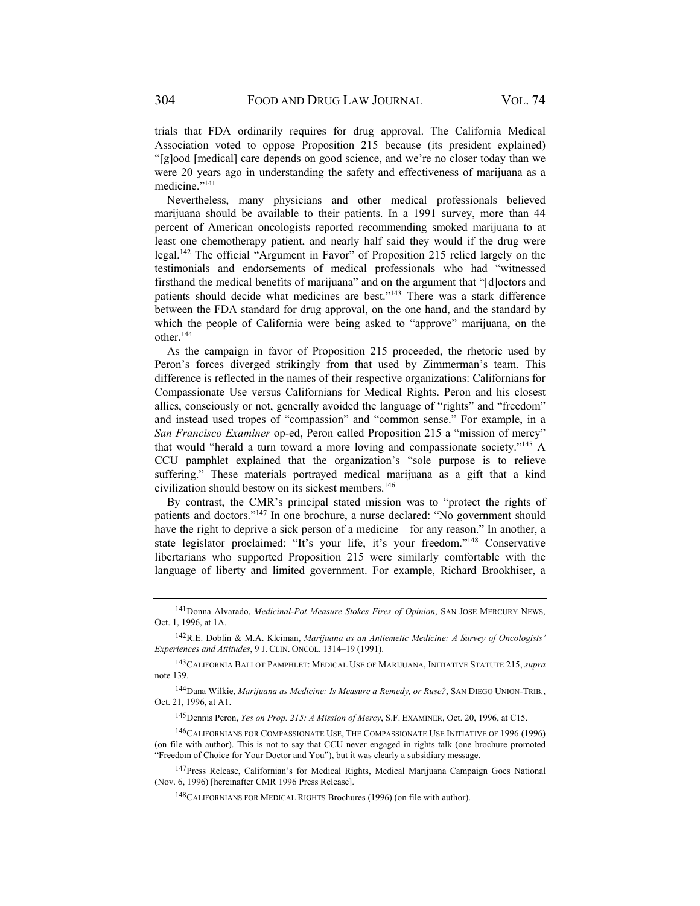trials that FDA ordinarily requires for drug approval. The California Medical Association voted to oppose Proposition 215 because (its president explained) "[g]ood [medical] care depends on good science, and we're no closer today than we were 20 years ago in understanding the safety and effectiveness of marijuana as a medicine."<sup>141</sup>

Nevertheless, many physicians and other medical professionals believed marijuana should be available to their patients. In a 1991 survey, more than 44 percent of American oncologists reported recommending smoked marijuana to at least one chemotherapy patient, and nearly half said they would if the drug were legal.142 The official "Argument in Favor" of Proposition 215 relied largely on the testimonials and endorsements of medical professionals who had "witnessed firsthand the medical benefits of marijuana" and on the argument that "[d]octors and patients should decide what medicines are best."143 There was a stark difference between the FDA standard for drug approval, on the one hand, and the standard by which the people of California were being asked to "approve" marijuana, on the other.144

As the campaign in favor of Proposition 215 proceeded, the rhetoric used by Peron's forces diverged strikingly from that used by Zimmerman's team. This difference is reflected in the names of their respective organizations: Californians for Compassionate Use versus Californians for Medical Rights. Peron and his closest allies, consciously or not, generally avoided the language of "rights" and "freedom" and instead used tropes of "compassion" and "common sense." For example, in a *San Francisco Examiner* op-ed, Peron called Proposition 215 a "mission of mercy" that would "herald a turn toward a more loving and compassionate society."145 A CCU pamphlet explained that the organization's "sole purpose is to relieve suffering." These materials portrayed medical marijuana as a gift that a kind civilization should bestow on its sickest members.146

By contrast, the CMR's principal stated mission was to "protect the rights of patients and doctors."147 In one brochure, a nurse declared: "No government should have the right to deprive a sick person of a medicine—for any reason." In another, a state legislator proclaimed: "It's your life, it's your freedom."148 Conservative libertarians who supported Proposition 215 were similarly comfortable with the language of liberty and limited government. For example, Richard Brookhiser, a

145 Dennis Peron, *Yes on Prop. 215: A Mission of Mercy*, S.F. EXAMINER, Oct. 20, 1996, at C15.

<sup>141</sup> Donna Alvarado, *Medicinal-Pot Measure Stokes Fires of Opinion*, SAN JOSE MERCURY NEWS, Oct. 1, 1996, at 1A.

<sup>142</sup> R.E. Doblin & M.A. Kleiman, *Marijuana as an Antiemetic Medicine: A Survey of Oncologists' Experiences and Attitudes*, 9 J. CLIN. ONCOL. 1314–19 (1991).

<sup>143</sup> CALIFORNIA BALLOT PAMPHLET: MEDICAL USE OF MARIJUANA, INITIATIVE STATUTE 215, *supra* note 139.

<sup>144</sup> Dana Wilkie, *Marijuana as Medicine: Is Measure a Remedy, or Ruse?*, SAN DIEGO UNION-TRIB., Oct. 21, 1996, at A1.

<sup>146</sup> CALIFORNIANS FOR COMPASSIONATE USE, THE COMPASSIONATE USE INITIATIVE OF 1996 (1996) (on file with author). This is not to say that CCU never engaged in rights talk (one brochure promoted "Freedom of Choice for Your Doctor and You"), but it was clearly a subsidiary message.

<sup>147</sup> Press Release, Californian's for Medical Rights, Medical Marijuana Campaign Goes National (Nov. 6, 1996) [hereinafter CMR 1996 Press Release].

<sup>148</sup> CALIFORNIANS FOR MEDICAL RIGHTS Brochures (1996) (on file with author).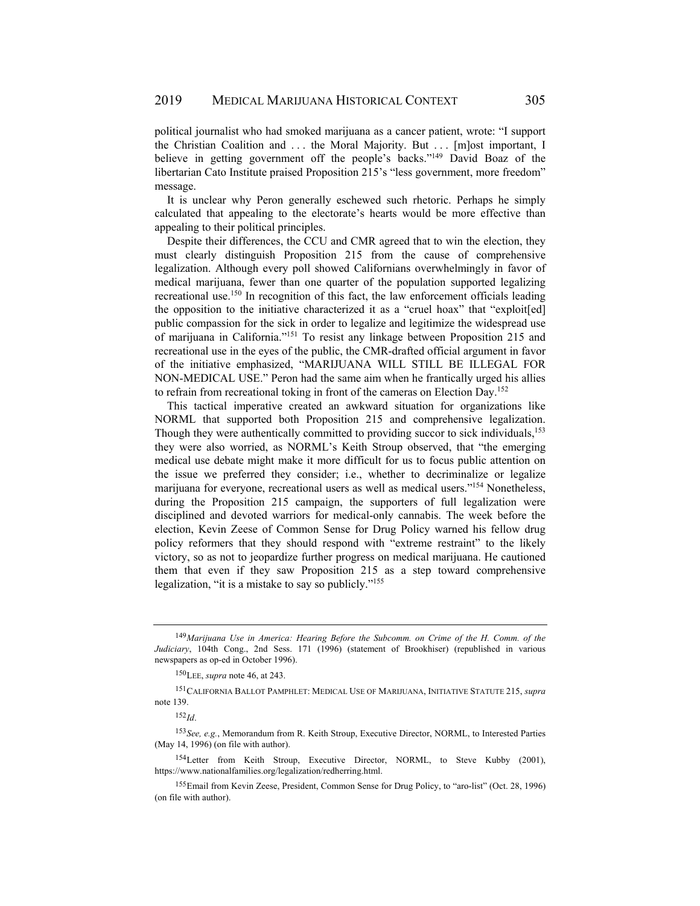political journalist who had smoked marijuana as a cancer patient, wrote: "I support the Christian Coalition and . . . the Moral Majority. But . . . [m]ost important, I believe in getting government off the people's backs."<sup>149</sup> David Boaz of the libertarian Cato Institute praised Proposition 215's "less government, more freedom" message.

It is unclear why Peron generally eschewed such rhetoric. Perhaps he simply calculated that appealing to the electorate's hearts would be more effective than appealing to their political principles.

Despite their differences, the CCU and CMR agreed that to win the election, they must clearly distinguish Proposition 215 from the cause of comprehensive legalization. Although every poll showed Californians overwhelmingly in favor of medical marijuana, fewer than one quarter of the population supported legalizing recreational use.<sup>150</sup> In recognition of this fact, the law enforcement officials leading the opposition to the initiative characterized it as a "cruel hoax" that "exploit[ed] public compassion for the sick in order to legalize and legitimize the widespread use of marijuana in California."151 To resist any linkage between Proposition 215 and recreational use in the eyes of the public, the CMR-drafted official argument in favor of the initiative emphasized, "MARIJUANA WILL STILL BE ILLEGAL FOR NON-MEDICAL USE." Peron had the same aim when he frantically urged his allies to refrain from recreational toking in front of the cameras on Election Day.152

This tactical imperative created an awkward situation for organizations like NORML that supported both Proposition 215 and comprehensive legalization. Though they were authentically committed to providing succor to sick individuals,<sup>153</sup> they were also worried, as NORML's Keith Stroup observed, that "the emerging medical use debate might make it more difficult for us to focus public attention on the issue we preferred they consider; i.e., whether to decriminalize or legalize marijuana for everyone, recreational users as well as medical users."154 Nonetheless, during the Proposition 215 campaign, the supporters of full legalization were disciplined and devoted warriors for medical-only cannabis. The week before the election, Kevin Zeese of Common Sense for Drug Policy warned his fellow drug policy reformers that they should respond with "extreme restraint" to the likely victory, so as not to jeopardize further progress on medical marijuana. He cautioned them that even if they saw Proposition 215 as a step toward comprehensive legalization, "it is a mistake to say so publicly."<sup>155</sup>

<sup>149</sup> *Marijuana Use in America: Hearing Before the Subcomm. on Crime of the H. Comm. of the Judiciary*, 104th Cong., 2nd Sess. 171 (1996) (statement of Brookhiser) (republished in various newspapers as op-ed in October 1996).

<sup>150</sup> LEE, *supra* note 46, at 243.

<sup>151</sup> CALIFORNIA BALLOT PAMPHLET: MEDICAL USE OF MARIJUANA, INITIATIVE STATUTE 215, *supra* note 139.

<sup>152</sup> *Id*.

<sup>153</sup> *See, e.g.*, Memorandum from R. Keith Stroup, Executive Director, NORML, to Interested Parties (May 14, 1996) (on file with author).

<sup>154</sup> Letter from Keith Stroup, Executive Director, NORML, to Steve Kubby (2001), https://www.nationalfamilies.org/legalization/redherring.html.

<sup>155</sup> Email from Kevin Zeese, President, Common Sense for Drug Policy, to "aro-list" (Oct. 28, 1996) (on file with author).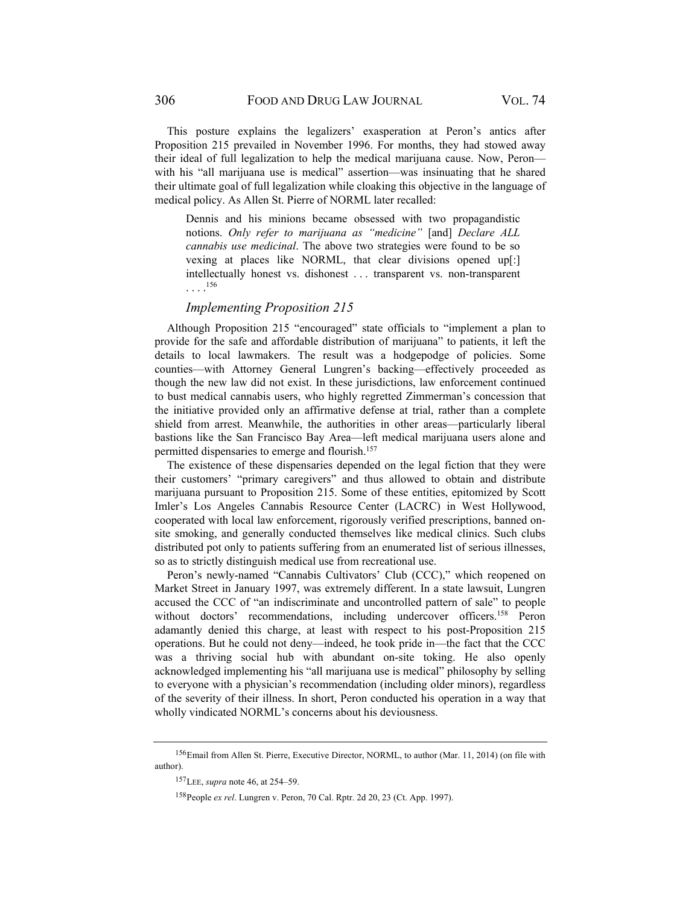This posture explains the legalizers' exasperation at Peron's antics after Proposition 215 prevailed in November 1996. For months, they had stowed away their ideal of full legalization to help the medical marijuana cause. Now, Peron with his "all marijuana use is medical" assertion—was insinuating that he shared their ultimate goal of full legalization while cloaking this objective in the language of medical policy. As Allen St. Pierre of NORML later recalled:

Dennis and his minions became obsessed with two propagandistic notions. *Only refer to marijuana as "medicine"* [and] *Declare ALL cannabis use medicinal*. The above two strategies were found to be so vexing at places like NORML, that clear divisions opened up[:] intellectually honest vs. dishonest . . . transparent vs. non-transparent  $\ldots$ <sup>156</sup>

# *Implementing Proposition 215*

Although Proposition 215 "encouraged" state officials to "implement a plan to provide for the safe and affordable distribution of marijuana" to patients, it left the details to local lawmakers. The result was a hodgepodge of policies. Some counties—with Attorney General Lungren's backing—effectively proceeded as though the new law did not exist. In these jurisdictions, law enforcement continued to bust medical cannabis users, who highly regretted Zimmerman's concession that the initiative provided only an affirmative defense at trial, rather than a complete shield from arrest. Meanwhile, the authorities in other areas—particularly liberal bastions like the San Francisco Bay Area—left medical marijuana users alone and permitted dispensaries to emerge and flourish.157

The existence of these dispensaries depended on the legal fiction that they were their customers' "primary caregivers" and thus allowed to obtain and distribute marijuana pursuant to Proposition 215. Some of these entities, epitomized by Scott Imler's Los Angeles Cannabis Resource Center (LACRC) in West Hollywood, cooperated with local law enforcement, rigorously verified prescriptions, banned onsite smoking, and generally conducted themselves like medical clinics. Such clubs distributed pot only to patients suffering from an enumerated list of serious illnesses, so as to strictly distinguish medical use from recreational use.

Peron's newly-named "Cannabis Cultivators' Club (CCC)," which reopened on Market Street in January 1997, was extremely different. In a state lawsuit, Lungren accused the CCC of "an indiscriminate and uncontrolled pattern of sale" to people without doctors' recommendations, including undercover officers.<sup>158</sup> Peron adamantly denied this charge, at least with respect to his post-Proposition 215 operations. But he could not deny—indeed, he took pride in—the fact that the CCC was a thriving social hub with abundant on-site toking. He also openly acknowledged implementing his "all marijuana use is medical" philosophy by selling to everyone with a physician's recommendation (including older minors), regardless of the severity of their illness. In short, Peron conducted his operation in a way that wholly vindicated NORML's concerns about his deviousness.

<sup>156</sup> Email from Allen St. Pierre, Executive Director, NORML, to author (Mar. 11, 2014) (on file with author).

<sup>157</sup> LEE, *supra* note 46, at 254–59.

<sup>158</sup> People *ex rel*. Lungren v. Peron, 70 Cal. Rptr. 2d 20, 23 (Ct. App. 1997).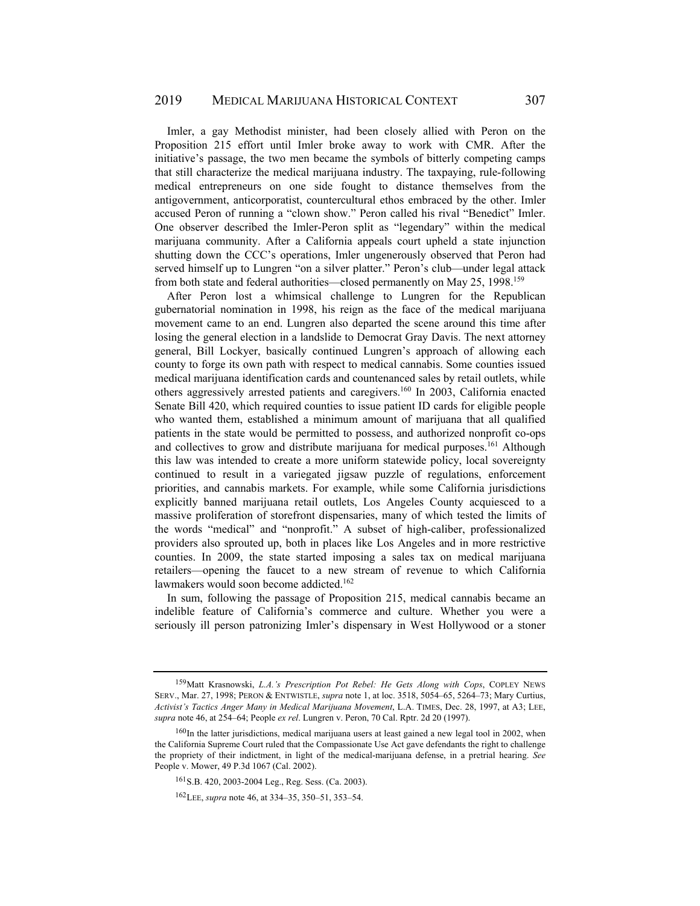Imler, a gay Methodist minister, had been closely allied with Peron on the Proposition 215 effort until Imler broke away to work with CMR. After the initiative's passage, the two men became the symbols of bitterly competing camps that still characterize the medical marijuana industry. The taxpaying, rule-following medical entrepreneurs on one side fought to distance themselves from the antigovernment, anticorporatist, countercultural ethos embraced by the other. Imler accused Peron of running a "clown show." Peron called his rival "Benedict" Imler. One observer described the Imler-Peron split as "legendary" within the medical marijuana community. After a California appeals court upheld a state injunction shutting down the CCC's operations, Imler ungenerously observed that Peron had served himself up to Lungren "on a silver platter." Peron's club—under legal attack from both state and federal authorities—closed permanently on May 25, 1998.<sup>159</sup>

After Peron lost a whimsical challenge to Lungren for the Republican gubernatorial nomination in 1998, his reign as the face of the medical marijuana movement came to an end. Lungren also departed the scene around this time after losing the general election in a landslide to Democrat Gray Davis. The next attorney general, Bill Lockyer, basically continued Lungren's approach of allowing each county to forge its own path with respect to medical cannabis. Some counties issued medical marijuana identification cards and countenanced sales by retail outlets, while others aggressively arrested patients and caregivers.160 In 2003, California enacted Senate Bill 420, which required counties to issue patient ID cards for eligible people who wanted them, established a minimum amount of marijuana that all qualified patients in the state would be permitted to possess, and authorized nonprofit co-ops and collectives to grow and distribute marijuana for medical purposes.<sup>161</sup> Although this law was intended to create a more uniform statewide policy, local sovereignty continued to result in a variegated jigsaw puzzle of regulations, enforcement priorities, and cannabis markets. For example, while some California jurisdictions explicitly banned marijuana retail outlets, Los Angeles County acquiesced to a massive proliferation of storefront dispensaries, many of which tested the limits of the words "medical" and "nonprofit." A subset of high-caliber, professionalized providers also sprouted up, both in places like Los Angeles and in more restrictive counties. In 2009, the state started imposing a sales tax on medical marijuana retailers—opening the faucet to a new stream of revenue to which California lawmakers would soon become addicted.<sup>162</sup>

In sum, following the passage of Proposition 215, medical cannabis became an indelible feature of California's commerce and culture. Whether you were a seriously ill person patronizing Imler's dispensary in West Hollywood or a stoner

<sup>159</sup> Matt Krasnowski, *L.A.'s Prescription Pot Rebel: He Gets Along with Cops*, COPLEY NEWS SERV., Mar. 27, 1998; PERON & ENTWISTLE, *supra* note 1, at loc. 3518, 5054–65, 5264–73; Mary Curtius, *Activist's Tactics Anger Many in Medical Marijuana Movement*, L.A. TIMES, Dec. 28, 1997, at A3; LEE, *supra* note 46, at 254–64; People *ex rel*. Lungren v. Peron, 70 Cal. Rptr. 2d 20 (1997).

 $160$  In the latter jurisdictions, medical marijuana users at least gained a new legal tool in 2002, when the California Supreme Court ruled that the Compassionate Use Act gave defendants the right to challenge the propriety of their indictment, in light of the medical-marijuana defense, in a pretrial hearing. *See*  People v. Mower, 49 P.3d 1067 (Cal. 2002).

<sup>161</sup> S.B. 420, 2003-2004 Leg., Reg. Sess. (Ca. 2003).

<sup>162</sup> LEE, *supra* note 46, at 334–35, 350–51, 353–54.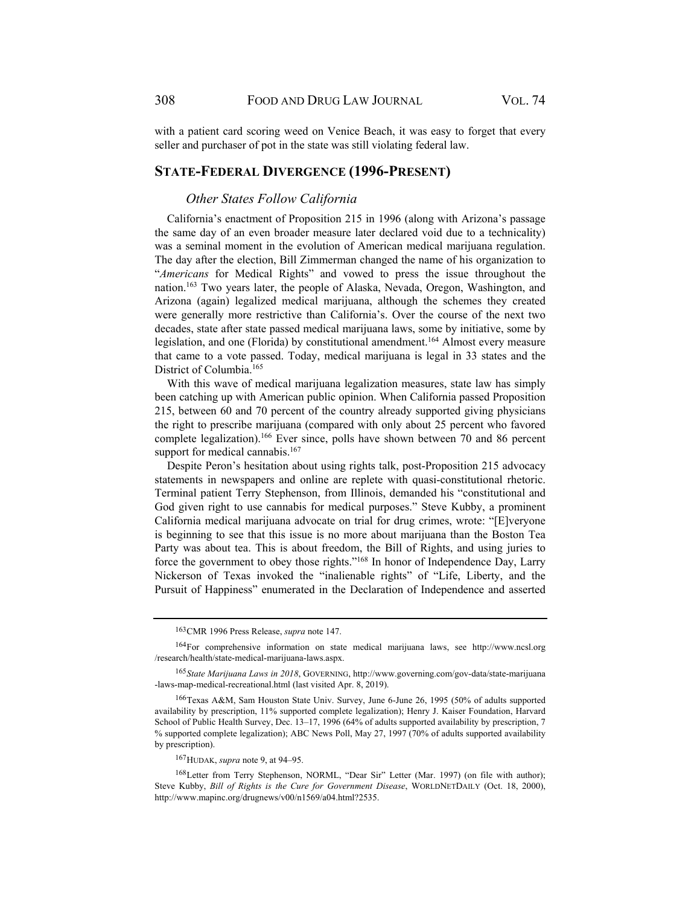with a patient card scoring weed on Venice Beach, it was easy to forget that every seller and purchaser of pot in the state was still violating federal law.

# **STATE-FEDERAL DIVERGENCE (1996-PRESENT)**

#### *Other States Follow California*

California's enactment of Proposition 215 in 1996 (along with Arizona's passage the same day of an even broader measure later declared void due to a technicality) was a seminal moment in the evolution of American medical marijuana regulation. The day after the election, Bill Zimmerman changed the name of his organization to "*Americans* for Medical Rights" and vowed to press the issue throughout the nation.163 Two years later, the people of Alaska, Nevada, Oregon, Washington, and Arizona (again) legalized medical marijuana, although the schemes they created were generally more restrictive than California's. Over the course of the next two decades, state after state passed medical marijuana laws, some by initiative, some by legislation, and one (Florida) by constitutional amendment.<sup>164</sup> Almost every measure that came to a vote passed. Today, medical marijuana is legal in 33 states and the District of Columbia.<sup>165</sup>

With this wave of medical marijuana legalization measures, state law has simply been catching up with American public opinion. When California passed Proposition 215, between 60 and 70 percent of the country already supported giving physicians the right to prescribe marijuana (compared with only about 25 percent who favored complete legalization).166 Ever since, polls have shown between 70 and 86 percent support for medical cannabis.<sup>167</sup>

Despite Peron's hesitation about using rights talk, post-Proposition 215 advocacy statements in newspapers and online are replete with quasi-constitutional rhetoric. Terminal patient Terry Stephenson, from Illinois, demanded his "constitutional and God given right to use cannabis for medical purposes." Steve Kubby, a prominent California medical marijuana advocate on trial for drug crimes, wrote: "[E]veryone is beginning to see that this issue is no more about marijuana than the Boston Tea Party was about tea. This is about freedom, the Bill of Rights, and using juries to force the government to obey those rights."168 In honor of Independence Day, Larry Nickerson of Texas invoked the "inalienable rights" of "Life, Liberty, and the Pursuit of Happiness" enumerated in the Declaration of Independence and asserted

<sup>163</sup> CMR 1996 Press Release, *supra* note 147.

<sup>164</sup> For comprehensive information on state medical marijuana laws, see http://www.ncsl.org /research/health/state-medical-marijuana-laws.aspx.

<sup>165</sup> *State Marijuana Laws in 2018*, GOVERNING, http://www.governing.com/gov-data/state-marijuana -laws-map-medical-recreational.html (last visited Apr. 8, 2019).

<sup>166</sup> Texas A&M, Sam Houston State Univ. Survey, June 6-June 26, 1995 (50% of adults supported availability by prescription, 11% supported complete legalization); Henry J. Kaiser Foundation, Harvard School of Public Health Survey, Dec. 13–17, 1996 (64% of adults supported availability by prescription, 7 % supported complete legalization); ABC News Poll, May 27, 1997 (70% of adults supported availability by prescription).

<sup>167</sup> HUDAK, *supra* note 9, at 94–95.

<sup>168</sup> Letter from Terry Stephenson, NORML, "Dear Sir" Letter (Mar. 1997) (on file with author); Steve Kubby, *Bill of Rights is the Cure for Government Disease*, WORLDNETDAILY (Oct. 18, 2000), http://www.mapinc.org/drugnews/v00/n1569/a04.html?2535.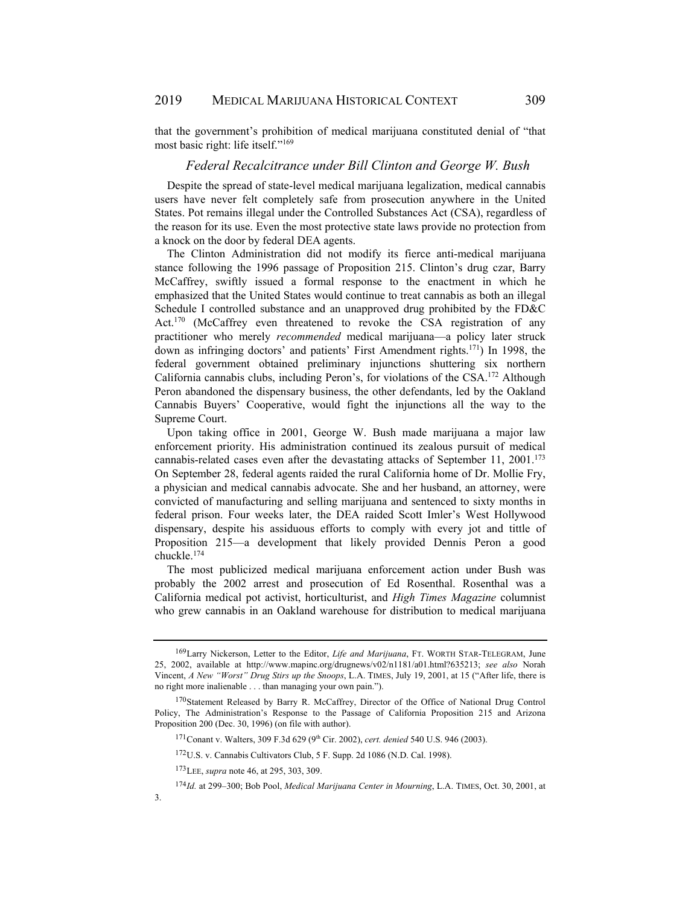that the government's prohibition of medical marijuana constituted denial of "that most basic right: life itself."169

#### *Federal Recalcitrance under Bill Clinton and George W. Bush*

Despite the spread of state-level medical marijuana legalization, medical cannabis users have never felt completely safe from prosecution anywhere in the United States. Pot remains illegal under the Controlled Substances Act (CSA), regardless of the reason for its use. Even the most protective state laws provide no protection from a knock on the door by federal DEA agents.

The Clinton Administration did not modify its fierce anti-medical marijuana stance following the 1996 passage of Proposition 215. Clinton's drug czar, Barry McCaffrey, swiftly issued a formal response to the enactment in which he emphasized that the United States would continue to treat cannabis as both an illegal Schedule I controlled substance and an unapproved drug prohibited by the FD&C Act.170 (McCaffrey even threatened to revoke the CSA registration of any practitioner who merely *recommended* medical marijuana—a policy later struck down as infringing doctors' and patients' First Amendment rights.<sup>171</sup>) In 1998, the federal government obtained preliminary injunctions shuttering six northern California cannabis clubs, including Peron's, for violations of the CSA.172 Although Peron abandoned the dispensary business, the other defendants, led by the Oakland Cannabis Buyers' Cooperative, would fight the injunctions all the way to the Supreme Court.

Upon taking office in 2001, George W. Bush made marijuana a major law enforcement priority. His administration continued its zealous pursuit of medical cannabis-related cases even after the devastating attacks of September 11, 2001.<sup>173</sup> On September 28, federal agents raided the rural California home of Dr. Mollie Fry, a physician and medical cannabis advocate. She and her husband, an attorney, were convicted of manufacturing and selling marijuana and sentenced to sixty months in federal prison. Four weeks later, the DEA raided Scott Imler's West Hollywood dispensary, despite his assiduous efforts to comply with every jot and tittle of Proposition 215—a development that likely provided Dennis Peron a good chuckle.174

The most publicized medical marijuana enforcement action under Bush was probably the 2002 arrest and prosecution of Ed Rosenthal. Rosenthal was a California medical pot activist, horticulturist, and *High Times Magazine* columnist who grew cannabis in an Oakland warehouse for distribution to medical marijuana

<sup>169</sup> Larry Nickerson, Letter to the Editor, *Life and Marijuana*, FT. WORTH STAR-TELEGRAM, June 25, 2002, available at http://www.mapinc.org/drugnews/v02/n1181/a01.html?635213; *see also* Norah Vincent, *A New "Worst" Drug Stirs up the Snoops*, L.A. TIMES, July 19, 2001, at 15 ("After life, there is no right more inalienable . . . than managing your own pain.").

<sup>&</sup>lt;sup>170</sup> Statement Released by Barry R. McCaffrey, Director of the Office of National Drug Control Policy, The Administration's Response to the Passage of California Proposition 215 and Arizona Proposition 200 (Dec. 30, 1996) (on file with author).

<sup>&</sup>lt;sup>171</sup> Conant v. Walters, 309 F.3d 629 (9<sup>th</sup> Cir. 2002), *cert. denied* 540 U.S. 946 (2003).

<sup>172</sup> U.S. v. Cannabis Cultivators Club, 5 F. Supp. 2d 1086 (N.D. Cal. 1998).

<sup>173</sup> LEE, *supra* note 46, at 295, 303, 309.

<sup>174</sup> *Id.* at 299–300; Bob Pool, *Medical Marijuana Center in Mourning*, L.A. TIMES, Oct. 30, 2001, at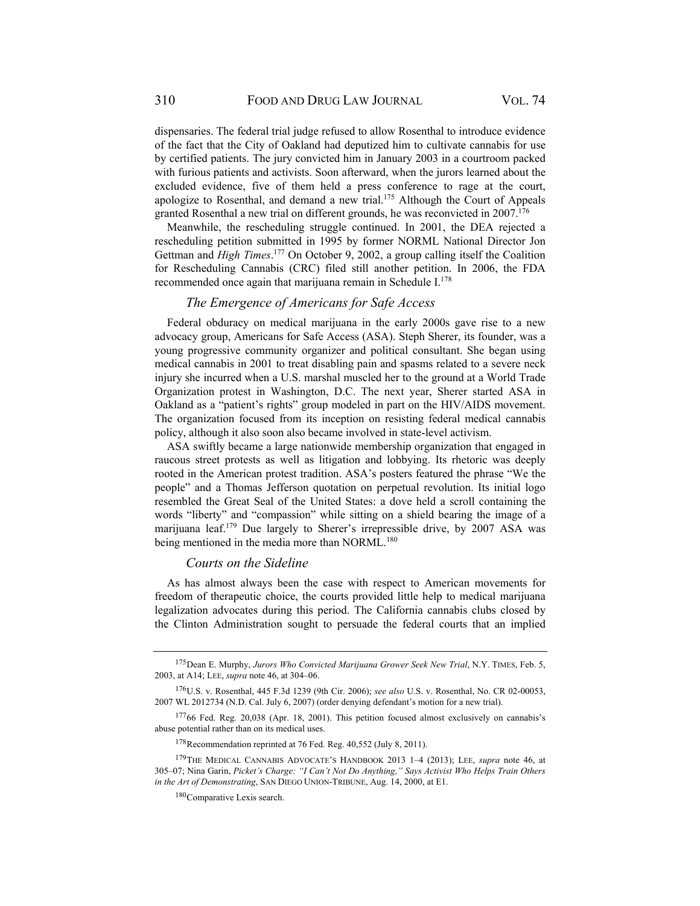dispensaries. The federal trial judge refused to allow Rosenthal to introduce evidence of the fact that the City of Oakland had deputized him to cultivate cannabis for use by certified patients. The jury convicted him in January 2003 in a courtroom packed with furious patients and activists. Soon afterward, when the jurors learned about the excluded evidence, five of them held a press conference to rage at the court, apologize to Rosenthal, and demand a new trial.<sup>175</sup> Although the Court of Appeals granted Rosenthal a new trial on different grounds, he was reconvicted in 2007.<sup>176</sup>

Meanwhile, the rescheduling struggle continued. In 2001, the DEA rejected a rescheduling petition submitted in 1995 by former NORML National Director Jon Gettman and *High Times*. 177 On October 9, 2002, a group calling itself the Coalition for Rescheduling Cannabis (CRC) filed still another petition. In 2006, the FDA recommended once again that marijuana remain in Schedule I.<sup>178</sup>

# *The Emergence of Americans for Safe Access*

Federal obduracy on medical marijuana in the early 2000s gave rise to a new advocacy group, Americans for Safe Access (ASA). Steph Sherer, its founder, was a young progressive community organizer and political consultant. She began using medical cannabis in 2001 to treat disabling pain and spasms related to a severe neck injury she incurred when a U.S. marshal muscled her to the ground at a World Trade Organization protest in Washington, D.C. The next year, Sherer started ASA in Oakland as a "patient's rights" group modeled in part on the HIV/AIDS movement. The organization focused from its inception on resisting federal medical cannabis policy, although it also soon also became involved in state-level activism.

ASA swiftly became a large nationwide membership organization that engaged in raucous street protests as well as litigation and lobbying. Its rhetoric was deeply rooted in the American protest tradition. ASA's posters featured the phrase "We the people" and a Thomas Jefferson quotation on perpetual revolution. Its initial logo resembled the Great Seal of the United States: a dove held a scroll containing the words "liberty" and "compassion" while sitting on a shield bearing the image of a marijuana leaf.179 Due largely to Sherer's irrepressible drive, by 2007 ASA was being mentioned in the media more than NORML.<sup>180</sup>

#### *Courts on the Sideline*

As has almost always been the case with respect to American movements for freedom of therapeutic choice, the courts provided little help to medical marijuana legalization advocates during this period. The California cannabis clubs closed by the Clinton Administration sought to persuade the federal courts that an implied

<sup>175</sup> Dean E. Murphy, *Jurors Who Convicted Marijuana Grower Seek New Trial*, N.Y. TIMES, Feb. 5, 2003, at A14; LEE, *supra* note 46, at 304–06.

<sup>176</sup> U.S. v. Rosenthal, 445 F.3d 1239 (9th Cir. 2006); *see also* U.S. v. Rosenthal, No. CR 02-00053, 2007 WL 2012734 (N.D. Cal. July 6, 2007) (order denying defendant's motion for a new trial).

<sup>177 66</sup> Fed. Reg. 20,038 (Apr. 18, 2001). This petition focused almost exclusively on cannabis's abuse potential rather than on its medical uses.

<sup>&</sup>lt;sup>178</sup> Recommendation reprinted at 76 Fed. Reg. 40,552 (July 8, 2011).

<sup>179</sup> THE MEDICAL CANNABIS ADVOCATE'S HANDBOOK 2013 1–4 (2013); LEE, *supra* note 46, at 305–07; Nina Garin, *Picket's Charge: "I Can't Not Do Anything," Says Activist Who Helps Train Others in the Art of Demonstrating*, SAN DIEGO UNION-TRIBUNE, Aug. 14, 2000, at E1.

<sup>180</sup> Comparative Lexis search.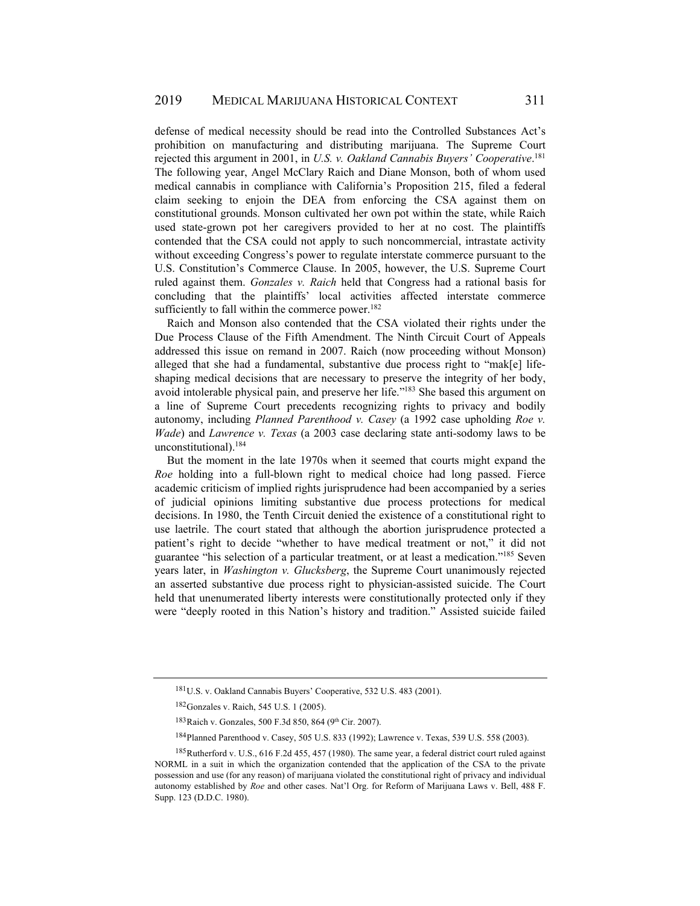defense of medical necessity should be read into the Controlled Substances Act's prohibition on manufacturing and distributing marijuana. The Supreme Court rejected this argument in 2001, in *U.S. v. Oakland Cannabis Buyers' Cooperative*. 181 The following year, Angel McClary Raich and Diane Monson, both of whom used medical cannabis in compliance with California's Proposition 215, filed a federal claim seeking to enjoin the DEA from enforcing the CSA against them on constitutional grounds. Monson cultivated her own pot within the state, while Raich used state-grown pot her caregivers provided to her at no cost. The plaintiffs contended that the CSA could not apply to such noncommercial, intrastate activity without exceeding Congress's power to regulate interstate commerce pursuant to the U.S. Constitution's Commerce Clause. In 2005, however, the U.S. Supreme Court ruled against them. *Gonzales v. Raich* held that Congress had a rational basis for concluding that the plaintiffs' local activities affected interstate commerce sufficiently to fall within the commerce power.<sup>182</sup>

Raich and Monson also contended that the CSA violated their rights under the Due Process Clause of the Fifth Amendment. The Ninth Circuit Court of Appeals addressed this issue on remand in 2007. Raich (now proceeding without Monson) alleged that she had a fundamental, substantive due process right to "mak[e] lifeshaping medical decisions that are necessary to preserve the integrity of her body, avoid intolerable physical pain, and preserve her life."183 She based this argument on a line of Supreme Court precedents recognizing rights to privacy and bodily autonomy, including *Planned Parenthood v. Casey* (a 1992 case upholding *Roe v. Wade*) and *Lawrence v. Texas* (a 2003 case declaring state anti-sodomy laws to be unconstitutional).184

But the moment in the late 1970s when it seemed that courts might expand the *Roe* holding into a full-blown right to medical choice had long passed. Fierce academic criticism of implied rights jurisprudence had been accompanied by a series of judicial opinions limiting substantive due process protections for medical decisions. In 1980, the Tenth Circuit denied the existence of a constitutional right to use laetrile. The court stated that although the abortion jurisprudence protected a patient's right to decide "whether to have medical treatment or not," it did not guarantee "his selection of a particular treatment, or at least a medication."185 Seven years later, in *Washington v. Glucksberg*, the Supreme Court unanimously rejected an asserted substantive due process right to physician-assisted suicide. The Court held that unenumerated liberty interests were constitutionally protected only if they were "deeply rooted in this Nation's history and tradition." Assisted suicide failed

<sup>181</sup> U.S. v. Oakland Cannabis Buyers' Cooperative, 532 U.S. 483 (2001).

<sup>182</sup> Gonzales v. Raich, 545 U.S. 1 (2005).

<sup>183</sup> Raich v. Gonzales, 500 F.3d 850, 864 (9th Cir. 2007).

<sup>184</sup> Planned Parenthood v. Casey, 505 U.S. 833 (1992); Lawrence v. Texas, 539 U.S. 558 (2003).

<sup>185</sup> Rutherford v. U.S., 616 F.2d 455, 457 (1980). The same year, a federal district court ruled against NORML in a suit in which the organization contended that the application of the CSA to the private possession and use (for any reason) of marijuana violated the constitutional right of privacy and individual autonomy established by *Roe* and other cases. Nat'l Org. for Reform of Marijuana Laws v. Bell, 488 F. Supp. 123 (D.D.C. 1980).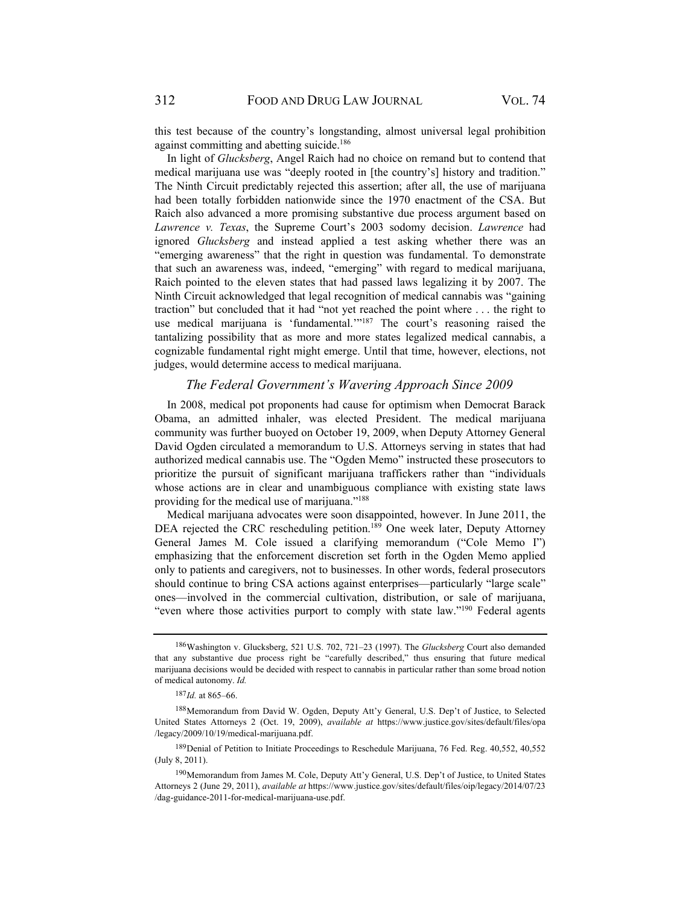this test because of the country's longstanding, almost universal legal prohibition against committing and abetting suicide.<sup>186</sup>

In light of *Glucksberg*, Angel Raich had no choice on remand but to contend that medical marijuana use was "deeply rooted in [the country's] history and tradition." The Ninth Circuit predictably rejected this assertion; after all, the use of marijuana had been totally forbidden nationwide since the 1970 enactment of the CSA. But Raich also advanced a more promising substantive due process argument based on *Lawrence v. Texas*, the Supreme Court's 2003 sodomy decision. *Lawrence* had ignored *Glucksberg* and instead applied a test asking whether there was an "emerging awareness" that the right in question was fundamental. To demonstrate that such an awareness was, indeed, "emerging" with regard to medical marijuana, Raich pointed to the eleven states that had passed laws legalizing it by 2007. The Ninth Circuit acknowledged that legal recognition of medical cannabis was "gaining traction" but concluded that it had "not yet reached the point where . . . the right to use medical marijuana is 'fundamental.'"<sup>187</sup> The court's reasoning raised the tantalizing possibility that as more and more states legalized medical cannabis, a cognizable fundamental right might emerge. Until that time, however, elections, not judges, would determine access to medical marijuana.

## *The Federal Government's Wavering Approach Since 2009*

In 2008, medical pot proponents had cause for optimism when Democrat Barack Obama, an admitted inhaler, was elected President. The medical marijuana community was further buoyed on October 19, 2009, when Deputy Attorney General David Ogden circulated a memorandum to U.S. Attorneys serving in states that had authorized medical cannabis use. The "Ogden Memo" instructed these prosecutors to prioritize the pursuit of significant marijuana traffickers rather than "individuals whose actions are in clear and unambiguous compliance with existing state laws providing for the medical use of marijuana."188

Medical marijuana advocates were soon disappointed, however. In June 2011, the DEA rejected the CRC rescheduling petition.<sup>189</sup> One week later, Deputy Attorney General James M. Cole issued a clarifying memorandum ("Cole Memo I") emphasizing that the enforcement discretion set forth in the Ogden Memo applied only to patients and caregivers, not to businesses. In other words, federal prosecutors should continue to bring CSA actions against enterprises—particularly "large scale" ones—involved in the commercial cultivation, distribution, or sale of marijuana, "even where those activities purport to comply with state law."<sup>190</sup> Federal agents

189 Denial of Petition to Initiate Proceedings to Reschedule Marijuana, 76 Fed. Reg. 40,552, 40,552 (July 8, 2011).

<sup>186</sup> Washington v. Glucksberg, 521 U.S. 702, 721–23 (1997). The *Glucksberg* Court also demanded that any substantive due process right be "carefully described," thus ensuring that future medical marijuana decisions would be decided with respect to cannabis in particular rather than some broad notion of medical autonomy. *Id.*

 $187$ *Id.* at 865–66.

<sup>188</sup> Memorandum from David W. Ogden, Deputy Att'y General, U.S. Dep't of Justice, to Selected United States Attorneys 2 (Oct. 19, 2009), *available at* https://www.justice.gov/sites/default/files/opa /legacy/2009/10/19/medical-marijuana.pdf.

<sup>190</sup> Memorandum from James M. Cole, Deputy Att'y General, U.S. Dep't of Justice, to United States Attorneys 2 (June 29, 2011), *available at* https://www.justice.gov/sites/default/files/oip/legacy/2014/07/23 /dag-guidance-2011-for-medical-marijuana-use.pdf.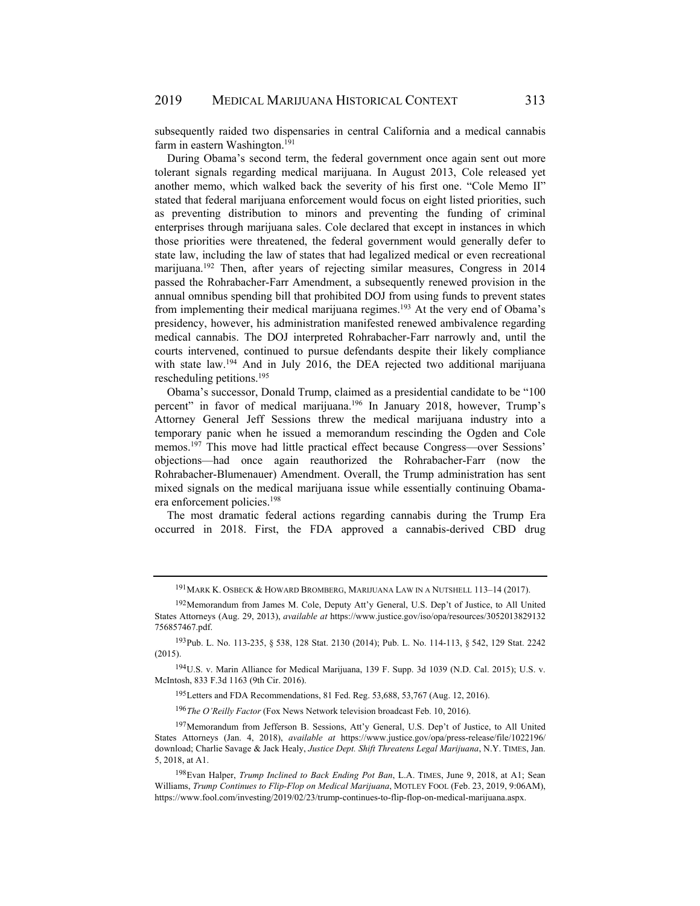subsequently raided two dispensaries in central California and a medical cannabis farm in eastern Washington.<sup>191</sup>

During Obama's second term, the federal government once again sent out more tolerant signals regarding medical marijuana. In August 2013, Cole released yet another memo, which walked back the severity of his first one. "Cole Memo II" stated that federal marijuana enforcement would focus on eight listed priorities, such as preventing distribution to minors and preventing the funding of criminal enterprises through marijuana sales. Cole declared that except in instances in which those priorities were threatened, the federal government would generally defer to state law, including the law of states that had legalized medical or even recreational marijuana.<sup>192</sup> Then, after years of rejecting similar measures, Congress in 2014 passed the Rohrabacher-Farr Amendment, a subsequently renewed provision in the annual omnibus spending bill that prohibited DOJ from using funds to prevent states from implementing their medical marijuana regimes.<sup>193</sup> At the very end of Obama's presidency, however, his administration manifested renewed ambivalence regarding medical cannabis. The DOJ interpreted Rohrabacher-Farr narrowly and, until the courts intervened, continued to pursue defendants despite their likely compliance with state law.<sup>194</sup> And in July 2016, the DEA rejected two additional marijuana rescheduling petitions.195

Obama's successor, Donald Trump, claimed as a presidential candidate to be "100 percent" in favor of medical marijuana.<sup>196</sup> In January 2018, however, Trump's Attorney General Jeff Sessions threw the medical marijuana industry into a temporary panic when he issued a memorandum rescinding the Ogden and Cole memos.197 This move had little practical effect because Congress—over Sessions' objections—had once again reauthorized the Rohrabacher-Farr (now the Rohrabacher-Blumenauer) Amendment. Overall, the Trump administration has sent mixed signals on the medical marijuana issue while essentially continuing Obamaera enforcement policies.198

The most dramatic federal actions regarding cannabis during the Trump Era occurred in 2018. First, the FDA approved a cannabis-derived CBD drug

<sup>195</sup> Letters and FDA Recommendations, 81 Fed. Reg. 53,688, 53,767 (Aug. 12, 2016).

<sup>196</sup> *The O'Reilly Factor* (Fox News Network television broadcast Feb. 10, 2016).

<sup>191</sup> MARK K. OSBECK & HOWARD BROMBERG, MARIJUANA LAW IN A NUTSHELL 113–14 (2017).

<sup>192</sup> Memorandum from James M. Cole, Deputy Att'y General, U.S. Dep't of Justice, to All United States Attorneys (Aug. 29, 2013), *available at* https://www.justice.gov/iso/opa/resources/3052013829132 756857467.pdf.

<sup>193</sup> Pub. L. No. 113-235, § 538, 128 Stat. 2130 (2014); Pub. L. No. 114-113, § 542, 129 Stat. 2242 (2015).

<sup>194</sup> U.S. v. Marin Alliance for Medical Marijuana, 139 F. Supp. 3d 1039 (N.D. Cal. 2015); U.S. v. McIntosh, 833 F.3d 1163 (9th Cir. 2016).

<sup>&</sup>lt;sup>197</sup> Memorandum from Jefferson B. Sessions, Att'y General, U.S. Dep't of Justice, to All United States Attorneys (Jan. 4, 2018), *available at* https://www.justice.gov/opa/press-release/file/1022196/ download; Charlie Savage & Jack Healy, *Justice Dept. Shift Threatens Legal Marijuana*, N.Y. TIMES, Jan. 5, 2018, at A1.

<sup>198</sup> Evan Halper, *Trump Inclined to Back Ending Pot Ban*, L.A. TIMES, June 9, 2018, at A1; Sean Williams, *Trump Continues to Flip-Flop on Medical Marijuana*, MOTLEY FOOL (Feb. 23, 2019, 9:06AM), https://www.fool.com/investing/2019/02/23/trump-continues-to-flip-flop-on-medical-marijuana.aspx.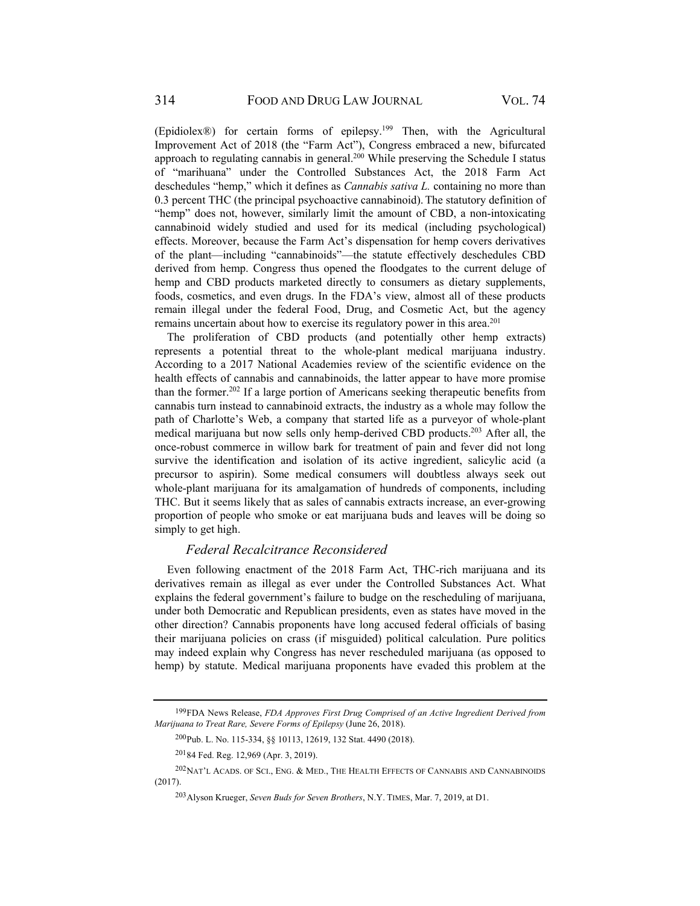(Epidiolex®) for certain forms of epilepsy.<sup>199</sup> Then, with the Agricultural Improvement Act of 2018 (the "Farm Act"), Congress embraced a new, bifurcated approach to regulating cannabis in general.200 While preserving the Schedule I status of "marihuana" under the Controlled Substances Act, the 2018 Farm Act deschedules "hemp," which it defines as *Cannabis sativa L.* containing no more than 0.3 percent THC (the principal psychoactive cannabinoid).The statutory definition of "hemp" does not, however, similarly limit the amount of CBD, a non-intoxicating cannabinoid widely studied and used for its medical (including psychological) effects. Moreover, because the Farm Act's dispensation for hemp covers derivatives of the plant—including "cannabinoids"—the statute effectively deschedules CBD derived from hemp. Congress thus opened the floodgates to the current deluge of hemp and CBD products marketed directly to consumers as dietary supplements, foods, cosmetics, and even drugs. In the FDA's view, almost all of these products remain illegal under the federal Food, Drug, and Cosmetic Act, but the agency remains uncertain about how to exercise its regulatory power in this area.<sup>201</sup>

The proliferation of CBD products (and potentially other hemp extracts) represents a potential threat to the whole-plant medical marijuana industry. According to a 2017 National Academies review of the scientific evidence on the health effects of cannabis and cannabinoids, the latter appear to have more promise than the former.202 If a large portion of Americans seeking therapeutic benefits from cannabis turn instead to cannabinoid extracts, the industry as a whole may follow the path of Charlotte's Web, a company that started life as a purveyor of whole-plant medical marijuana but now sells only hemp-derived CBD products.203 After all, the once-robust commerce in willow bark for treatment of pain and fever did not long survive the identification and isolation of its active ingredient, salicylic acid (a precursor to aspirin). Some medical consumers will doubtless always seek out whole-plant marijuana for its amalgamation of hundreds of components, including THC. But it seems likely that as sales of cannabis extracts increase, an ever-growing proportion of people who smoke or eat marijuana buds and leaves will be doing so simply to get high.

## *Federal Recalcitrance Reconsidered*

Even following enactment of the 2018 Farm Act, THC-rich marijuana and its derivatives remain as illegal as ever under the Controlled Substances Act. What explains the federal government's failure to budge on the rescheduling of marijuana, under both Democratic and Republican presidents, even as states have moved in the other direction? Cannabis proponents have long accused federal officials of basing their marijuana policies on crass (if misguided) political calculation. Pure politics may indeed explain why Congress has never rescheduled marijuana (as opposed to hemp) by statute. Medical marijuana proponents have evaded this problem at the

<sup>199</sup> FDA News Release, *FDA Approves First Drug Comprised of an Active Ingredient Derived from Marijuana to Treat Rare, Severe Forms of Epilepsy* (June 26, 2018).

<sup>200</sup> Pub. L. No. 115-334, §§ 10113, 12619, 132 Stat. 4490 (2018).

<sup>201 84</sup> Fed. Reg. 12,969 (Apr. 3, 2019).

 $202$ NAT'L ACADS. OF SCI., ENG. & MED., THE HEALTH EFFECTS OF CANNABIS AND CANNABINOIDS (2017).

<sup>203</sup> Alyson Krueger, *Seven Buds for Seven Brothers*, N.Y. TIMES, Mar. 7, 2019, at D1.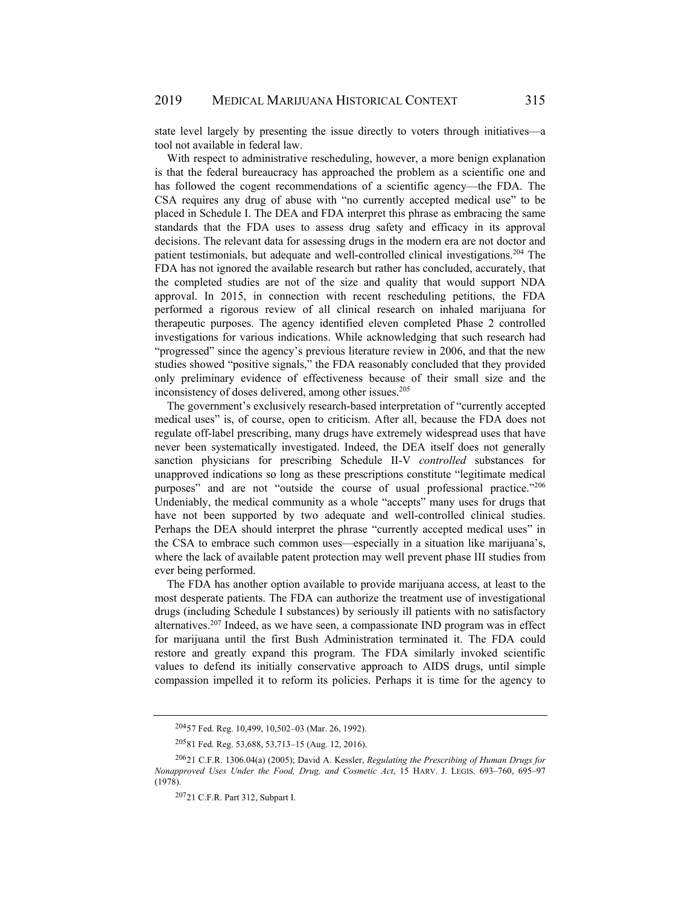state level largely by presenting the issue directly to voters through initiatives—a tool not available in federal law.

With respect to administrative rescheduling, however, a more benign explanation is that the federal bureaucracy has approached the problem as a scientific one and has followed the cogent recommendations of a scientific agency—the FDA. The CSA requires any drug of abuse with "no currently accepted medical use" to be placed in Schedule I. The DEA and FDA interpret this phrase as embracing the same standards that the FDA uses to assess drug safety and efficacy in its approval decisions. The relevant data for assessing drugs in the modern era are not doctor and patient testimonials, but adequate and well-controlled clinical investigations.204 The FDA has not ignored the available research but rather has concluded, accurately, that the completed studies are not of the size and quality that would support NDA approval. In 2015, in connection with recent rescheduling petitions, the FDA performed a rigorous review of all clinical research on inhaled marijuana for therapeutic purposes. The agency identified eleven completed Phase 2 controlled investigations for various indications. While acknowledging that such research had "progressed" since the agency's previous literature review in 2006, and that the new studies showed "positive signals," the FDA reasonably concluded that they provided only preliminary evidence of effectiveness because of their small size and the inconsistency of doses delivered, among other issues.<sup>205</sup>

The government's exclusively research-based interpretation of "currently accepted medical uses" is, of course, open to criticism. After all, because the FDA does not regulate off-label prescribing, many drugs have extremely widespread uses that have never been systematically investigated. Indeed, the DEA itself does not generally sanction physicians for prescribing Schedule II-V *controlled* substances for unapproved indications so long as these prescriptions constitute "legitimate medical purposes" and are not "outside the course of usual professional practice."206 Undeniably, the medical community as a whole "accepts" many uses for drugs that have not been supported by two adequate and well-controlled clinical studies. Perhaps the DEA should interpret the phrase "currently accepted medical uses" in the CSA to embrace such common uses—especially in a situation like marijuana's, where the lack of available patent protection may well prevent phase III studies from ever being performed.

The FDA has another option available to provide marijuana access, at least to the most desperate patients. The FDA can authorize the treatment use of investigational drugs (including Schedule I substances) by seriously ill patients with no satisfactory alternatives.207 Indeed, as we have seen, a compassionate IND program was in effect for marijuana until the first Bush Administration terminated it. The FDA could restore and greatly expand this program. The FDA similarly invoked scientific values to defend its initially conservative approach to AIDS drugs, until simple compassion impelled it to reform its policies. Perhaps it is time for the agency to

<sup>204 57</sup> Fed. Reg. 10,499, 10,502–03 (Mar. 26, 1992).

<sup>205 81</sup> Fed. Reg. 53,688, 53,713–15 (Aug. 12, 2016).

<sup>206 21</sup> C.F.R. 1306.04(a) (2005); David A. Kessler, *Regulating the Prescribing of Human Drugs for Nonapproved Uses Under the Food, Drug, and Cosmetic Act*, 15 HARV. J. LEGIS. 693–760, 695–97 (1978).

<sup>207 21</sup> C.F.R. Part 312, Subpart I.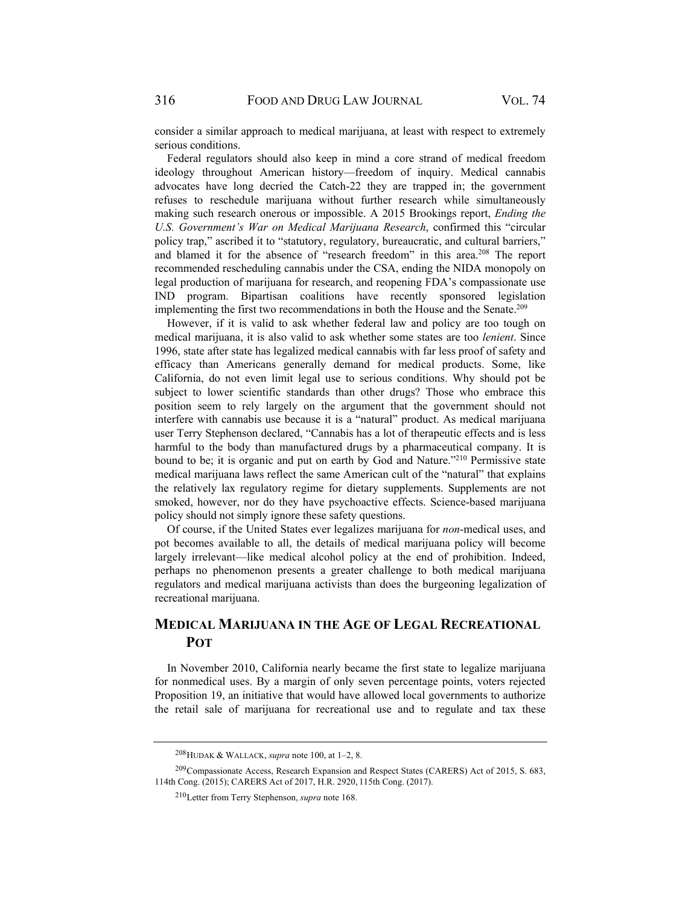consider a similar approach to medical marijuana, at least with respect to extremely serious conditions.

Federal regulators should also keep in mind a core strand of medical freedom ideology throughout American history—freedom of inquiry. Medical cannabis advocates have long decried the Catch-22 they are trapped in; the government refuses to reschedule marijuana without further research while simultaneously making such research onerous or impossible. A 2015 Brookings report, *Ending the U.S. Government's War on Medical Marijuana Research*, confirmed this "circular policy trap," ascribed it to "statutory, regulatory, bureaucratic, and cultural barriers," and blamed it for the absence of "research freedom" in this area.<sup>208</sup> The report recommended rescheduling cannabis under the CSA, ending the NIDA monopoly on legal production of marijuana for research, and reopening FDA's compassionate use IND program. Bipartisan coalitions have recently sponsored legislation implementing the first two recommendations in both the House and the Senate.<sup>209</sup>

However, if it is valid to ask whether federal law and policy are too tough on medical marijuana, it is also valid to ask whether some states are too *lenient*. Since 1996, state after state has legalized medical cannabis with far less proof of safety and efficacy than Americans generally demand for medical products. Some, like California, do not even limit legal use to serious conditions. Why should pot be subject to lower scientific standards than other drugs? Those who embrace this position seem to rely largely on the argument that the government should not interfere with cannabis use because it is a "natural" product. As medical marijuana user Terry Stephenson declared, "Cannabis has a lot of therapeutic effects and is less harmful to the body than manufactured drugs by a pharmaceutical company. It is bound to be; it is organic and put on earth by God and Nature."210 Permissive state medical marijuana laws reflect the same American cult of the "natural" that explains the relatively lax regulatory regime for dietary supplements. Supplements are not smoked, however, nor do they have psychoactive effects. Science-based marijuana policy should not simply ignore these safety questions.

Of course, if the United States ever legalizes marijuana for *non*-medical uses, and pot becomes available to all, the details of medical marijuana policy will become largely irrelevant—like medical alcohol policy at the end of prohibition. Indeed, perhaps no phenomenon presents a greater challenge to both medical marijuana regulators and medical marijuana activists than does the burgeoning legalization of recreational marijuana.

# **MEDICAL MARIJUANA IN THE AGE OF LEGAL RECREATIONAL POT**

In November 2010, California nearly became the first state to legalize marijuana for nonmedical uses. By a margin of only seven percentage points, voters rejected Proposition 19, an initiative that would have allowed local governments to authorize the retail sale of marijuana for recreational use and to regulate and tax these

<sup>208</sup> HUDAK & WALLACK, *supra* note 100, at 1–2, 8.

<sup>209</sup> Compassionate Access, Research Expansion and Respect States (CARERS) Act of 2015, S. 683, 114th Cong. (2015); CARERS Act of 2017, H.R. 2920, 115th Cong. (2017).

<sup>210</sup> Letter from Terry Stephenson, *supra* note 168.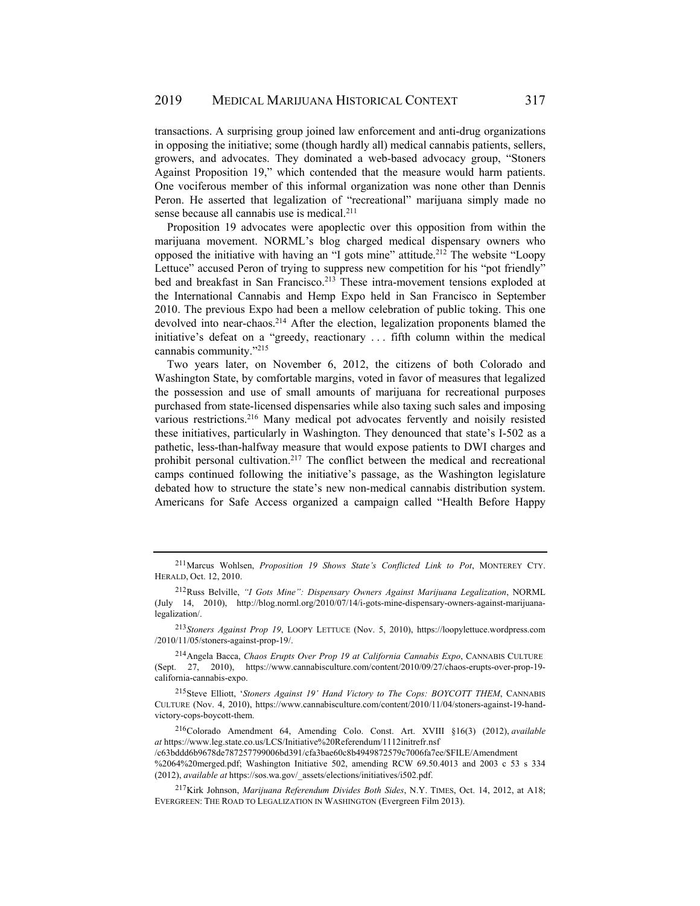transactions. A surprising group joined law enforcement and anti-drug organizations in opposing the initiative; some (though hardly all) medical cannabis patients, sellers, growers, and advocates. They dominated a web-based advocacy group, "Stoners Against Proposition 19," which contended that the measure would harm patients. One vociferous member of this informal organization was none other than Dennis Peron. He asserted that legalization of "recreational" marijuana simply made no sense because all cannabis use is medical.<sup>211</sup>

Proposition 19 advocates were apoplectic over this opposition from within the marijuana movement. NORML's blog charged medical dispensary owners who opposed the initiative with having an "I gots mine" attitude.<sup>212</sup> The website "Loopy Lettuce" accused Peron of trying to suppress new competition for his "pot friendly" bed and breakfast in San Francisco.<sup>213</sup> These intra-movement tensions exploded at the International Cannabis and Hemp Expo held in San Francisco in September 2010. The previous Expo had been a mellow celebration of public toking. This one devolved into near-chaos.<sup>214</sup> After the election, legalization proponents blamed the initiative's defeat on a "greedy, reactionary . . . fifth column within the medical cannabis community."215

Two years later, on November 6, 2012, the citizens of both Colorado and Washington State, by comfortable margins, voted in favor of measures that legalized the possession and use of small amounts of marijuana for recreational purposes purchased from state-licensed dispensaries while also taxing such sales and imposing various restrictions.<sup>216</sup> Many medical pot advocates fervently and noisily resisted these initiatives, particularly in Washington. They denounced that state's I-502 as a pathetic, less-than-halfway measure that would expose patients to DWI charges and prohibit personal cultivation.<sup>217</sup> The conflict between the medical and recreational camps continued following the initiative's passage, as the Washington legislature debated how to structure the state's new non-medical cannabis distribution system. Americans for Safe Access organized a campaign called "Health Before Happy

<sup>211</sup> Marcus Wohlsen, *Proposition 19 Shows State's Conflicted Link to Pot*, MONTEREY CTY. HERALD, Oct. 12, 2010.

<sup>212</sup> Russ Belville, *"I Gots Mine": Dispensary Owners Against Marijuana Legalization*, NORML (July 14, 2010), http://blog.norml.org/2010/07/14/i-gots-mine-dispensary-owners-against-marijuanalegalization/.

<sup>213</sup> *Stoners Against Prop 19*, LOOPY LETTUCE (Nov. 5, 2010), https://loopylettuce.wordpress.com /2010/11/05/stoners-against-prop-19/.

<sup>214</sup> Angela Bacca, *Chaos Erupts Over Prop 19 at California Cannabis Expo*, CANNABIS CULTURE (Sept. 27, 2010), https://www.cannabisculture.com/content/2010/09/27/chaos-erupts-over-prop-19 california-cannabis-expo.

<sup>215</sup> Steve Elliott, '*Stoners Against 19' Hand Victory to The Cops: BOYCOTT THEM*, CANNABIS CULTURE (Nov. 4, 2010), https://www.cannabisculture.com/content/2010/11/04/stoners-against-19-handvictory-cops-boycott-them.

<sup>216</sup> Colorado Amendment 64, Amending Colo. Const. Art. XVIII §16(3) (2012), *available at* https://www.leg.state.co.us/LCS/Initiative%20Referendum/1112initrefr.nsf

<sup>/</sup>c63bddd6b9678de787257799006bd391/cfa3bae60c8b4949872579c7006fa7ee/\$FILE/Amendment

<sup>%2064%20</sup>merged.pdf; Washington Initiative 502, amending RCW 69.50.4013 and 2003 c 53 s 334 (2012), *available at* https://sos.wa.gov/\_assets/elections/initiatives/i502.pdf.

<sup>217</sup> Kirk Johnson, *Marijuana Referendum Divides Both Sides*, N.Y. TIMES, Oct. 14, 2012, at A18; EVERGREEN: THE ROAD TO LEGALIZATION IN WASHINGTON (Evergreen Film 2013).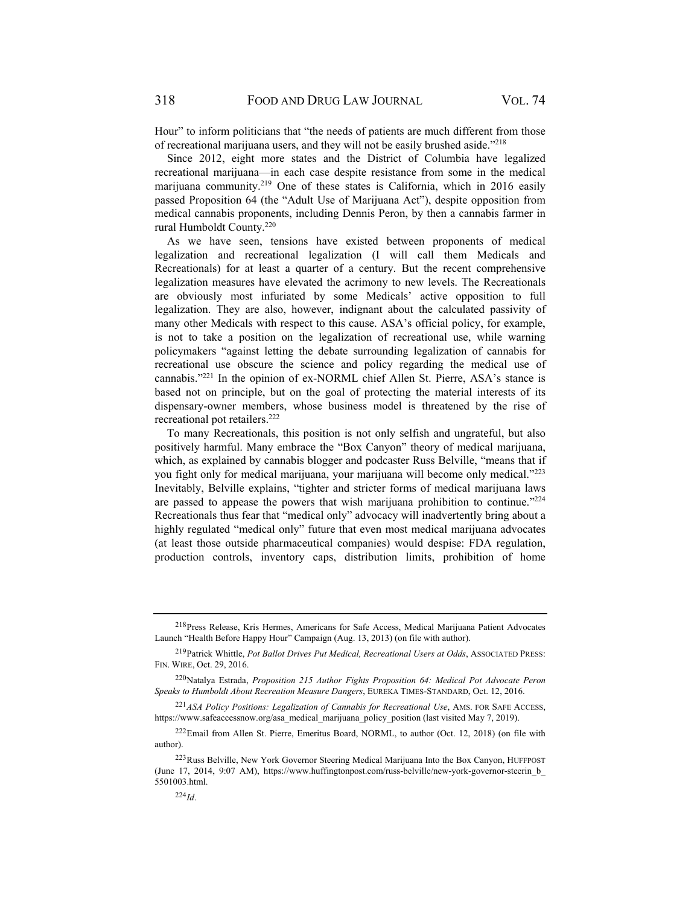Hour" to inform politicians that "the needs of patients are much different from those of recreational marijuana users, and they will not be easily brushed aside."218

Since 2012, eight more states and the District of Columbia have legalized recreational marijuana—in each case despite resistance from some in the medical marijuana community.<sup>219</sup> One of these states is California, which in 2016 easily passed Proposition 64 (the "Adult Use of Marijuana Act"), despite opposition from medical cannabis proponents, including Dennis Peron, by then a cannabis farmer in rural Humboldt County.220

As we have seen, tensions have existed between proponents of medical legalization and recreational legalization (I will call them Medicals and Recreationals) for at least a quarter of a century. But the recent comprehensive legalization measures have elevated the acrimony to new levels. The Recreationals are obviously most infuriated by some Medicals' active opposition to full legalization. They are also, however, indignant about the calculated passivity of many other Medicals with respect to this cause. ASA's official policy, for example, is not to take a position on the legalization of recreational use, while warning policymakers "against letting the debate surrounding legalization of cannabis for recreational use obscure the science and policy regarding the medical use of cannabis."221 In the opinion of ex-NORML chief Allen St. Pierre, ASA's stance is based not on principle, but on the goal of protecting the material interests of its dispensary-owner members, whose business model is threatened by the rise of recreational pot retailers.<sup>222</sup>

To many Recreationals, this position is not only selfish and ungrateful, but also positively harmful. Many embrace the "Box Canyon" theory of medical marijuana, which, as explained by cannabis blogger and podcaster Russ Belville, "means that if you fight only for medical marijuana, your marijuana will become only medical."223 Inevitably, Belville explains, "tighter and stricter forms of medical marijuana laws are passed to appease the powers that wish marijuana prohibition to continue.<sup> $224$ </sup> Recreationals thus fear that "medical only" advocacy will inadvertently bring about a highly regulated "medical only" future that even most medical marijuana advocates (at least those outside pharmaceutical companies) would despise: FDA regulation, production controls, inventory caps, distribution limits, prohibition of home

<sup>218</sup> Press Release, Kris Hermes, Americans for Safe Access, Medical Marijuana Patient Advocates Launch "Health Before Happy Hour" Campaign (Aug. 13, 2013) (on file with author).

<sup>219</sup> Patrick Whittle, *Pot Ballot Drives Put Medical, Recreational Users at Odds*, ASSOCIATED PRESS: FIN. WIRE, Oct. 29, 2016.

<sup>220</sup> Natalya Estrada, *Proposition 215 Author Fights Proposition 64: Medical Pot Advocate Peron Speaks to Humboldt About Recreation Measure Dangers*, EUREKA TIMES-STANDARD, Oct. 12, 2016.

<sup>221</sup> *ASA Policy Positions: Legalization of Cannabis for Recreational Use*, AMS. FOR SAFE ACCESS, https://www.safeaccessnow.org/asa\_medical\_marijuana\_policy\_position (last visited May 7, 2019).

<sup>222</sup> Email from Allen St. Pierre, Emeritus Board, NORML, to author (Oct. 12, 2018) (on file with author).

<sup>223</sup> Russ Belville, New York Governor Steering Medical Marijuana Into the Box Canyon, HUFFPOST (June 17, 2014, 9:07 AM), https://www.huffingtonpost.com/russ-belville/new-york-governor-steerin\_b\_ 5501003.html.

 $224$ *Id.*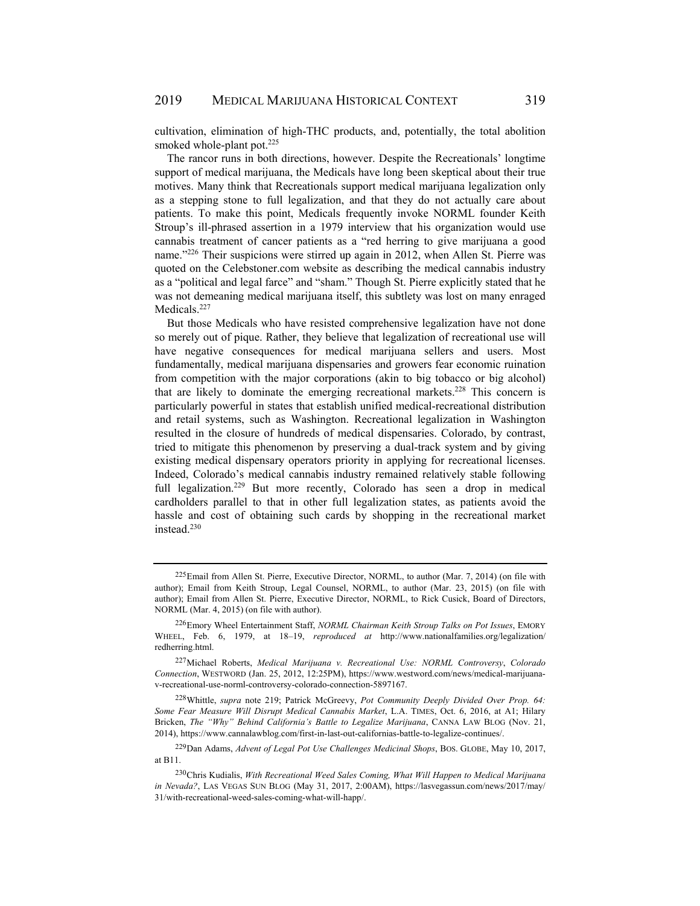cultivation, elimination of high-THC products, and, potentially, the total abolition smoked whole-plant pot. $225$ 

The rancor runs in both directions, however. Despite the Recreationals' longtime support of medical marijuana, the Medicals have long been skeptical about their true motives. Many think that Recreationals support medical marijuana legalization only as a stepping stone to full legalization, and that they do not actually care about patients. To make this point, Medicals frequently invoke NORML founder Keith Stroup's ill-phrased assertion in a 1979 interview that his organization would use cannabis treatment of cancer patients as a "red herring to give marijuana a good name."226 Their suspicions were stirred up again in 2012, when Allen St. Pierre was quoted on the Celebstoner.com website as describing the medical cannabis industry as a "political and legal farce" and "sham." Though St. Pierre explicitly stated that he was not demeaning medical marijuana itself, this subtlety was lost on many enraged Medicals.<sup>227</sup>

But those Medicals who have resisted comprehensive legalization have not done so merely out of pique. Rather, they believe that legalization of recreational use will have negative consequences for medical marijuana sellers and users. Most fundamentally, medical marijuana dispensaries and growers fear economic ruination from competition with the major corporations (akin to big tobacco or big alcohol) that are likely to dominate the emerging recreational markets.228 This concern is particularly powerful in states that establish unified medical-recreational distribution and retail systems, such as Washington. Recreational legalization in Washington resulted in the closure of hundreds of medical dispensaries. Colorado, by contrast, tried to mitigate this phenomenon by preserving a dual-track system and by giving existing medical dispensary operators priority in applying for recreational licenses. Indeed, Colorado's medical cannabis industry remained relatively stable following full legalization.<sup>229</sup> But more recently, Colorado has seen a drop in medical cardholders parallel to that in other full legalization states, as patients avoid the hassle and cost of obtaining such cards by shopping in the recreational market instead.<sup>230</sup>

229 Dan Adams, *Advent of Legal Pot Use Challenges Medicinal Shops*, BOS. GLOBE, May 10, 2017, at B11.

 $225$  Email from Allen St. Pierre, Executive Director, NORML, to author (Mar. 7, 2014) (on file with author); Email from Keith Stroup, Legal Counsel, NORML, to author (Mar. 23, 2015) (on file with author); Email from Allen St. Pierre, Executive Director, NORML, to Rick Cusick, Board of Directors, NORML (Mar. 4, 2015) (on file with author).

<sup>226</sup> Emory Wheel Entertainment Staff, *NORML Chairman Keith Stroup Talks on Pot Issues*, EMORY WHEEL, Feb. 6, 1979, at 18–19, *reproduced at* http://www.nationalfamilies.org/legalization/ redherring.html.

<sup>227</sup> Michael Roberts, *Medical Marijuana v. Recreational Use: NORML Controversy*, *Colorado Connection*, WESTWORD (Jan. 25, 2012, 12:25PM), https://www.westword.com/news/medical-marijuanav-recreational-use-norml-controversy-colorado-connection-5897167.

<sup>228</sup> Whittle, *supra* note 219; Patrick McGreevy, *Pot Community Deeply Divided Over Prop. 64: Some Fear Measure Will Disrupt Medical Cannabis Market*, L.A. TIMES, Oct. 6, 2016, at A1; Hilary Bricken, *The "Why" Behind California's Battle to Legalize Marijuana*, CANNA LAW BLOG (Nov. 21, 2014), https://www.cannalawblog.com/first-in-last-out-californias-battle-to-legalize-continues/.

<sup>230</sup> Chris Kudialis, *With Recreational Weed Sales Coming, What Will Happen to Medical Marijuana in Nevada?*, LAS VEGAS SUN BLOG (May 31, 2017, 2:00AM), https://lasvegassun.com/news/2017/may/ 31/with-recreational-weed-sales-coming-what-will-happ/.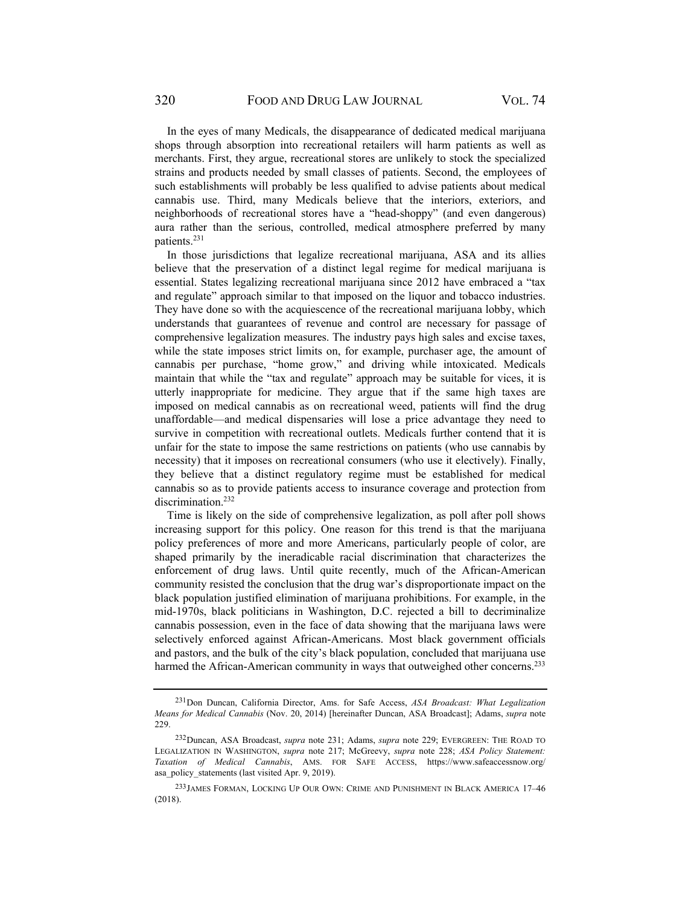In the eyes of many Medicals, the disappearance of dedicated medical marijuana shops through absorption into recreational retailers will harm patients as well as merchants. First, they argue, recreational stores are unlikely to stock the specialized strains and products needed by small classes of patients. Second, the employees of such establishments will probably be less qualified to advise patients about medical cannabis use. Third, many Medicals believe that the interiors, exteriors, and neighborhoods of recreational stores have a "head-shoppy" (and even dangerous) aura rather than the serious, controlled, medical atmosphere preferred by many patients.231

In those jurisdictions that legalize recreational marijuana, ASA and its allies believe that the preservation of a distinct legal regime for medical marijuana is essential. States legalizing recreational marijuana since 2012 have embraced a "tax and regulate" approach similar to that imposed on the liquor and tobacco industries. They have done so with the acquiescence of the recreational marijuana lobby, which understands that guarantees of revenue and control are necessary for passage of comprehensive legalization measures. The industry pays high sales and excise taxes, while the state imposes strict limits on, for example, purchaser age, the amount of cannabis per purchase, "home grow," and driving while intoxicated. Medicals maintain that while the "tax and regulate" approach may be suitable for vices, it is utterly inappropriate for medicine. They argue that if the same high taxes are imposed on medical cannabis as on recreational weed, patients will find the drug unaffordable—and medical dispensaries will lose a price advantage they need to survive in competition with recreational outlets. Medicals further contend that it is unfair for the state to impose the same restrictions on patients (who use cannabis by necessity) that it imposes on recreational consumers (who use it electively). Finally, they believe that a distinct regulatory regime must be established for medical cannabis so as to provide patients access to insurance coverage and protection from discrimination.<sup>232</sup>

Time is likely on the side of comprehensive legalization, as poll after poll shows increasing support for this policy. One reason for this trend is that the marijuana policy preferences of more and more Americans, particularly people of color, are shaped primarily by the ineradicable racial discrimination that characterizes the enforcement of drug laws. Until quite recently, much of the African-American community resisted the conclusion that the drug war's disproportionate impact on the black population justified elimination of marijuana prohibitions. For example, in the mid-1970s, black politicians in Washington, D.C. rejected a bill to decriminalize cannabis possession, even in the face of data showing that the marijuana laws were selectively enforced against African-Americans. Most black government officials and pastors, and the bulk of the city's black population, concluded that marijuana use harmed the African-American community in ways that outweighed other concerns.<sup>233</sup>

<sup>231</sup> Don Duncan, California Director, Ams. for Safe Access, *ASA Broadcast: What Legalization Means for Medical Cannabis* (Nov. 20, 2014) [hereinafter Duncan, ASA Broadcast]; Adams, *supra* note 229.

<sup>232</sup> Duncan, ASA Broadcast, *supra* note 231; Adams, *supra* note 229; EVERGREEN: THE ROAD TO LEGALIZATION IN WASHINGTON, *supra* note 217; McGreevy, *supra* note 228; *ASA Policy Statement: Taxation of Medical Cannabis*, AMS. FOR SAFE ACCESS, https://www.safeaccessnow.org/ asa\_policy\_statements (last visited Apr. 9, 2019).

<sup>233</sup> JAMES FORMAN, LOCKING UP OUR OWN: CRIME AND PUNISHMENT IN BLACK AMERICA 17–46 (2018).